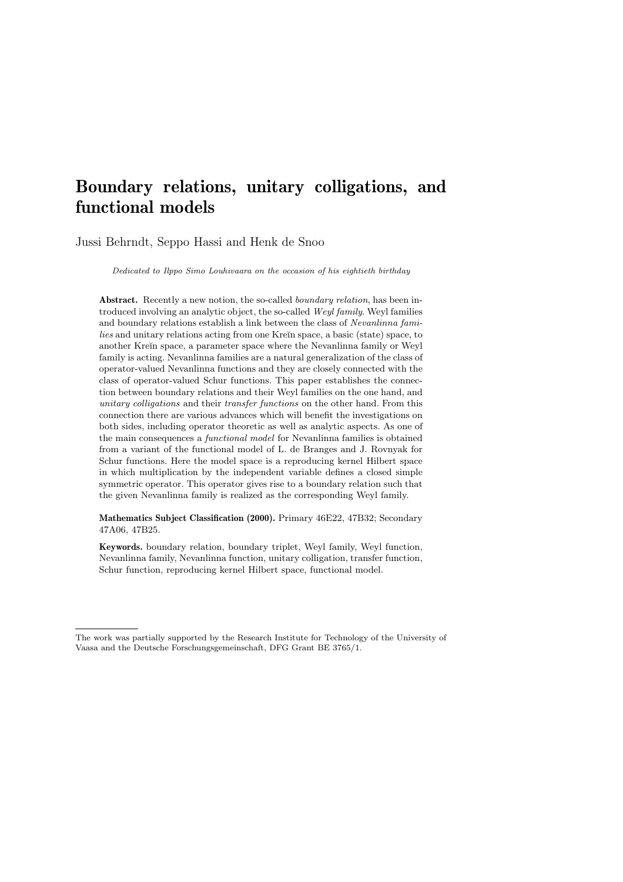# Boundary relations, unitary colligations, and functional models

Jussi Behrndt, Seppo Hassi and Henk de Snoo

Dedicated to Ilppo Simo Louhivaara on the occasion of his eightieth birthday

Abstract. Recently a new notion, the so-called *boundary relation*, has been introduced involving an analytic object, the so-called Weyl family. Weyl families and boundary relations establish a link between the class of Nevanlinna families and unitary relations acting from one Kreĭn space, a basic (state) space, to another Kreĭn space, a parameter space where the Nevanlinna family or Weyl family is acting. Nevanlinna families are a natural generalization of the class of operator-valued Nevanlinna functions and they are closely connected with the class of operator-valued Schur functions. This paper establishes the connection between boundary relations and their Weyl families on the one hand, and unitary colligations and their transfer functions on the other hand. From this connection there are various advances which will benefit the investigations on both sides, including operator theoretic as well as analytic aspects. As one of the main consequences a functional model for Nevanlinna families is obtained from a variant of the functional model of L. de Branges and J. Rovnyak for Schur functions. Here the model space is a reproducing kernel Hilbert space in which multiplication by the independent variable defines a closed simple symmetric operator. This operator gives rise to a boundary relation such that the given Nevanlinna family is realized as the corresponding Weyl family.

Mathematics Subject Classification (2000). Primary 46E22, 47B32; Secondary 47A06, 47B25.

Keywords. boundary relation, boundary triplet, Weyl family, Weyl function, Nevanlinna family, Nevanlinna function, unitary colligation, transfer function, Schur function, reproducing kernel Hilbert space, functional model.

The work was partially supported by the Research Institute for Technology of the University of Vaasa and the Deutsche Forschungsgemeinschaft, DFG Grant BE 3765/1.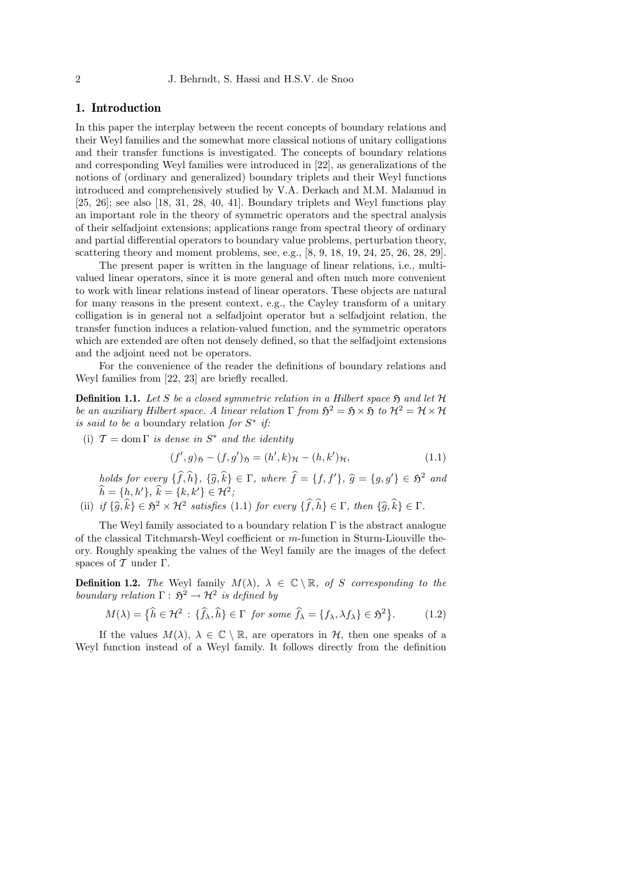## 1. Introduction

In this paper the interplay between the recent concepts of boundary relations and their Weyl families and the somewhat more classical notions of unitary colligations and their transfer functions is investigated. The concepts of boundary relations and corresponding Weyl families were introduced in [22], as generalizations of the notions of (ordinary and generalized) boundary triplets and their Weyl functions introduced and comprehensively studied by V.A. Derkach and M.M. Malamud in [25, 26]; see also [18, 31, 28, 40, 41]. Boundary triplets and Weyl functions play an important role in the theory of symmetric operators and the spectral analysis of their selfadjoint extensions; applications range from spectral theory of ordinary and partial differential operators to boundary value problems, perturbation theory, scattering theory and moment problems, see, e.g., [8, 9, 18, 19, 24, 25, 26, 28, 29].

The present paper is written in the language of linear relations, i.e., multivalued linear operators, since it is more general and often much more convenient to work with linear relations instead of linear operators. These objects are natural for many reasons in the present context, e.g., the Cayley transform of a unitary colligation is in general not a selfadjoint operator but a selfadjoint relation, the transfer function induces a relation-valued function, and the symmetric operators which are extended are often not densely defined, so that the selfadjoint extensions and the adjoint need not be operators.

For the convenience of the reader the definitions of boundary relations and Weyl families from [22, 23] are briefly recalled.

**Definition 1.1.** Let S be a closed symmetric relation in a Hilbert space  $\mathfrak{H}$  and let H be an auxiliary Hilbert space. A linear relation  $\Gamma$  from  $\mathfrak{H}^2 = \mathfrak{H} \times \mathfrak{H}$  to  $\mathcal{H}^2 = \mathcal{H} \times \mathcal{H}$ is said to be a boundary relation for  $S^*$  if:

(i)  $\mathcal{T} = \text{dom } \Gamma$  is dense in  $S^*$  and the identity

$$
(f', g)_{\mathfrak{H}} - (f, g')_{\mathfrak{H}} = (h', k)_{\mathcal{H}} - (h, k')_{\mathcal{H}},
$$
\n(1.1)

holds for every  $\{\widehat{f}, \widehat{h}\}, \{\widehat{g}, \widehat{k}\} \in \Gamma$ , where  $\widehat{f} = \{f, f'\}, \widehat{g} = \{g, g'\} \in \mathfrak{H}^2$  and  $\widehat{h} = \{h, h'\}, \, \widehat{k} = \{k, k'\} \in \mathcal{H}^2;$ 

(ii) if  $\{\widehat{g}, \widehat{k}\} \in \mathfrak{H}^2 \times \mathcal{H}^2$  satisfies (1.1) for every  $\{\widehat{f}, \widehat{h}\} \in \Gamma$ , then  $\{\widehat{g}, \widehat{k}\} \in \Gamma$ .

The Weyl family associated to a boundary relation Γ is the abstract analogue of the classical Titchmarsh-Weyl coefficient or  $m$ -function in Sturm-Liouville theory. Roughly speaking the values of the Weyl family are the images of the defect spaces of  $\mathcal T$  under  $\Gamma$ .

**Definition 1.2.** The Weyl family  $M(\lambda)$ ,  $\lambda \in \mathbb{C} \setminus \mathbb{R}$ , of S corresponding to the boundary relation  $\Gamma : \mathfrak{H}^2 \to \mathcal{H}^2$  is defined by

$$
M(\lambda) = \left\{ \widehat{h} \in \mathcal{H}^2 \, : \, \{\widehat{f}_{\lambda}, \widehat{h}\} \in \Gamma \text{ for some } \widehat{f}_{\lambda} = \{f_{\lambda}, \lambda f_{\lambda}\} \in \mathfrak{H}^2 \right\}. \tag{1.2}
$$

If the values  $M(\lambda)$ ,  $\lambda \in \mathbb{C} \setminus \mathbb{R}$ , are operators in  $\mathcal{H}$ , then one speaks of a Weyl function instead of a Weyl family. It follows directly from the definition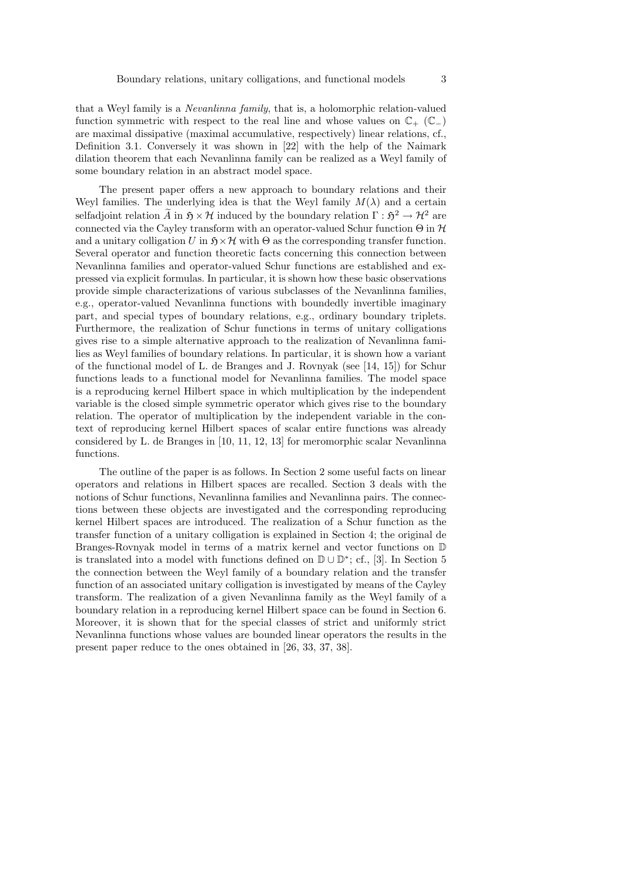that a Weyl family is a Nevanlinna family, that is, a holomorphic relation-valued function symmetric with respect to the real line and whose values on  $\mathbb{C}_+$  ( $\mathbb{C}_-$ ) are maximal dissipative (maximal accumulative, respectively) linear relations, cf., Definition 3.1. Conversely it was shown in [22] with the help of the Naimark dilation theorem that each Nevanlinna family can be realized as a Weyl family of some boundary relation in an abstract model space.

The present paper offers a new approach to boundary relations and their Weyl families. The underlying idea is that the Weyl family  $M(\lambda)$  and a certain selfadjoint relation  $\tilde{A}$  in  $\tilde{B} \times H$  induced by the boundary relation  $\Gamma : \tilde{B}^2 \to H^2$  are connected via the Cayley transform with an operator-valued Schur function  $\Theta$  in  $\mathcal H$ and a unitary colligation U in  $\mathfrak{H}\times\mathcal{H}$  with  $\Theta$  as the corresponding transfer function. Several operator and function theoretic facts concerning this connection between Nevanlinna families and operator-valued Schur functions are established and expressed via explicit formulas. In particular, it is shown how these basic observations provide simple characterizations of various subclasses of the Nevanlinna families, e.g., operator-valued Nevanlinna functions with boundedly invertible imaginary part, and special types of boundary relations, e.g., ordinary boundary triplets. Furthermore, the realization of Schur functions in terms of unitary colligations gives rise to a simple alternative approach to the realization of Nevanlinna families as Weyl families of boundary relations. In particular, it is shown how a variant of the functional model of L. de Branges and J. Rovnyak (see [14, 15]) for Schur functions leads to a functional model for Nevanlinna families. The model space is a reproducing kernel Hilbert space in which multiplication by the independent variable is the closed simple symmetric operator which gives rise to the boundary relation. The operator of multiplication by the independent variable in the context of reproducing kernel Hilbert spaces of scalar entire functions was already considered by L. de Branges in [10, 11, 12, 13] for meromorphic scalar Nevanlinna functions.

The outline of the paper is as follows. In Section 2 some useful facts on linear operators and relations in Hilbert spaces are recalled. Section 3 deals with the notions of Schur functions, Nevanlinna families and Nevanlinna pairs. The connections between these objects are investigated and the corresponding reproducing kernel Hilbert spaces are introduced. The realization of a Schur function as the transfer function of a unitary colligation is explained in Section 4; the original de Branges-Rovnyak model in terms of a matrix kernel and vector functions on D is translated into a model with functions defined on  $\mathbb{D} \cup \mathbb{D}^*$ ; cf., [3]. In Section 5 the connection between the Weyl family of a boundary relation and the transfer function of an associated unitary colligation is investigated by means of the Cayley transform. The realization of a given Nevanlinna family as the Weyl family of a boundary relation in a reproducing kernel Hilbert space can be found in Section 6. Moreover, it is shown that for the special classes of strict and uniformly strict Nevanlinna functions whose values are bounded linear operators the results in the present paper reduce to the ones obtained in [26, 33, 37, 38].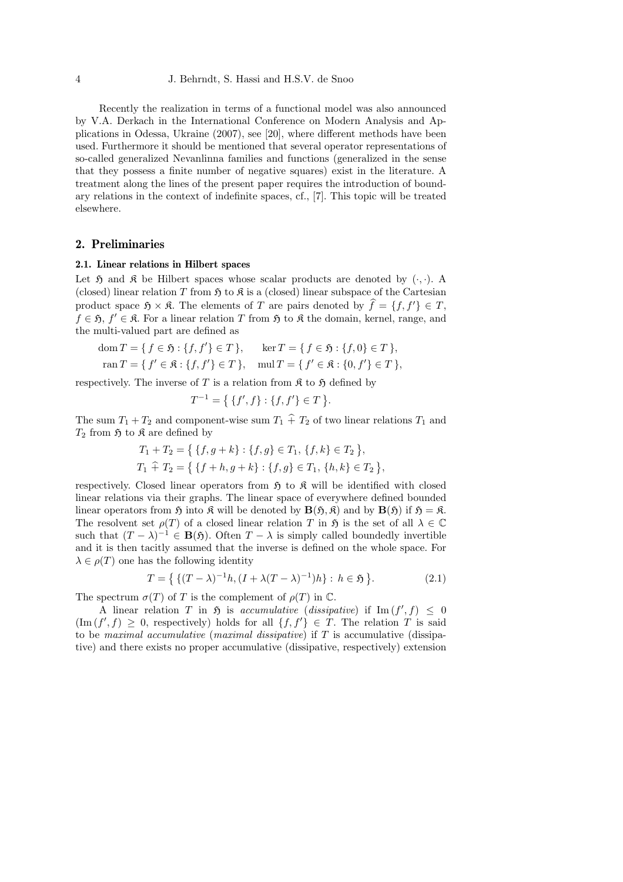Recently the realization in terms of a functional model was also announced by V.A. Derkach in the International Conference on Modern Analysis and Applications in Odessa, Ukraine (2007), see [20], where different methods have been used. Furthermore it should be mentioned that several operator representations of so-called generalized Nevanlinna families and functions (generalized in the sense that they possess a finite number of negative squares) exist in the literature. A treatment along the lines of the present paper requires the introduction of boundary relations in the context of indefinite spaces, cf., [7]. This topic will be treated elsewhere.

#### 2. Preliminaries

#### 2.1. Linear relations in Hilbert spaces

Let  $\mathfrak{H}$  and  $\mathfrak{K}$  be Hilbert spaces whose scalar products are denoted by  $(\cdot, \cdot)$ . (closed) linear relation T from  $\mathfrak H$  to  $\mathfrak K$  is a (closed) linear subspace of the Cartesian product space  $\mathfrak{H} \times \mathfrak{K}$ . The elements of T are pairs denoted by  $\widehat{f} = \{f, f'\} \in T$ ,  $f \in \mathfrak{H}, f' \in \mathfrak{K}$ . For a linear relation T from  $\mathfrak{H}$  to  $\mathfrak{K}$  the domain, kernel, range, and the multi-valued part are defined as

$$
\text{dom}\,T = \{ \, f \in \mathfrak{H} : \{f, f'\} \in T \, \}, \qquad \text{ker}\,T = \{ \, f \in \mathfrak{H} : \{f, 0\} \in T \, \},
$$
\n
$$
\text{ran}\,T = \{ \, f' \in \mathfrak{K} : \{f, f'\} \in T \, \}, \qquad \text{mul}\,T = \{ \, f' \in \mathfrak{K} : \{0, f'\} \in T \, \},
$$

respectively. The inverse of T is a relation from  $\mathfrak K$  to  $\mathfrak H$  defined by

$$
T^{-1} = \{ \{f', f\} : \{f, f'\} \in T \}.
$$

The sum  $T_1 + T_2$  and component-wise sum  $T_1 \hat{+} T_2$  of two linear relations  $T_1$  and  $T_2$  from  $\mathfrak H$  to  $\mathfrak K$  are defined by

$$
T_1 + T_2 = \{ \{f, g + k\} : \{f, g\} \in T_1, \{f, k\} \in T_2 \},
$$
  

$$
T_1 \hat{+} T_2 = \{ \{f + h, g + k\} : \{f, g\} \in T_1, \{h, k\} \in T_2 \},
$$

respectively. Closed linear operators from  $\mathfrak{H}$  to  $\mathfrak{K}$  will be identified with closed linear relations via their graphs. The linear space of everywhere defined bounded linear operators from  $\mathfrak{H}$  into  $\mathfrak{K}$  will be denoted by  $\mathbf{B}(\mathfrak{H}, \mathfrak{K})$  and by  $\mathbf{B}(\mathfrak{H})$  if  $\mathfrak{H} = \mathfrak{K}$ . The resolvent set  $\rho(T)$  of a closed linear relation T in  $\mathfrak{H}$  is the set of all  $\lambda \in \mathbb{C}$ such that  $(T - \lambda)^{-1} \in \mathbf{B}(\mathfrak{H})$ . Often  $T - \lambda$  is simply called boundedly invertible and it is then tacitly assumed that the inverse is defined on the whole space. For  $\lambda \in \rho(T)$  one has the following identity

$$
T = \left\{ \{ (T - \lambda)^{-1} h, (I + \lambda (T - \lambda)^{-1}) h \} : h \in \mathfrak{H} \right\}.
$$
 (2.1)

The spectrum  $\sigma(T)$  of T is the complement of  $\rho(T)$  in  $\mathbb C$ .

A linear relation T in  $\mathfrak H$  is accumulative (dissipative) if  $\text{Im}(f',f) \leq 0$  $(\text{Im}(f', f) \geq 0, \text{ respectively})$  holds for all  $\{f, f'\} \in T$ . The relation T is said to be *maximal accumulative* (*maximal dissipative*) if  $T$  is accumulative (dissipative) and there exists no proper accumulative (dissipative, respectively) extension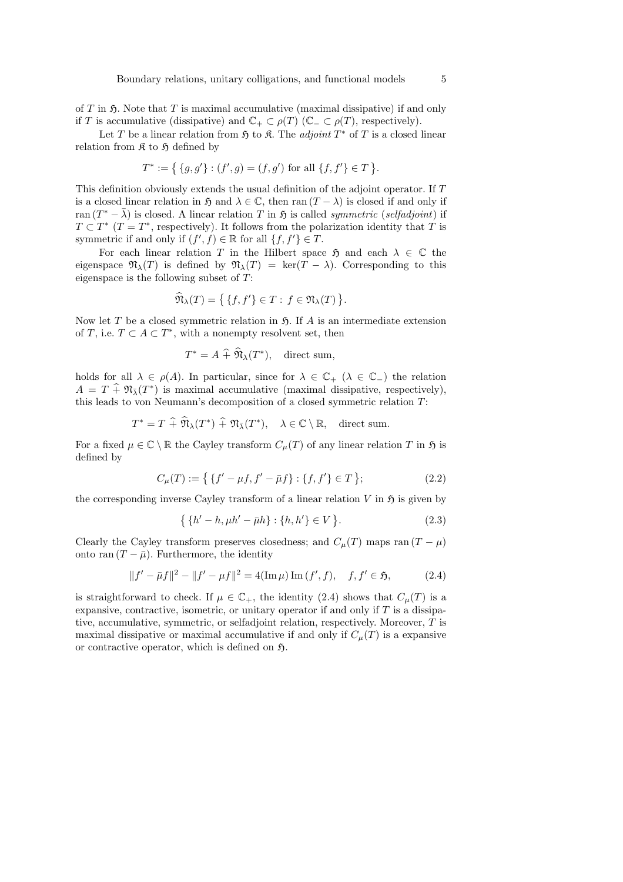of T in  $\mathfrak{H}$ . Note that T is maximal accumulative (maximal dissipative) if and only if T is accumulative (dissipative) and  $\mathbb{C}_+ \subset \rho(T)$  ( $\mathbb{C}_- \subset \rho(T)$ , respectively).

Let T be a linear relation from  $\mathfrak H$  to  $\mathfrak K$ . The *adjoint*  $T^*$  of T is a closed linear relation from  $\mathfrak K$  to  $\mathfrak H$  defined by

$$
T^* := \{ \{g, g'\} : (f', g) = (f, g') \text{ for all } \{f, f'\} \in T \}.
$$

This definition obviously extends the usual definition of the adjoint operator. If T is a closed linear relation in  $\mathfrak{H}$  and  $\lambda \in \mathbb{C}$ , then ran  $(T - \lambda)$  is closed if and only if ran  $(T^* - \bar{\lambda})$  is closed. A linear relation T in  $\mathfrak H$  is called *symmetric (selfadjoint)* if  $T \subset T^*$  ( $T = T^*$ , respectively). It follows from the polarization identity that  $T$  is symmetric if and only if  $(f', f) \in \mathbb{R}$  for all  $\{f, f'\} \in T$ .

For each linear relation T in the Hilbert space  $\mathfrak{H}$  and each  $\lambda \in \mathbb{C}$  the eigenspace  $\mathfrak{N}_{\lambda}(T)$  is defined by  $\mathfrak{N}_{\lambda}(T) = \ker(T - \lambda)$ . Corresponding to this eigenspace is the following subset of T:

$$
\widehat{\mathfrak{N}}_{\lambda}(T) = \{ \{f, f'\} \in T : f \in \mathfrak{N}_{\lambda}(T) \}.
$$

Now let  $T$  be a closed symmetric relation in  $\mathfrak{H}$ . If  $A$  is an intermediate extension of T, i.e.  $T \subset A \subset T^*$ , with a nonempty resolvent set, then

$$
T^* = A + \widehat{\mathfrak{N}}_{\lambda}(T^*), \quad \text{direct sum},
$$

holds for all  $\lambda \in \rho(A)$ . In particular, since for  $\lambda \in \mathbb{C}_+$  ( $\lambda \in \mathbb{C}_-$ ) the relation  $A = T + \mathfrak{N}_{\bar{\lambda}}(T^*)$  is maximal accumulative (maximal dissipative, respectively), this leads to von Neumann's decomposition of a closed symmetric relation T:

$$
T^* = T \widehat{+} \widehat{\mathfrak{N}}_{\lambda}(T^*) \widehat{+} \mathfrak{N}_{\overline{\lambda}}(T^*), \quad \lambda \in \mathbb{C} \setminus \mathbb{R}, \quad \text{direct sum.}
$$

For a fixed  $\mu \in \mathbb{C} \setminus \mathbb{R}$  the Cayley transform  $C_{\mu}(T)$  of any linear relation T in  $\mathfrak{H}$  is defined by

$$
C_{\mu}(T) := \{ \{ f' - \mu f, f' - \bar{\mu} f \} : \{ f, f' \} \in T \} ; \tag{2.2}
$$

the corresponding inverse Cayley transform of a linear relation V in  $\mathfrak{H}$  is given by

$$
\{ \{h'-h, \mu h'-\bar{\mu}h\} : \{h, h'\} \in V \}.
$$
\n(2.3)

Clearly the Cayley transform preserves closedness; and  $C_{\mu}(T)$  maps ran  $(T - \mu)$ onto ran  $(T - \bar{\mu})$ . Furthermore, the identity

$$
||f' - \bar{\mu}f||^2 - ||f' - \mu f||^2 = 4(\operatorname{Im}\mu)\operatorname{Im}(f', f), \quad f, f' \in \mathfrak{H},\tag{2.4}
$$

is straightforward to check. If  $\mu \in \mathbb{C}_+$ , the identity (2.4) shows that  $C_{\mu}(T)$  is a expansive, contractive, isometric, or unitary operator if and only if T is a dissipative, accumulative, symmetric, or selfadjoint relation, respectively. Moreover, T is maximal dissipative or maximal accumulative if and only if  $C_{\mu}(T)$  is a expansive or contractive operator, which is defined on  $\mathfrak{H}$ .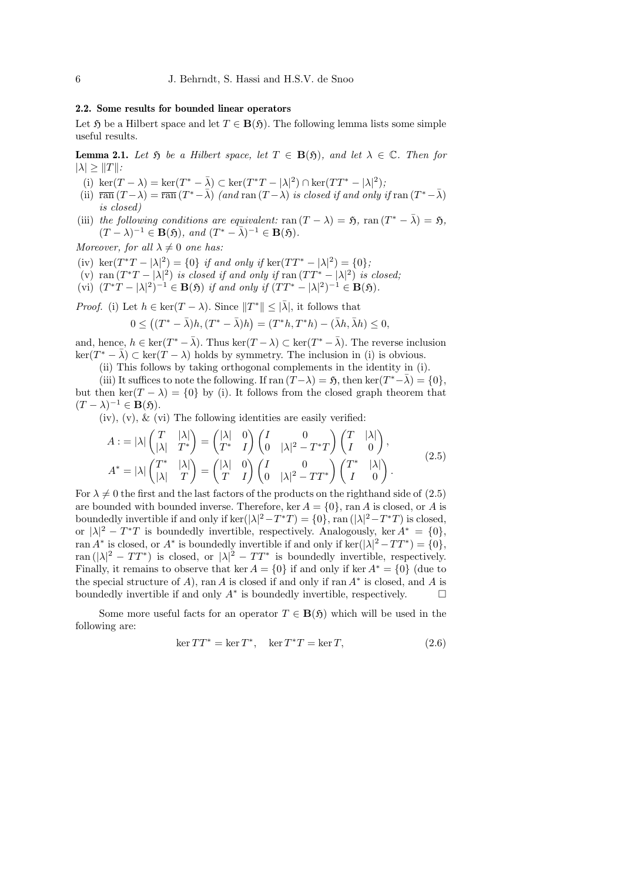# 2.2. Some results for bounded linear operators

Let  $\mathfrak{H}$  be a Hilbert space and let  $T \in \mathbf{B}(\mathfrak{H})$ . The following lemma lists some simple useful results.

**Lemma 2.1.** Let  $\mathfrak{H}$  be a Hilbert space, let  $T \in B(\mathfrak{H})$ , and let  $\lambda \in \mathbb{C}$ . Then for  $|\lambda| \geq ||T||$ :

- (i)  $\ker(T \lambda) = \ker(T^* \bar{\lambda}) \subset \ker(T^*T |\lambda|^2) \cap \ker(TT^* |\lambda|^2);$
- (ii)  $\overline{\operatorname{ran}}(T-\lambda) = \overline{\operatorname{ran}}(T^*-\overline{\lambda})$  (and  $\operatorname{ran}(T-\lambda)$  is closed if and only if  $\operatorname{ran}(T^*-\overline{\lambda})$ is closed)
- (iii) the following conditions are equivalent: ran  $(T \lambda) = \mathfrak{H}$ , ran  $(T^* \overline{\lambda}) = \mathfrak{H}$ ,  $(T - \lambda)^{-1} \in \mathbf{B}(\mathfrak{H})$ , and  $(T^* - \overline{\lambda})^{-1} \in \mathbf{B}(\mathfrak{H})$ .

Moreover, for all  $\lambda \neq 0$  one has:

- (iv)  $\ker(T^*T |\lambda|^2) = \{0\}$  if and only if  $\ker(TT^* |\lambda|^2) = \{0\};$
- (v)  $\text{ran}(T^*T |\lambda|^2)$  is closed if and only if  $\text{ran}(TT^* |\lambda|^2)$  is closed;
- (vi)  $(T^*T |\lambda|^2)^{-1} \in \mathbf{B}(\mathfrak{H})$  if and only if  $(TT^* |\lambda|^2)^{-1} \in \mathbf{B}(\mathfrak{H})$ .

*Proof.* (i) Let  $h \in \ker(T - \lambda)$ . Since  $||T^*|| \leq |\bar{\lambda}|$ , it follows that

$$
0 \le ((T^* - \bar{\lambda})h, (T^* - \bar{\lambda})h) = (T^*h, T^*h) - (\bar{\lambda}h, \bar{\lambda}h) \le 0,
$$

and, hence,  $h \in \ker(T^* - \bar{\lambda})$ . Thus  $\ker(T - \lambda) \subset \ker(T^* - \bar{\lambda})$ . The reverse inclusion  $\ker(T^* - \overline{\lambda}) \subset \ker(T - \lambda)$  holds by symmetry. The inclusion in (i) is obvious.

(ii) This follows by taking orthogonal complements in the identity in (i).

(iii) It suffices to note the following. If ran  $(T-\lambda) = \mathfrak{H}$ , then ker $(T^*-\bar{\lambda}) = \{0\}$ , but then ker( $T - \lambda$ ) = {0} by (i). It follows from the closed graph theorem that  $(T - \lambda)^{-1} \in \mathbf{B}(\mathfrak{H}).$ 

(iv),  $(v)$ ,  $\&$  (vi) The following identities are easily verified:

$$
A := |\lambda| \begin{pmatrix} T & |\lambda| \\ |\lambda| & T^* \end{pmatrix} = \begin{pmatrix} |\lambda| & 0 \\ T^* & I \end{pmatrix} \begin{pmatrix} I & 0 \\ 0 & |\lambda|^2 - T^*T \end{pmatrix} \begin{pmatrix} T & |\lambda| \\ I & 0 \end{pmatrix},
$$
  
\n
$$
A^* = |\lambda| \begin{pmatrix} T^* & |\lambda| \\ |\lambda| & T \end{pmatrix} = \begin{pmatrix} |\lambda| & 0 \\ T & I \end{pmatrix} \begin{pmatrix} I & 0 \\ 0 & |\lambda|^2 - TT^* \end{pmatrix} \begin{pmatrix} T^* & |\lambda| \\ I & 0 \end{pmatrix}.
$$
 (2.5)

For  $\lambda \neq 0$  the first and the last factors of the products on the righthand side of (2.5) are bounded with bounded inverse. Therefore, ker  $A = \{0\}$ , ran A is closed, or A is boundedly invertible if and only if  $\ker(|\lambda|^2 - T^*T) = \{0\}$ , ran  $(|\lambda|^2 - T^*T)$  is closed, or  $|\lambda|^2 - T^*T$  is boundedly invertible, respectively. Analogously, ker  $A^* = \{0\}$ , ran  $A^*$  is closed, or  $A^*$  is boundedly invertible if and only if ker( $|\lambda|^2 - TT^*$ ) = {0}, ran  $(|\lambda|^2 - TT^*)$  is closed, or  $|\lambda|^2 - TT^*$  is boundedly invertible, respectively. Finally, it remains to observe that ker  $A = \{0\}$  if and only if ker  $A^* = \{0\}$  (due to the special structure of A), ran A is closed if and only if ran  $A^*$  is closed, and A is boundedly invertible if and only  $A^*$  is boundedly invertible, respectively.  $\Box$ 

Some more useful facts for an operator  $T \in \mathbf{B}(\mathfrak{H})$  which will be used in the following are:

$$
\ker TT^* = \ker T^*, \quad \ker T^*T = \ker T,
$$
\n(2.6)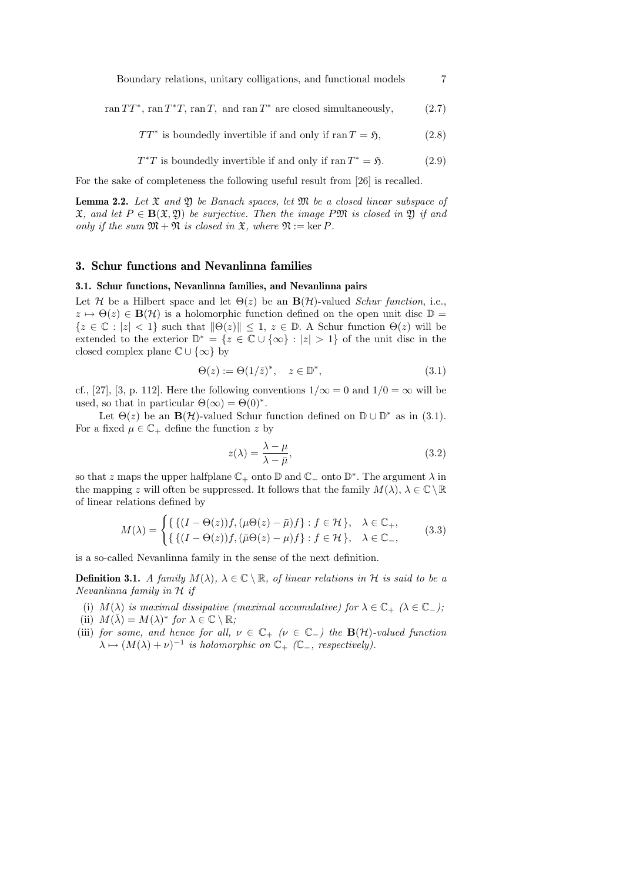$\arctan TT^*$ ,  $\arctan T^*T$ ,  $\arctan T$ , and  $\arctan T^*$  are closed simultaneously, (2.7)

- $TT^*$  is boundedly invertible if and only if  $ran T = 5$ , (2.8)
- $T^*T$  is boundedly invertible if and only if  $\text{ran } T^* = \mathfrak{H}.$  (2.9)

For the sake of completeness the following useful result from [26] is recalled.

**Lemma 2.2.** Let  $\mathfrak X$  and  $\mathfrak Y$  be Banach spaces, let  $\mathfrak M$  be a closed linear subspace of  $\mathfrak{X}$ , and let  $P \in \mathbf{B}(\mathfrak{X}, \mathfrak{Y})$  be surjective. Then the image PM is closed in  $\mathfrak{Y}$  if and only if the sum  $\mathfrak{M} + \mathfrak{N}$  is closed in  $\mathfrak{X}$ , where  $\mathfrak{N} := \ker P$ .

## 3. Schur functions and Nevanlinna families

## 3.1. Schur functions, Nevanlinna families, and Nevanlinna pairs

Let H be a Hilbert space and let  $\Theta(z)$  be an  $\mathbf{B}(\mathcal{H})$ -valued Schur function, i.e.,  $z \mapsto \Theta(z) \in \mathbf{B}(\mathcal{H})$  is a holomorphic function defined on the open unit disc  $\mathbb{D} =$  ${z \in \mathbb{C} : |z| < 1}$  such that  $\|\Theta(z)\| \leq 1, z \in \mathbb{D}$ . A Schur function  $\Theta(z)$  will be extended to the exterior  $\mathbb{D}^* = \{z \in \mathbb{C} \cup \{\infty\} : |z| > 1\}$  of the unit disc in the closed complex plane  $\mathbb{C} \cup \{\infty\}$  by

$$
\Theta(z) := \Theta(1/\bar{z})^*, \quad z \in \mathbb{D}^*, \tag{3.1}
$$

cf., [27], [3, p. 112]. Here the following conventions  $1/\infty = 0$  and  $1/0 = \infty$  will be used, so that in particular  $\Theta(\infty) = \Theta(0)^*$ .

Let  $\Theta(z)$  be an  $\mathbf{B}(\mathcal{H})$ -valued Schur function defined on  $\mathbb{D} \cup \mathbb{D}^*$  as in (3.1). For a fixed  $\mu \in \mathbb{C}_+$  define the function z by

$$
z(\lambda) = \frac{\lambda - \mu}{\lambda - \bar{\mu}},\tag{3.2}
$$

so that z maps the upper halfplane  $\mathbb{C}_+$  onto  $\mathbb{D}$  and  $\mathbb{C}_-$  onto  $\mathbb{D}^*$ . The argument  $\lambda$  in the mapping z will often be suppressed. It follows that the family  $M(\lambda)$ ,  $\lambda \in \mathbb{C} \setminus \mathbb{R}$ of linear relations defined by

$$
M(\lambda) = \begin{cases} \{ \{ (I - \Theta(z))f, (\mu \Theta(z) - \bar{\mu})f \} : f \in \mathcal{H} \}, & \lambda \in \mathbb{C}_{+}, \\ \{ \{ (I - \Theta(z))f, (\bar{\mu} \Theta(z) - \mu)f \} : f \in \mathcal{H} \}, & \lambda \in \mathbb{C}_{-}, \end{cases}
$$
(3.3)

is a so-called Nevanlinna family in the sense of the next definition.

**Definition 3.1.** A family  $M(\lambda)$ ,  $\lambda \in \mathbb{C} \setminus \mathbb{R}$ , of linear relations in H is said to be a Nevanlinna family in H if

- (i)  $M(\lambda)$  is maximal dissipative (maximal accumulative) for  $\lambda \in \mathbb{C}_+$  ( $\lambda \in \mathbb{C}_-$ );
- (ii)  $M(\overline{\lambda}) = M(\lambda)^*$  for  $\lambda \in \mathbb{C} \setminus \mathbb{R}$ ;
- (iii) for some, and hence for all,  $\nu \in \mathbb{C}_+$  ( $\nu \in \mathbb{C}_-$ ) the  $\mathbf{B}(\mathcal{H})$ -valued function  $\lambda \mapsto (M(\lambda) + \nu)^{-1}$  is holomorphic on  $\mathbb{C}_+$  ( $\mathbb{C}_-$ , respectively).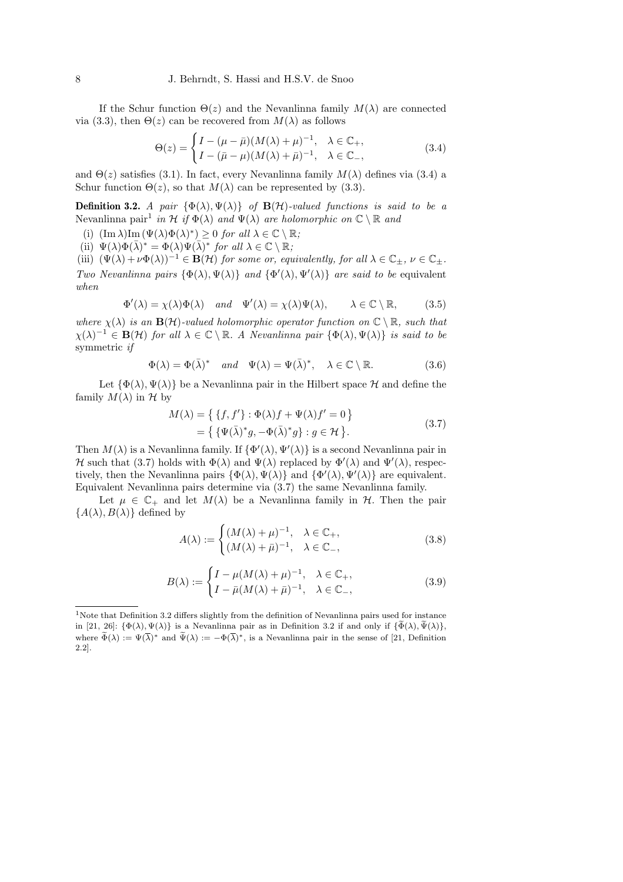If the Schur function  $\Theta(z)$  and the Nevanlinna family  $M(\lambda)$  are connected via (3.3), then  $\Theta(z)$  can be recovered from  $M(\lambda)$  as follows

$$
\Theta(z) = \begin{cases} I - (\mu - \bar{\mu})(M(\lambda) + \mu)^{-1}, & \lambda \in \mathbb{C}_+, \\ I - (\bar{\mu} - \mu)(M(\lambda) + \bar{\mu})^{-1}, & \lambda \in \mathbb{C}_-, \end{cases}
$$
(3.4)

and  $\Theta(z)$  satisfies (3.1). In fact, every Nevanlinna family  $M(\lambda)$  defines via (3.4) a Schur function  $\Theta(z)$ , so that  $M(\lambda)$  can be represented by (3.3).

**Definition 3.2.** A pair  $\{\Phi(\lambda), \Psi(\lambda)\}$  of  $\mathbf{B}(\mathcal{H})$ -valued functions is said to be a Nevanlinna pair<sup>1</sup> in H if  $\Phi(\lambda)$  and  $\Psi(\lambda)$  are holomorphic on  $\mathbb{C} \setminus \mathbb{R}$  and

- (i)  $(\text{Im }\lambda) \text{Im } (\Psi(\lambda) \Phi(\lambda))^*) \geq 0$  for all  $\lambda \in \mathbb{C} \setminus \mathbb{R}$ ;
- (ii)  $\Psi(\lambda)\Phi(\bar{\lambda})^* = \Phi(\lambda)\Psi(\bar{\lambda})^*$  for all  $\lambda \in \mathbb{C} \setminus \mathbb{R}$ ;

(iii)  $(\Psi(\lambda)+\nu\Phi(\lambda))^{-1} \in \mathbf{B}(\mathcal{H})$  for some or, equivalently, for all  $\lambda \in \mathbb{C}_{\pm}$ ,  $\nu \in \mathbb{C}_{\pm}$ . Two Nevanlinna pairs  $\{\Phi(\lambda), \Psi(\lambda)\}\$  and  $\{\Phi'(\lambda), \Psi'(\lambda)\}\$  are said to be equivalent when

$$
\Phi'(\lambda) = \chi(\lambda)\Phi(\lambda) \quad \text{and} \quad \Psi'(\lambda) = \chi(\lambda)\Psi(\lambda), \qquad \lambda \in \mathbb{C} \setminus \mathbb{R}, \tag{3.5}
$$

where  $\chi(\lambda)$  is an  $\mathbf{B}(\mathcal{H})$ -valued holomorphic operator function on  $\mathbb{C} \setminus \mathbb{R}$ , such that  $\chi(\lambda)^{-1} \in \mathbf{B}(\mathcal{H})$  for all  $\lambda \in \mathbb{C} \setminus \mathbb{R}$ . A Nevanlinna pair  $\{\Phi(\lambda), \Psi(\lambda)\}\$ is said to be symmetric if

$$
\Phi(\lambda) = \Phi(\bar{\lambda})^* \quad and \quad \Psi(\lambda) = \Psi(\bar{\lambda})^*, \quad \lambda \in \mathbb{C} \setminus \mathbb{R}.
$$
 (3.6)

Let  $\{\Phi(\lambda), \Psi(\lambda)\}\$ be a Nevanlinna pair in the Hilbert space  $\mathcal H$  and define the family  $M(\lambda)$  in H by

$$
M(\lambda) = \left\{ \{f, f'\} : \Phi(\lambda)f + \Psi(\lambda)f' = 0 \right\}
$$
  
= 
$$
\left\{ \{\Psi(\overline{\lambda})^*g, -\Phi(\overline{\lambda})^*g\} : g \in \mathcal{H} \right\}.
$$
 (3.7)

Then  $M(\lambda)$  is a Nevanlinna family. If  $\{\Phi'(\lambda), \Psi'(\lambda)\}\$ is a second Nevanlinna pair in H such that (3.7) holds with  $\Phi(\lambda)$  and  $\Psi(\lambda)$  replaced by  $\Phi'(\lambda)$  and  $\Psi'(\lambda)$ , respectively, then the Nevanlinna pairs  $\{\Phi(\lambda), \Psi(\lambda)\}\$  and  $\{\Phi'(\lambda), \Psi'(\lambda)\}\$  are equivalent. Equivalent Nevanlinna pairs determine via (3.7) the same Nevanlinna family.

Let  $\mu \in \mathbb{C}_+$  and let  $M(\lambda)$  be a Nevanlinna family in  $\mathcal{H}$ . Then the pair  ${A(\lambda), B(\lambda)}$  defined by

$$
A(\lambda) := \begin{cases} (M(\lambda) + \mu)^{-1}, & \lambda \in \mathbb{C}_+, \\ (M(\lambda) + \bar{\mu})^{-1}, & \lambda \in \mathbb{C}_-, \end{cases}
$$
(3.8)

$$
B(\lambda) := \begin{cases} I - \mu(M(\lambda) + \mu)^{-1}, & \lambda \in \mathbb{C}_+, \\ I - \bar{\mu}(M(\lambda) + \bar{\mu})^{-1}, & \lambda \in \mathbb{C}_-, \end{cases}
$$
(3.9)

<sup>1</sup>Note that Definition 3.2 differs slightly from the definition of Nevanlinna pairs used for instance in [21, 26]:  $\{\Phi(\lambda), \Psi(\lambda)\}\$ is a Nevanlinna pair as in Definition 3.2 if and only if  $\{\tilde{\Phi}(\lambda), \tilde{\Psi}(\lambda)\}\$ . where  $\widetilde{\Phi}(\lambda) := \Psi(\overline{\lambda})^*$  and  $\widetilde{\Psi}(\lambda) := -\Phi(\overline{\lambda})^*$ , is a Nevanlinna pair in the sense of [21, Definition 2.2].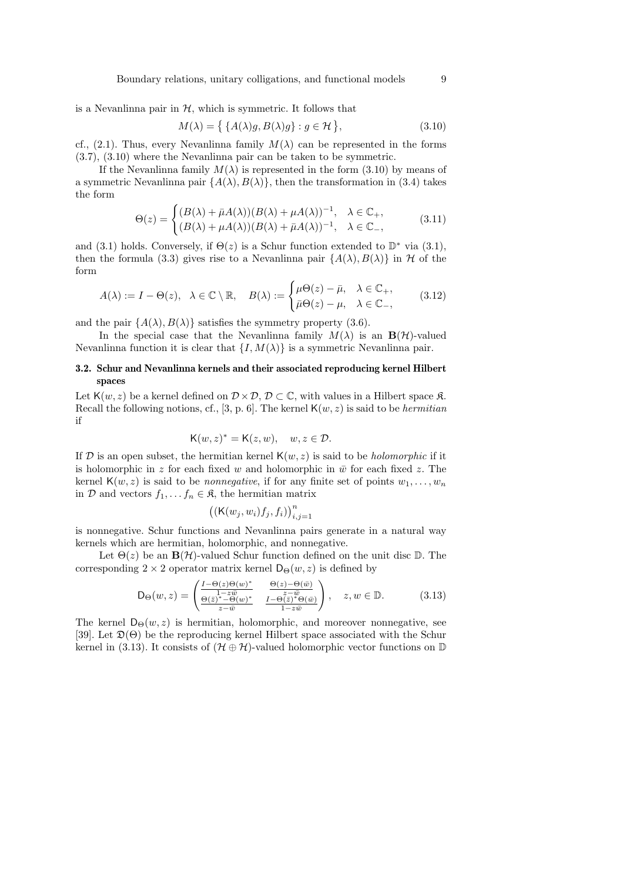Boundary relations, unitary colligations, and functional models 9

is a Nevanlinna pair in  $H$ , which is symmetric. It follows that

$$
M(\lambda) = \{ \{ A(\lambda)g, B(\lambda)g \} : g \in \mathcal{H} \},
$$
\n(3.10)

cf., (2.1). Thus, every Nevanlinna family  $M(\lambda)$  can be represented in the forms (3.7), (3.10) where the Nevanlinna pair can be taken to be symmetric.

If the Nevanlinna family  $M(\lambda)$  is represented in the form (3.10) by means of a symmetric Nevanlinna pair  $\{A(\lambda), B(\lambda)\}\)$ , then the transformation in (3.4) takes the form

$$
\Theta(z) = \begin{cases} (B(\lambda) + \bar{\mu}A(\lambda))(B(\lambda) + \mu A(\lambda))^{-1}, & \lambda \in \mathbb{C}_+, \\ (B(\lambda) + \mu A(\lambda))(B(\lambda) + \bar{\mu}A(\lambda))^{-1}, & \lambda \in \mathbb{C}_-, \end{cases}
$$
(3.11)

and (3.1) holds. Conversely, if  $\Theta(z)$  is a Schur function extended to  $\mathbb{D}^*$  via (3.1), then the formula (3.3) gives rise to a Nevanlinna pair  $\{A(\lambda), B(\lambda)\}\$ in H of the form

$$
A(\lambda) := I - \Theta(z), \quad \lambda \in \mathbb{C} \setminus \mathbb{R}, \quad B(\lambda) := \begin{cases} \mu \Theta(z) - \bar{\mu}, & \lambda \in \mathbb{C}_+, \\ \bar{\mu} \Theta(z) - \mu, & \lambda \in \mathbb{C}_-, \end{cases} \tag{3.12}
$$

and the pair  $\{A(\lambda), B(\lambda)\}\$  satisfies the symmetry property (3.6).

In the special case that the Nevanlinna family  $M(\lambda)$  is an  $\mathbf{B}(\mathcal{H})$ -valued Nevanlinna function it is clear that  $\{I, M(\lambda)\}\$ is a symmetric Nevanlinna pair.

## 3.2. Schur and Nevanlinna kernels and their associated reproducing kernel Hilbert spaces

Let  $\mathsf{K}(w, z)$  be a kernel defined on  $\mathcal{D} \times \mathcal{D}$ ,  $\mathcal{D} \subset \mathbb{C}$ , with values in a Hilbert space  $\mathfrak{K}$ . Recall the following notions, cf., [3, p. 6]. The kernel  $K(w, z)$  is said to be *hermitian* if

$$
K(w, z)^* = K(z, w), \quad w, z \in \mathcal{D}.
$$

If  $D$  is an open subset, the hermitian kernel  $K(w, z)$  is said to be *holomorphic* if it is holomorphic in z for each fixed w and holomorphic in  $\bar{w}$  for each fixed z. The kernel  $K(w, z)$  is said to be *nonnegative*, if for any finite set of points  $w_1, \ldots, w_n$ in D and vectors  $f_1, \ldots, f_n \in \mathfrak{K}$ , the hermitian matrix

$$
\big((\mathsf{K}(w_j,w_i)f_j,f_i)\big)_{i,j=1}^n
$$

is nonnegative. Schur functions and Nevanlinna pairs generate in a natural way kernels which are hermitian, holomorphic, and nonnegative.

Let  $\Theta(z)$  be an  $\mathbf{B}(\mathcal{H})$ -valued Schur function defined on the unit disc D. The corresponding  $2 \times 2$  operator matrix kernel  $D_{\Theta}(w, z)$  is defined by

$$
\mathsf{D}_{\Theta}(w,z) = \begin{pmatrix} \frac{I - \Theta(z)\Theta(w)^*}{1 - z\bar{w}} & \frac{\Theta(z) - \Theta(\bar{w})}{z - \bar{w}}\\ \frac{\Theta(\bar{z})^* - \Theta(w)^*}{z - \bar{w}} & \frac{I - \Theta(\bar{z})^*\Theta(\bar{w})}{1 - z\bar{w}} \end{pmatrix}, \quad z, w \in \mathbb{D}.\tag{3.13}
$$

The kernel  $D_{\Theta}(w, z)$  is hermitian, holomorphic, and moreover nonnegative, see [39]. Let  $\mathfrak{D}(\Theta)$  be the reproducing kernel Hilbert space associated with the Schur kernel in (3.13). It consists of  $(\mathcal{H} \oplus \mathcal{H})$ -valued holomorphic vector functions on  $\mathbb D$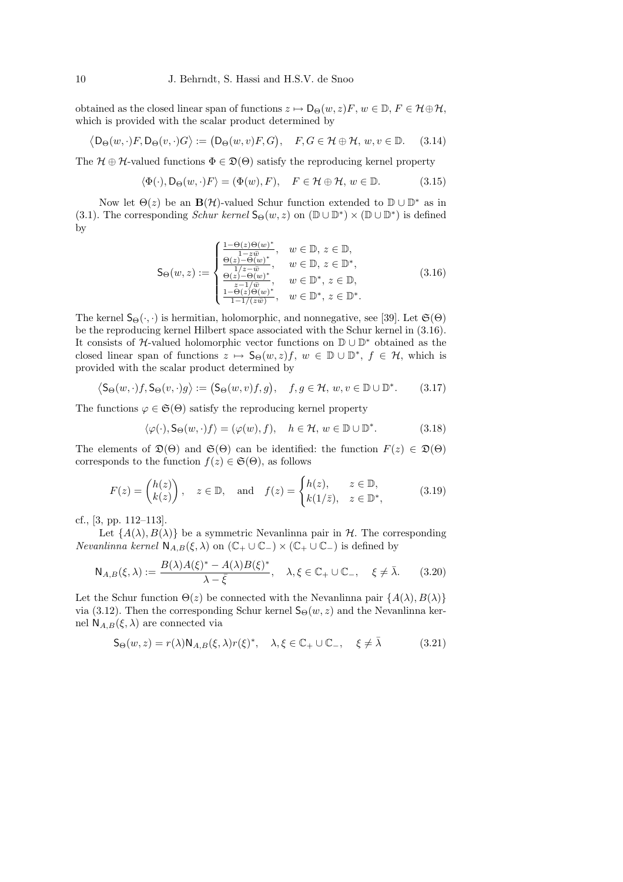obtained as the closed linear span of functions  $z \mapsto D_{\Theta}(w, z)F$ ,  $w \in \mathbb{D}$ ,  $F \in \mathcal{H} \oplus \mathcal{H}$ , which is provided with the scalar product determined by

$$
\left\langle \mathsf{D}_{\Theta}(w, \cdot) F, \mathsf{D}_{\Theta}(v, \cdot) G \right\rangle := \left( \mathsf{D}_{\Theta}(w, v) F, G \right), \quad F, G \in \mathcal{H} \oplus \mathcal{H}, \, w, v \in \mathbb{D}. \tag{3.14}
$$

The  $\mathcal{H} \oplus \mathcal{H}$ -valued functions  $\Phi \in \mathfrak{D}(\Theta)$  satisfy the reproducing kernel property

$$
\langle \Phi(\cdot), \mathsf{D}_{\Theta}(w, \cdot) F \rangle = (\Phi(w), F), \quad F \in \mathcal{H} \oplus \mathcal{H}, w \in \mathbb{D}.
$$
 (3.15)

Now let  $\Theta(z)$  be an  $\mathbf{B}(\mathcal{H})$ -valued Schur function extended to  $\mathbb{D} \cup \mathbb{D}^*$  as in (3.1). The corresponding  $Schur$  kernel  $\mathsf{S}_{\Theta}(w, z)$  on  $(\mathbb{D} \cup \mathbb{D}^*) \times (\mathbb{D} \cup \mathbb{D}^*)$  is defined by

$$
\mathsf{S}_{\Theta}(w,z) := \begin{cases} \frac{1-\Theta(z)\Theta(w)^{*}}{1-z\bar{w}}, & w \in \mathbb{D}, z \in \mathbb{D}, \\ \frac{\Theta(z)-\Theta(w)^{*}}{1/z-\bar{w}}, & w \in \mathbb{D}, z \in \mathbb{D}^{*}, \\ \frac{\Theta(z)-\Theta(w)^{*}}{z-1/\bar{w}}, & w \in \mathbb{D}^{*}, z \in \mathbb{D}, \\ \frac{1-\Theta(z)\Theta(w)^{*}}{1-1/(z\bar{w})}, & w \in \mathbb{D}^{*}, z \in \mathbb{D}^{*}. \end{cases}
$$
(3.16)

The kernel  $\mathsf{S}_{\Theta}(\cdot,\cdot)$  is hermitian, holomorphic, and nonnegative, see [39]. Let  $\mathfrak{S}(\Theta)$ be the reproducing kernel Hilbert space associated with the Schur kernel in (3.16). It consists of  $H$ -valued holomorphic vector functions on  $\mathbb{D} \cup \mathbb{D}^*$  obtained as the closed linear span of functions  $z \mapsto S_{\Theta}(w, z)f$ ,  $w \in \mathbb{D} \cup \mathbb{D}^*$ ,  $f \in \mathcal{H}$ , which is provided with the scalar product determined by

$$
\left\langle \mathsf{S}_{\Theta}(w,\cdot)f,\mathsf{S}_{\Theta}(v,\cdot)g\right\rangle :=\left(\mathsf{S}_{\Theta}(w,v)f,g\right),\quad f,g\in\mathcal{H},\,w,v\in\mathbb{D}\cup\mathbb{D}^*.\tag{3.17}
$$

The functions  $\varphi \in \mathfrak{S}(\Theta)$  satisfy the reproducing kernel property

$$
\langle \varphi(\cdot), \mathsf{S}_{\Theta}(w, \cdot)f \rangle = (\varphi(w), f), \quad h \in \mathcal{H}, w \in \mathbb{D} \cup \mathbb{D}^*.
$$
 (3.18)

The elements of  $\mathfrak{D}(\Theta)$  and  $\mathfrak{S}(\Theta)$  can be identified: the function  $F(z) \in \mathfrak{D}(\Theta)$ corresponds to the function  $f(z) \in \mathfrak{S}(\Theta)$ , as follows

$$
F(z) = \begin{pmatrix} h(z) \\ k(z) \end{pmatrix}, \quad z \in \mathbb{D}, \quad \text{and} \quad f(z) = \begin{cases} h(z), & z \in \mathbb{D}, \\ k(1/\bar{z}), & z \in \mathbb{D}^*, \end{cases}
$$
(3.19)

cf., [3, pp. 112–113].

Let  $\{A(\lambda), B(\lambda)\}\$ be a symmetric Nevanlinna pair in  $\mathcal{H}$ . The corresponding Nevanlinna kernel  $N_{A,B}(\xi, \lambda)$  on  $(\mathbb{C}_{+} \cup \mathbb{C}_{-}) \times (\mathbb{C}_{+} \cup \mathbb{C}_{-})$  is defined by

$$
\mathsf{N}_{A,B}(\xi,\lambda) := \frac{B(\lambda)A(\xi)^* - A(\lambda)B(\xi)^*}{\lambda - \bar{\xi}}, \quad \lambda, \xi \in \mathbb{C}_+ \cup \mathbb{C}_-, \quad \xi \neq \bar{\lambda}.\tag{3.20}
$$

Let the Schur function  $\Theta(z)$  be connected with the Nevanlinna pair  $\{A(\lambda), B(\lambda)\}$ via (3.12). Then the corresponding Schur kernel  $S_{\Theta}(w, z)$  and the Nevanlinna kernel  $N_{A,B}(\xi,\lambda)$  are connected via

$$
\mathsf{S}_{\Theta}(w, z) = r(\lambda) \mathsf{N}_{A, B}(\xi, \lambda) r(\xi)^*, \quad \lambda, \xi \in \mathbb{C}_+ \cup \mathbb{C}_-, \quad \xi \neq \bar{\lambda}
$$
(3.21)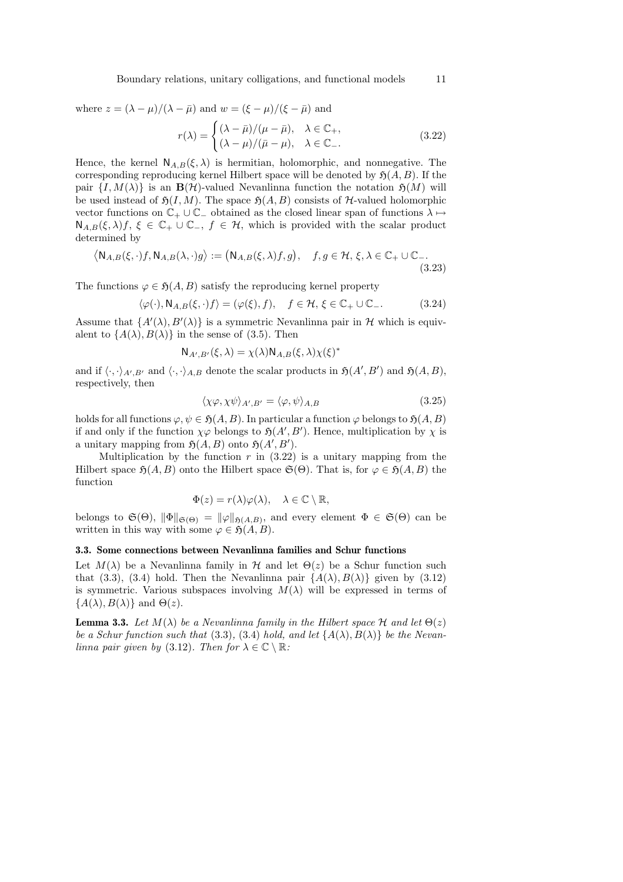Boundary relations, unitary colligations, and functional models 11

where  $z = (\lambda - \mu)/(\lambda - \bar{\mu})$  and  $w = (\xi - \mu)/(\xi - \bar{\mu})$  and

$$
r(\lambda) = \begin{cases} (\lambda - \bar{\mu})/(\mu - \bar{\mu}), & \lambda \in \mathbb{C}_{+}, \\ (\lambda - \mu)/(\bar{\mu} - \mu), & \lambda \in \mathbb{C}_{-}. \end{cases}
$$
(3.22)

Hence, the kernel  $N_{A,B}(\xi,\lambda)$  is hermitian, holomorphic, and nonnegative. The corresponding reproducing kernel Hilbert space will be denoted by  $\mathfrak{H}(A, B)$ . If the pair  $\{I, M(\lambda)\}\$ is an  $\mathbf{B}(\mathcal{H})$ -valued Nevanlinna function the notation  $\mathfrak{H}(M)$  will be used instead of  $\mathfrak{H}(I, M)$ . The space  $\mathfrak{H}(A, B)$  consists of H-valued holomorphic vector functions on  $\mathbb{C}_+ \cup \mathbb{C}_-$  obtained as the closed linear span of functions  $\lambda \mapsto$  $N_{A,B}(\xi,\lambda)f, \xi \in \mathbb{C}_+ \cup \mathbb{C}_-, f \in \mathcal{H}$ , which is provided with the scalar product determined by

$$
\langle \mathsf{N}_{A,B}(\xi,\cdot)f,\mathsf{N}_{A,B}(\lambda,\cdot)g\rangle := \big(\mathsf{N}_{A,B}(\xi,\lambda)f,g\big), \quad f,g \in \mathcal{H},\,\xi,\lambda \in \mathbb{C}_+ \cup \mathbb{C}_-. \tag{3.23}
$$

The functions  $\varphi \in \mathfrak{H}(A, B)$  satisfy the reproducing kernel property

$$
\langle \varphi(\cdot), \mathsf{N}_{A,B}(\xi, \cdot)f \rangle = (\varphi(\xi), f), \quad f \in \mathcal{H}, \, \xi \in \mathbb{C}_{+} \cup \mathbb{C}_{-}.\tag{3.24}
$$

Assume that  $\{A'(\lambda), B'(\lambda)\}\$ is a symmetric Nevanlinna pair in H which is equivalent to  $\{A(\lambda), B(\lambda)\}\$ in the sense of (3.5). Then

$$
N_{A',B'}(\xi,\lambda) = \chi(\lambda) N_{A,B}(\xi,\lambda) \chi(\xi)^*
$$

and if  $\langle \cdot, \cdot \rangle_{A',B'}$  and  $\langle \cdot, \cdot \rangle_{A,B}$  denote the scalar products in  $\mathfrak{H}(A',B')$  and  $\mathfrak{H}(A,B)$ , respectively, then

$$
\langle \chi \varphi, \chi \psi \rangle_{A', B'} = \langle \varphi, \psi \rangle_{A, B} \tag{3.25}
$$

holds for all functions  $\varphi, \psi \in \mathfrak{H}(A, B)$ . In particular a function  $\varphi$  belongs to  $\mathfrak{H}(A, B)$ if and only if the function  $\chi\varphi$  belongs to  $\mathfrak{H}(A',B')$ . Hence, multiplication by  $\chi$  is a unitary mapping from  $\mathfrak{H}(A, B)$  onto  $\mathfrak{H}(A', B')$ .

Multiplication by the function  $r$  in  $(3.22)$  is a unitary mapping from the Hilbert space  $\mathfrak{H}(A, B)$  onto the Hilbert space  $\mathfrak{S}(\Theta)$ . That is, for  $\varphi \in \mathfrak{H}(A, B)$  the function

$$
\Phi(z) = r(\lambda)\varphi(\lambda), \quad \lambda \in \mathbb{C} \setminus \mathbb{R},
$$

belongs to  $\mathfrak{S}(\Theta)$ ,  $\|\Phi\|_{\mathfrak{S}(\Theta)} = \|\varphi\|_{\mathfrak{H}(A,B)}$ , and every element  $\Phi \in \mathfrak{S}(\Theta)$  can be written in this way with some  $\varphi \in \mathfrak{H}(A, B)$ .

#### 3.3. Some connections between Nevanlinna families and Schur functions

Let  $M(\lambda)$  be a Nevanlinna family in H and let  $\Theta(z)$  be a Schur function such that (3.3), (3.4) hold. Then the Nevanlinna pair  $\{A(\lambda), B(\lambda)\}\$ given by (3.12) is symmetric. Various subspaces involving  $M(\lambda)$  will be expressed in terms of  ${A(\lambda), B(\lambda)}$  and  $\Theta(z)$ .

**Lemma 3.3.** Let  $M(\lambda)$  be a Nevanlinna family in the Hilbert space H and let  $\Theta(z)$ be a Schur function such that (3.3), (3.4) hold, and let  $\{A(\lambda), B(\lambda)\}\$ be the Nevanlinna pair given by (3.12). Then for  $\lambda \in \mathbb{C} \setminus \mathbb{R}$ :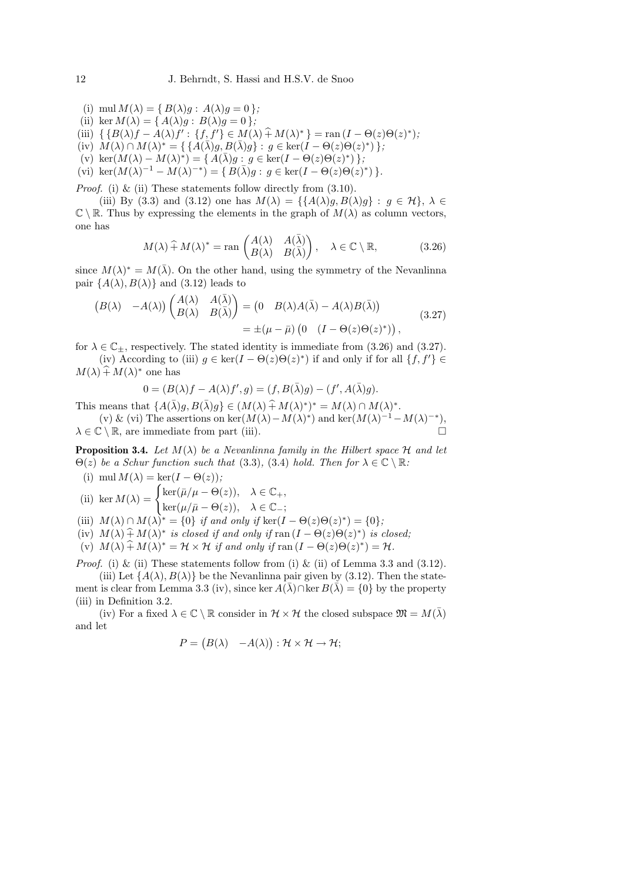- (i) mul  $M(\lambda) = \{ B(\lambda)g : A(\lambda)g = 0 \};$
- (ii) ker  $M(\lambda) = \{ A(\lambda)g : B(\lambda)g = 0 \};$
- (iii)  $\{B(\lambda)f A(\lambda)f': \{f, f'\}\in M(\lambda) \hat{+} M(\lambda)^*\} = \text{ran} (I \Theta(z)\Theta(z)^*);$
- $(iv) \ M(\lambda) \cap M(\lambda)^* = \{ \{ \overline{A(\lambda)}g}, \overline{B(\lambda)}g \} : g \in \ker(\overline{I} \Theta(z)\Theta(z)^*) \} ;$
- (v) ker $(M(\lambda) M(\lambda)^*) = \{ A(\overline{\lambda})g : g \in \ker(I \Theta(z)\Theta(z)^*) \};$
- (vi)  $\ker(M(\lambda)^{-1} M(\lambda)^{-*}) = \{ B(\overline{\lambda})g : g \in \ker(I \Theta(z)\Theta(z)^*) \}.$

*Proof.* (i) & (ii) These statements follow directly from  $(3.10)$ .

(iii) By (3.3) and (3.12) one has  $M(\lambda) = \{ \{ A(\lambda)g, B(\lambda)g \} : g \in \mathcal{H} \}, \lambda \in$  $\mathbb{C} \setminus \mathbb{R}$ . Thus by expressing the elements in the graph of  $M(\lambda)$  as column vectors, one has

$$
M(\lambda) \widehat{+} M(\lambda)^* = \text{ran}\begin{pmatrix} A(\lambda) & A(\bar{\lambda}) \\ B(\lambda) & B(\bar{\lambda}) \end{pmatrix}, \quad \lambda \in \mathbb{C} \setminus \mathbb{R}, \tag{3.26}
$$

since  $M(\lambda)^* = M(\overline{\lambda})$ . On the other hand, using the symmetry of the Nevanlinna pair  $\{A(\lambda), B(\lambda)\}\$ and (3.12) leads to

$$
(B(\lambda) - A(\lambda)) \begin{pmatrix} A(\lambda) & A(\bar{\lambda}) \\ B(\lambda) & B(\bar{\lambda}) \end{pmatrix} = (0 \quad B(\lambda)A(\bar{\lambda}) - A(\lambda)B(\bar{\lambda}))
$$
  
=  $\pm (\mu - \bar{\mu}) (0 \quad (I - \Theta(z)\Theta(z)^*))$ , (3.27)

for  $\lambda \in \mathbb{C}_+$ , respectively. The stated identity is immediate from (3.26) and (3.27).

(iv) According to (iii)  $g \in \ker(I - \Theta(z)\Theta(z)^*)$  if and only if for all  $\{f, f'\} \in$  $M(\lambda) \hat{+} M(\lambda)^*$  one has

$$
0 = (B(\lambda)f - A(\lambda)f', g) = (f, B(\bar{\lambda})g) - (f', A(\bar{\lambda})g).
$$

This means that  $\{A(\bar{\lambda})g, B(\bar{\lambda})g\} \in (M(\lambda) + M(\lambda))^* = M(\lambda) \cap M(\lambda)^*.$ (v) & (vi) The assertions on ker $(M(\lambda) - M(\lambda)^*)$  and ker $(M(\lambda)^{-1} - M(\lambda)^{-*})$ ,

 $\lambda \in \mathbb{C} \setminus \mathbb{R}$ , are immediate from part (iii).

**Proposition 3.4.** Let  $M(\lambda)$  be a Nevanlinna family in the Hilbert space H and let  $\Theta(z)$  be a Schur function such that (3.3), (3.4) hold. Then for  $\lambda \in \mathbb{C} \setminus \mathbb{R}$ :

- (i) mul  $M(\lambda) = \ker(I \Theta(z));$
- (ii) ker  $M(\lambda) = \begin{cases} \ker(\bar{\mu}/\mu \Theta(z)), & \lambda \in \mathbb{C}_+ , \\ \ker(\bar{\mu}/\mu \Theta(z)), & \lambda \in \mathbb{C}_+ , \end{cases}$  $\ker(\mu/\bar{\mu}-\Theta(z)), \quad \lambda \in \mathbb{C}_-;$

(iii)  $M(\lambda) \cap M(\lambda)^* = \{0\}$  if and only if  $\ker(I - \Theta(z)\Theta(z)^*) = \{0\};$ 

(iv)  $M(\lambda) \hat{+} M(\lambda)^*$  is closed if and only if ran  $(I - \Theta(z)\Theta(z)^*)$  is closed;

(v)  $M(\lambda) \hat{+} M(\lambda)^* = \mathcal{H} \times \mathcal{H}$  if and only if  $\text{ran } (I - \Theta(z)\Theta(z)^*) = \mathcal{H}$ .

*Proof.* (i) & (ii) These statements follow from (i) & (ii) of Lemma 3.3 and (3.12).

(iii) Let  $\{A(\lambda), B(\lambda)\}\$  be the Nevanlinna pair given by (3.12). Then the statement is clear from Lemma 3.3 (iv), since ker  $A(\overline{\lambda}) \cap \ker B(\overline{\lambda}) = \{0\}$  by the property (iii) in Definition 3.2.

(iv) For a fixed  $\lambda \in \mathbb{C} \setminus \mathbb{R}$  consider in  $\mathcal{H} \times \mathcal{H}$  the closed subspace  $\mathfrak{M} = M(\bar{\lambda})$ and let

$$
P = (B(\lambda) - A(\lambda)) : \mathcal{H} \times \mathcal{H} \to \mathcal{H};
$$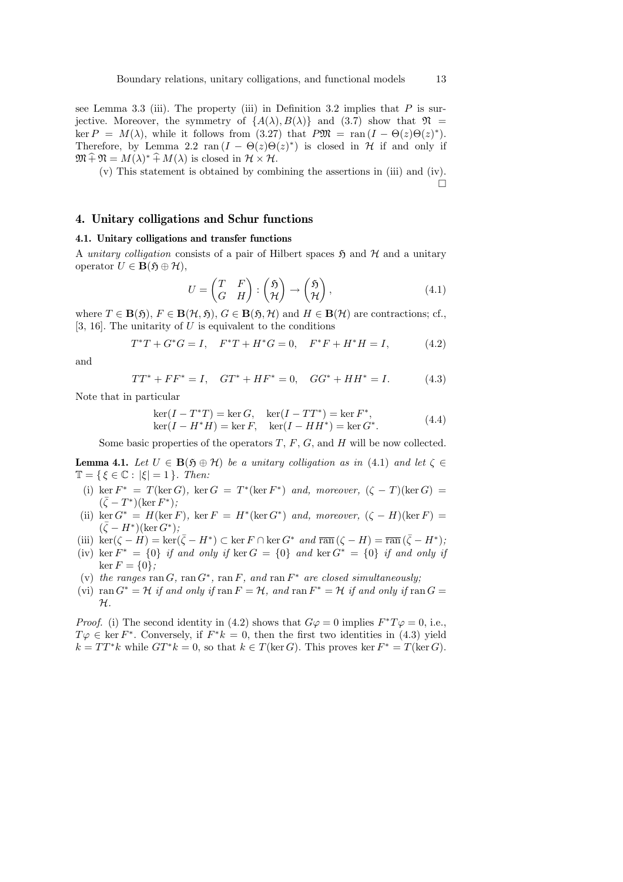see Lemma 3.3 (iii). The property (iii) in Definition 3.2 implies that  $P$  is surjective. Moreover, the symmetry of  $\{A(\lambda), B(\lambda)\}\$  and (3.7) show that  $\mathfrak{N} =$ ker  $P = M(\lambda)$ , while it follows from (3.27) that  $P\mathfrak{M} = \text{ran} (I - \Theta(z)\Theta(z)^*)$ . Therefore, by Lemma 2.2 ran  $(I - \Theta(z)\Theta(z)^*)$  is closed in  $\mathcal{H}$  if and only if  $\mathfrak{M} \widehat{+} \mathfrak{N} = M(\lambda)^* \widehat{+} M(\lambda)$  is closed in  $\mathcal{H} \times \mathcal{H}$ .

(v) This statement is obtained by combining the assertions in (iii) and (iv).  $\Box$ 

### 4. Unitary colligations and Schur functions

#### 4.1. Unitary colligations and transfer functions

A unitary colligation consists of a pair of Hilbert spaces  $\mathfrak{H}$  and  $\mathcal{H}$  and a unitary operator  $U \in \mathbf{B}(\mathfrak{H} \oplus \mathcal{H}),$ 

$$
U = \begin{pmatrix} T & F \\ G & H \end{pmatrix} : \begin{pmatrix} \mathfrak{H} \\ \mathcal{H} \end{pmatrix} \to \begin{pmatrix} \mathfrak{H} \\ \mathcal{H} \end{pmatrix},
$$
(4.1)

where  $T \in \mathbf{B}(\mathfrak{H})$ ,  $F \in \mathbf{B}(\mathcal{H}, \mathfrak{H})$ ,  $G \in \mathbf{B}(\mathfrak{H}, \mathcal{H})$  and  $H \in \mathbf{B}(\mathcal{H})$  are contractions; cf., [3, 16]. The unitarity of  $U$  is equivalent to the conditions

$$
T^*T + G^*G = I, \quad F^*T + H^*G = 0, \quad F^*F + H^*H = I,\tag{4.2}
$$

and

$$
TT^* + FF^* = I, \quad GT^* + HF^* = 0, \quad GG^* + HH^* = I. \tag{4.3}
$$

Note that in particular

$$
\ker(I - T^*T) = \ker G, \quad \ker(I - TT^*) = \ker F^*,\n\ker(I - H^*H) = \ker F, \quad \ker(I - HH^*) = \ker G^*.
$$
\n(4.4)

Some basic properties of the operators  $T, F, G$ , and  $H$  will be now collected.

**Lemma 4.1.** Let  $U \in B(\mathfrak{H} \oplus \mathcal{H})$  be a unitary colligation as in (4.1) and let  $\zeta \in$  $\mathbb{T} = \{ \xi \in \mathbb{C} : |\xi| = 1 \}.$  Then:

- (i) ker  $F^* = T(\ker G)$ , ker  $G = T^*(\ker F^*)$  and, moreover,  $(\zeta T)(\ker G) =$  $(\bar{\zeta}-T^*)(\ker F^*);$
- (ii) ker  $G^* = H(\ker F)$ , ker  $F = H^*(\ker G^*)$  and, moreover,  $(\zeta H)(\ker F) =$  $(\bar{\zeta} - H^*)(\ker G^*);$
- (iii)  $\ker(\zeta H) = \ker(\bar{\zeta} H^*) \subset \ker F \cap \ker G^*$  and  $\overline{\operatorname{ran}} (\zeta H) = \overline{\operatorname{ran}} (\bar{\zeta} H^*)$ ;
- (iv) ker  $F^* = \{0\}$  if and only if ker  $G = \{0\}$  and ker  $G^* = \{0\}$  if and only if  $\ker F = \{0\};$
- (v) the ranges ran  $G$ , ran  $G^*$ , ran  $F$ , and ran  $F^*$  are closed simultaneously;
- (vi)  $\text{ran } G^* = \mathcal{H}$  if and only if  $\text{ran } F = \mathcal{H}$ , and  $\text{ran } F^* = \mathcal{H}$  if and only if  $\text{ran } G =$  $\mathcal{H}.$

*Proof.* (i) The second identity in (4.2) shows that  $G\varphi = 0$  implies  $F^*T\varphi = 0$ , i.e.,  $T\varphi \in \ker F^*$ . Conversely, if  $F^*k = 0$ , then the first two identities in (4.3) yield  $k = TT^*k$  while  $GT^*k = 0$ , so that  $k \in T(\ker G)$ . This proves ker  $F^* = T(\ker G)$ .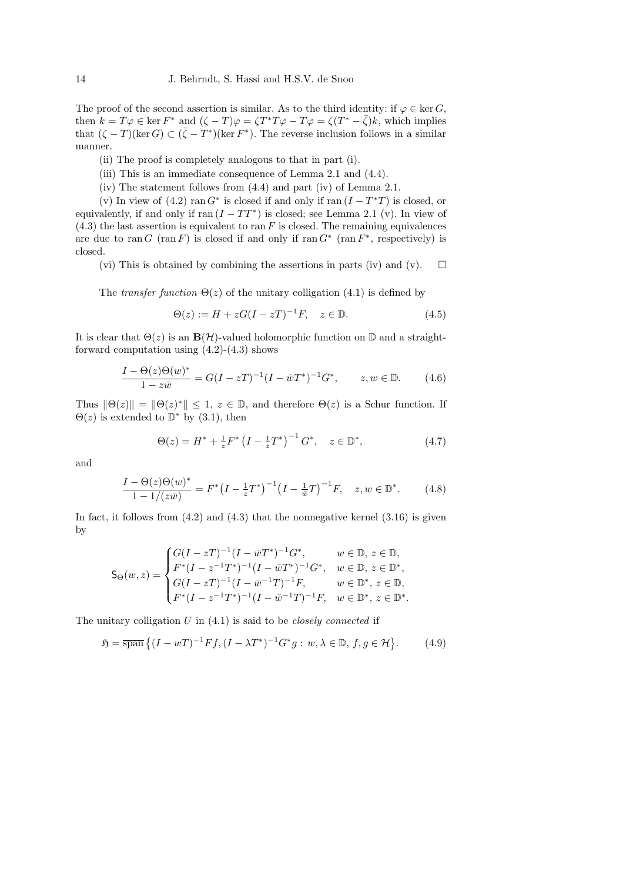The proof of the second assertion is similar. As to the third identity: if  $\varphi \in \text{ker } G$ , then  $k = T\varphi \in \ker F^*$  and  $(\zeta - T)\varphi = \zeta T^*T\varphi - T\varphi = \zeta(T^* - \bar{\zeta})k$ , which implies that  $(\zeta - T)(\ker G) \subset (\bar{\zeta} - T^*)(\ker F^*)$ . The reverse inclusion follows in a similar manner.

- (ii) The proof is completely analogous to that in part (i).
- (iii) This is an immediate consequence of Lemma 2.1 and (4.4).
- (iv) The statement follows from (4.4) and part (iv) of Lemma 2.1.

(v) In view of (4.2) ran  $G^*$  is closed if and only if ran  $(I - T^*T)$  is closed, or equivalently, if and only if  $ran (I - TT^*)$  is closed; see Lemma 2.1 (v). In view of  $(4.3)$  the last assertion is equivalent to ran F is closed. The remaining equivalences are due to ran G (ran F) is closed if and only if  $\text{ran } G^*$  (ran  $F^*$ , respectively) is closed.

(vi) This is obtained by combining the assertions in parts (iv) and (v).  $\square$ 

The transfer function  $\Theta(z)$  of the unitary colligation (4.1) is defined by

$$
\Theta(z) := H + zG(I - zT)^{-1}F, \quad z \in \mathbb{D}.
$$
\n(4.5)

It is clear that  $\Theta(z)$  is an  $\mathbf{B}(\mathcal{H})$ -valued holomorphic function on  $\mathbb{D}$  and a straightforward computation using  $(4.2)-(4.3)$  shows

$$
\frac{I - \Theta(z)\Theta(w)^{*}}{1 - z\bar{w}} = G(I - zT)^{-1}(I - \bar{w}T^{*})^{-1}G^{*}, \qquad z, w \in \mathbb{D}.
$$
 (4.6)

Thus  $\|\Theta(z)\| = \|\Theta(z)^*\| \leq 1, z \in \mathbb{D}$ , and therefore  $\Theta(z)$  is a Schur function. If  $\Theta(z)$  is extended to  $\mathbb{D}^*$  by (3.1), then

$$
\Theta(z) = H^* + \frac{1}{z} F^* \left( I - \frac{1}{z} T^* \right)^{-1} G^*, \quad z \in \mathbb{D}^*, \tag{4.7}
$$

and

$$
\frac{I - \Theta(z)\Theta(w)^*}{1 - 1/(z\bar{w})} = F^* \left(I - \frac{1}{z}T^*\right)^{-1} \left(I - \frac{1}{\bar{w}}T\right)^{-1} F, \quad z, w \in \mathbb{D}^*.
$$
 (4.8)

In fact, it follows from  $(4.2)$  and  $(4.3)$  that the nonnegative kernel  $(3.16)$  is given by

$$
\mathsf{S}_{\Theta}(w,z) = \begin{cases} G(I - zT)^{-1} (I - \bar{w}T^*)^{-1} G^*, & w \in \mathbb{D}, z \in \mathbb{D}, \\ F^*(I - z^{-1}T^*)^{-1} (I - \bar{w}T^*)^{-1} G^*, & w \in \mathbb{D}, z \in \mathbb{D}^*, \\ G(I - zT)^{-1} (I - \bar{w}^{-1}T)^{-1} F, & w \in \mathbb{D}^*, z \in \mathbb{D}, \\ F^*(I - z^{-1}T^*)^{-1} (I - \bar{w}^{-1}T)^{-1} F, & w \in \mathbb{D}^*, z \in \mathbb{D}^*. \end{cases}
$$

The unitary colligation  $U$  in  $(4.1)$  is said to be *closely connected* if

$$
\mathfrak{H} = \overline{\operatorname{span}} \left\{ (I - wT)^{-1} F f, (I - \lambda T^*)^{-1} G^* g : w, \lambda \in \mathbb{D}, f, g \in \mathcal{H} \right\}.
$$
 (4.9)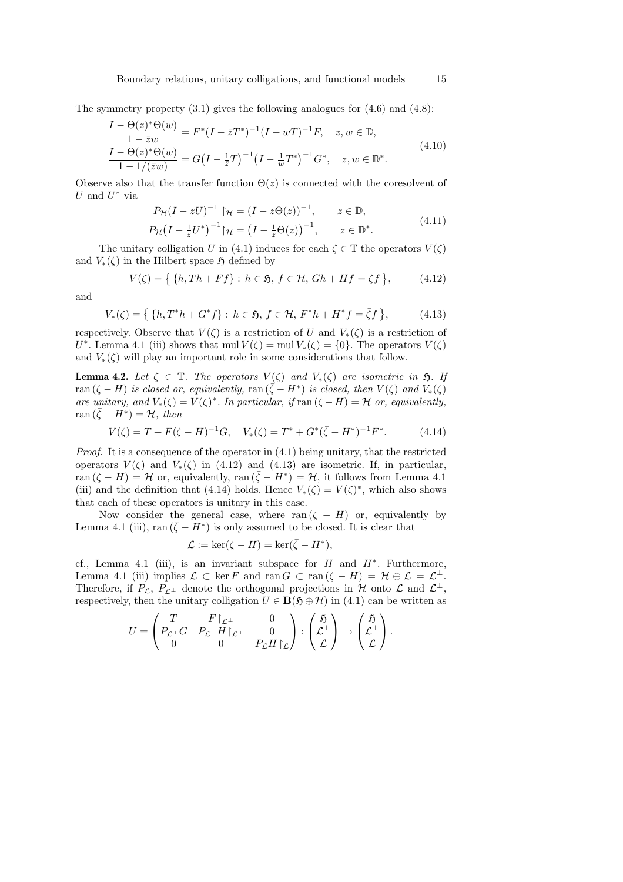The symmetry property (3.1) gives the following analogues for (4.6) and (4.8):

$$
\frac{I - \Theta(z)^* \Theta(w)}{1 - \bar{z}w} = F^*(I - \bar{z}T^*)^{-1}(I - wT)^{-1}F, \quad z, w \in \mathbb{D},
$$
\n
$$
\frac{I - \Theta(z)^* \Theta(w)}{1 - 1/(\bar{z}w)} = G\left(I - \frac{1}{\bar{z}}T\right)^{-1}\left(I - \frac{1}{w}T^*\right)^{-1}G^*, \quad z, w \in \mathbb{D}^*.
$$
\n(4.10)

Observe also that the transfer function  $\Theta(z)$  is connected with the coresolvent of U and  $U^*$  via

$$
P_{\mathcal{H}}(I - zU)^{-1} \upharpoonright_{\mathcal{H}} = (I - z\Theta(z))^{-1}, \qquad z \in \mathbb{D},
$$
  
\n
$$
P_{\mathcal{H}}(I - \frac{1}{z}U^*)^{-1} \upharpoonright_{\mathcal{H}} = (I - \frac{1}{z}\Theta(z))^{-1}, \qquad z \in \mathbb{D}^*.
$$
\n(4.11)

The unitary colligation U in (4.1) induces for each  $\zeta \in \mathbb{T}$  the operators  $V(\zeta)$ and  $V_*(\zeta)$  in the Hilbert space  $\mathfrak H$  defined by

$$
V(\zeta) = \{ \{h, Th + Ff\} : h \in \mathfrak{H}, f \in \mathcal{H}, Gh + Hf = \zeta f \}, \qquad (4.12)
$$

and

$$
V_{*}(\zeta) = \left\{ \{ h, T^*h + G^*f \} : h \in \mathfrak{H}, f \in \mathcal{H}, F^*h + H^*f = \bar{\zeta}f \right\},\tag{4.13}
$$

respectively. Observe that  $V(\zeta)$  is a restriction of U and  $V_*(\zeta)$  is a restriction of U<sup>\*</sup>. Lemma 4.1 (iii) shows that mul  $V(\zeta) = \text{mul } V_*(\zeta) = \{0\}$ . The operators  $V(\zeta)$ and  $V_*(\zeta)$  will play an important role in some considerations that follow.

**Lemma 4.2.** Let  $\zeta \in \mathbb{T}$ . The operators  $V(\zeta)$  and  $V_*(\zeta)$  are isometric in  $\mathfrak{H}$ . If  $ran(\zeta - H)$  is closed or, equivalently,  $ran(\bar{\zeta} - H^*)$  is closed, then  $V(\zeta)$  and  $V_*(\zeta)$ are unitary, and  $V_*(\zeta) = V(\zeta)^*$ . In particular, if ran  $(\zeta - H) = H$  or, equivalently, ran  $({\bar \zeta} - H^*) = \mathcal{H}$ , then

$$
V(\zeta) = T + F(\zeta - H)^{-1}G, \quad V_*(\zeta) = T^* + G^*(\bar{\zeta} - H^*)^{-1}F^*.
$$
 (4.14)

*Proof.* It is a consequence of the operator in  $(4.1)$  being unitary, that the restricted operators  $V(\zeta)$  and  $V_*(\zeta)$  in (4.12) and (4.13) are isometric. If, in particular, ran  $(\zeta - H) = \mathcal{H}$  or, equivalently, ran  $({\bar \zeta} - H^*) = \mathcal{H}$ , it follows from Lemma 4.1 (iii) and the definition that (4.14) holds. Hence  $V_*(\zeta) = V(\zeta)^*$ , which also shows that each of these operators is unitary in this case.

Now consider the general case, where ran  $(\zeta - H)$  or, equivalently by Lemma 4.1 (iii), ran  $(\bar{\zeta} - H^*)$  is only assumed to be closed. It is clear that

$$
\mathcal{L} := \ker(\zeta - H) = \ker(\bar{\zeta} - H^*),
$$

cf., Lemma 4.1 (iii), is an invariant subspace for  $H$  and  $H^*$ . Furthermore, Lemma 4.1 (iii) implies  $\mathcal{L} \subset \ker F$  and  $\operatorname{ran} G \subset \operatorname{ran} (\zeta - H) = \mathcal{H} \ominus \mathcal{L} = \mathcal{L}^{\perp}$ . Therefore, if  $P_{\mathcal{L}}$ ,  $P_{\mathcal{L}^{\perp}}$  denote the orthogonal projections in  $\mathcal{H}$  onto  $\mathcal{L}$  and  $\mathcal{L}^{\perp}$ , respectively, then the unitary colligation  $U \in \mathbf{B}(\mathfrak{H} \oplus \mathcal{H})$  in (4.1) can be written as

$$
U = \begin{pmatrix} T & F\upharpoonright_{\mathcal{L}^\perp} & 0 \\ P_{\mathcal{L}^\perp} G & P_{\mathcal{L}^\perp} H \upharpoonright_{\mathcal{L}^\perp} & 0 \\ 0 & 0 & P_{\mathcal{L}} H \upharpoonright_{\mathcal{L}} \end{pmatrix} : \begin{pmatrix} \mathfrak{H} \\ \mathcal{L}^\perp \\ \mathcal{L} \end{pmatrix} \to \begin{pmatrix} \mathfrak{H} \\ \mathcal{L}^\perp \\ \mathcal{L} \end{pmatrix}.
$$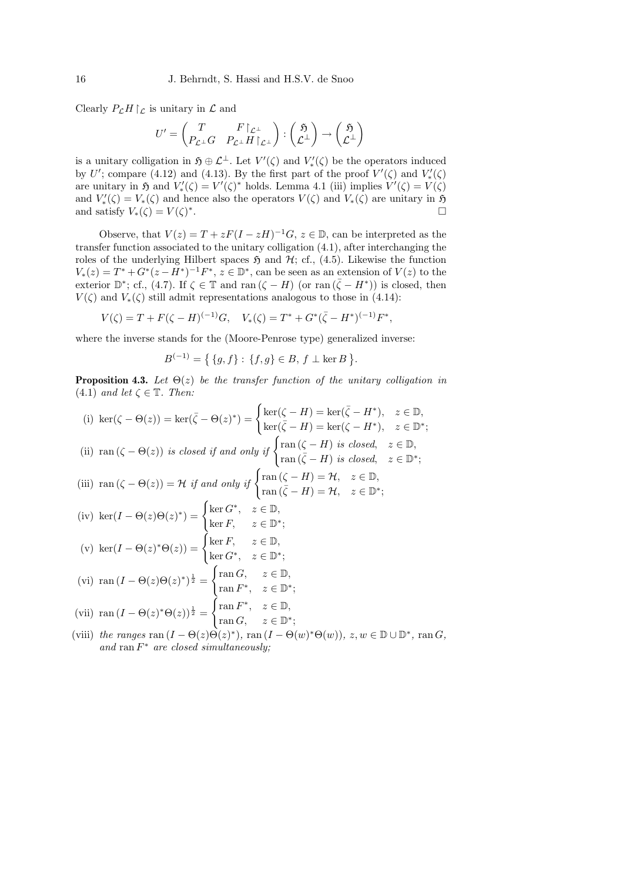Clearly  $P_{\mathcal{L}}H\upharpoonright_{\mathcal{L}}$  is unitary in  $\mathcal L$  and

$$
U'=\begin{pmatrix} T & F\!\upharpoonright_{\mathcal{L}^\perp} \\ P_{\mathcal{L}^\perp} G & P_{\mathcal{L}^\perp} H\!\upharpoonright_{\mathcal{L}^\perp} \end{pmatrix}:\begin{pmatrix} \mathfrak{H} \\ \mathcal{L}^\perp \end{pmatrix}\to \begin{pmatrix} \mathfrak{H} \\ \mathcal{L}^\perp \end{pmatrix}
$$

is a unitary colligation in  $\mathfrak{H} \oplus \mathcal{L}^{\perp}$ . Let  $V'(\zeta)$  and  $V'_{*}(\zeta)$  be the operators induced by U'; compare (4.12) and (4.13). By the first part of the proof  $V'(\zeta)$  and  $V'_{*}(\zeta)$ are unitary in  $\mathfrak{H}$  and  $V'_{*}(\zeta) = V'(\zeta)^*$  holds. Lemma 4.1 (iii) implies  $V'(\zeta) = V(\zeta)$ and  $V'_{*}(\zeta) = V_{*}(\zeta)$  and hence also the operators  $V(\zeta)$  and  $V_{*}(\zeta)$  are unitary in  $\mathfrak{H}$ and satisfy  $V_*(\zeta) = V(\zeta)^*$ .

Observe, that  $V(z) = T + zF(I - zH)^{-1}G$ ,  $z \in \mathbb{D}$ , can be interpreted as the transfer function associated to the unitary colligation (4.1), after interchanging the roles of the underlying Hilbert spaces  $\mathfrak{H}$  and  $\mathcal{H}$ ; cf., (4.5). Likewise the function  $V_*(z) = T^* + G^*(z - H^*)^{-1}F^*, z \in \mathbb{D}^*,$  can be seen as an extension of  $V(z)$  to the exterior  $\mathbb{D}^*$ ; cf., (4.7). If  $\zeta \in \mathbb{T}$  and ran  $(\zeta - H)$  (or ran  $(\bar{\zeta} - H^*)$ ) is closed, then  $V(\zeta)$  and  $V_*(\zeta)$  still admit representations analogous to those in (4.14):

$$
V(\zeta) = T + F(\zeta - H)^{(-1)}G, \quad V_*(\zeta) = T^* + G^*(\bar{\zeta} - H^*)^{(-1)}F^*,
$$

where the inverse stands for the (Moore-Penrose type) generalized inverse:

$$
B^{(-1)} = \{ \{g, f\} : \{f, g\} \in B, f \perp \ker B \}.
$$

**Proposition 4.3.** Let  $\Theta(z)$  be the transfer function of the unitary colligation in (4.1) and let  $\zeta \in \mathbb{T}$ . Then:

(i) 
$$
\ker(\zeta - \Theta(z)) = \ker(\bar{\zeta} - \Theta(z)^*) = \begin{cases} \ker(\zeta - H) = \ker(\bar{\zeta} - H^*), & z \in \mathbb{D}, \\ \ker(\bar{\zeta} - H) = \ker(\zeta - H^*), & z \in \mathbb{D}^*; \end{cases}
$$

(ii) ran(
$$
\zeta - \Theta(z)
$$
) is closed if and only if  $\begin{cases} \text{ran}(\zeta - H) \text{ is closed, } z \in \mathbb{D}, \\ \text{ran}(\bar{\zeta} - H) \text{ is closed, } z \in \mathbb{D}^*; \end{cases}$ 

(iii) ran 
$$
(\zeta - \Theta(z)) = \mathcal{H}
$$
 if and only if  $\begin{cases} \text{ran } (\zeta - H) = \mathcal{H}, & z \in \mathbb{D}, \\ \text{ran } (\bar{\zeta} - H) = \mathcal{H}, & z \in \mathbb{D}^*; \end{cases}$ 

(iv) 
$$
\ker(I - \Theta(z)\Theta(z)^*) = \begin{cases} \ker G^*, & z \in \mathbb{D}, \\ \ker F, & z \in \mathbb{D}^*; \end{cases}
$$
  
(v)  $\ker(I - \Theta(z)^*\Theta(z)) = \begin{cases} \ker F, & z \in \mathbb{D}, \\ \ker G^*, & z \in \mathbb{D}^*; \end{cases}$ 

$$
\text{(vi) $\operatorname{ran}\, (I-\Theta(z)\Theta(z)^*)^{\frac{1}{2}}$} = \begin{cases} \operatorname{ran} G, & z \in \mathbb{D}, \\ \operatorname{ran} F^*, & z \in \mathbb{D}^*; \end{cases}
$$

(vii) ran 
$$
(I - \Theta(z)^* \Theta(z))^{\frac{1}{2}} = \begin{cases} \operatorname{ran} F^*, & z \in \mathbb{D}, \\ \operatorname{ran} G, & z \in \mathbb{D}^*; \end{cases}
$$

(viii) the ranges ran  $(I - \Theta(z) \Theta(z)^*)$ , ran  $(I - \Theta(w)^* \Theta(w))$ ,  $z, w \in \mathbb{D} \cup \mathbb{D}^*$ , ran  $G$ , and  $\operatorname{ran} F^*$  are closed simultaneously;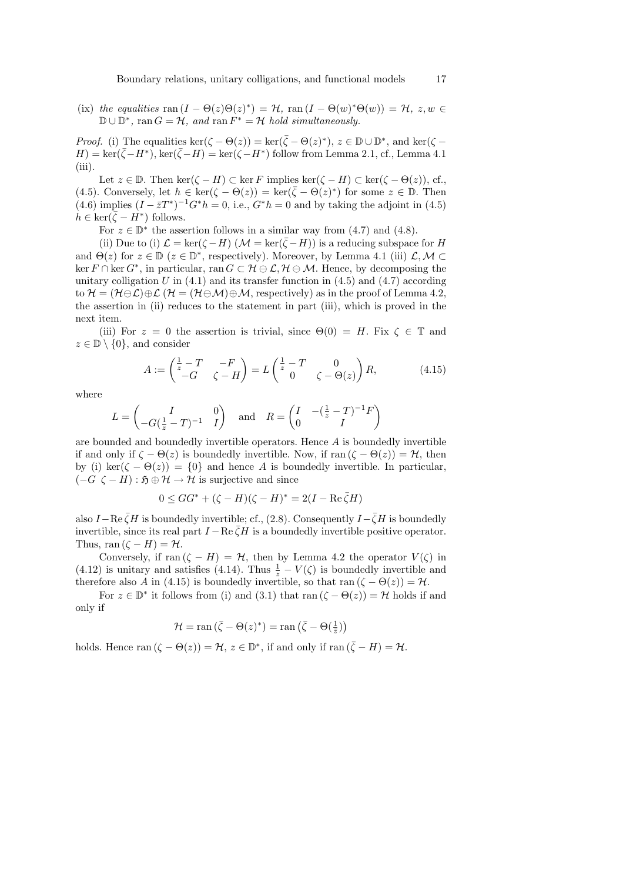(ix) the equalities ran  $(I - \Theta(z)\Theta(z)^*) = \mathcal{H}$ , ran  $(I - \Theta(w)^*\Theta(w)) = \mathcal{H}$ , z, w  $\mathbb{D} \cup \overline{\mathbb{D}}^*$ , ran  $G = \mathcal{H}$ , and ran  $F^* = \mathcal{H}$  hold simultaneously.

*Proof.* (i) The equalities ker( $\zeta - \Theta(z)$ ) = ker( $\overline{\zeta} - \Theta(z)^*$ ),  $z \in \mathbb{D} \cup \mathbb{D}^*$ , and ker( $\zeta$  - $H$ ) = ker( $\bar{\zeta}$ -H<sup>\*</sup>), ker( $\bar{\zeta}$ -H) = ker( $\zeta$ -H<sup>\*</sup>) follow from Lemma 2.1, cf., Lemma 4.1  $(iii)$ .

Let  $z \in \mathbb{D}$ . Then ker( $\zeta - H$ )  $\subset$  ker F implies ker( $\zeta - H$ )  $\subset$  ker( $\zeta - \Theta(z)$ ), cf., (4.5). Conversely, let  $h \in \ker(\zeta - \Theta(z)) = \ker(\bar{\zeta} - \Theta(z)^*)$  for some  $z \in \mathbb{D}$ . Then  $(4.6)$  implies  $(I - \bar{z}T^*)^{-1}G^*h = 0$ , i.e.,  $G^*h = 0$  and by taking the adjoint in  $(4.5)$  $h \in \ker(\bar{\zeta} - H^*)$  follows.

For  $z \in \mathbb{D}^*$  the assertion follows in a similar way from (4.7) and (4.8).

(ii) Due to (i)  $\mathcal{L} = \ker(\zeta - H)$  ( $\mathcal{M} = \ker(\zeta - H)$ ) is a reducing subspace for H and  $\Theta(z)$  for  $z \in \mathbb{D}$  ( $z \in \mathbb{D}^*$ , respectively). Moreover, by Lemma 4.1 (iii)  $\mathcal{L}, \mathcal{M} \subset$ ker  $F \cap \ker G^*$ , in particular, ran  $G \subset H \ominus \mathcal{L}, H \ominus \mathcal{M}$ . Hence, by decomposing the unitary colligation  $U$  in  $(4.1)$  and its transfer function in  $(4.5)$  and  $(4.7)$  according to  $\mathcal{H} = (\mathcal{H} \ominus \mathcal{L}) \oplus \mathcal{L} (\mathcal{H} = (\mathcal{H} \ominus \mathcal{M}) \oplus \mathcal{M}$ , respectively) as in the proof of Lemma 4.2, the assertion in (ii) reduces to the statement in part (iii), which is proved in the next item.

(iii) For  $z = 0$  the assertion is trivial, since  $\Theta(0) = H$ . Fix  $\zeta \in \mathbb{T}$  and  $z \in \mathbb{D} \setminus \{0\}$ , and consider

$$
A := \begin{pmatrix} \frac{1}{z} - T & -F \\ -G & \zeta - H \end{pmatrix} = L \begin{pmatrix} \frac{1}{z} - T & 0 \\ 0 & \zeta - \Theta(z) \end{pmatrix} R, \tag{4.15}
$$

where

$$
L = \begin{pmatrix} I & 0 \\ -G(\frac{1}{z} - T)^{-1} & I \end{pmatrix} \quad \text{and} \quad R = \begin{pmatrix} I & -(\frac{1}{z} - T)^{-1}F \\ 0 & I \end{pmatrix}
$$

are bounded and boundedly invertible operators. Hence  $A$  is boundedly invertible if and only if  $\zeta - \Theta(z)$  is boundedly invertible. Now, if ran  $(\zeta - \Theta(z)) = \mathcal{H}$ , then by (i) ker( $\zeta - \Theta(z)$ ) = {0} and hence A is boundedly invertible. In particular,  $(-G \zeta - H)$ :  $\mathfrak{H} \oplus \mathcal{H} \to \mathcal{H}$  is surjective and since

$$
0 \le GG^* + (\zeta - H)(\zeta - H)^* = 2(I - \text{Re}\,\bar{\zeta}H)
$$

also I–Re $\bar{\zeta}H$  is boundedly invertible; cf., (2.8). Consequently  $I-\bar{\zeta}H$  is boundedly invertible, since its real part  $I - \text{Re }\zeta H$  is a boundedly invertible positive operator. Thus, ran  $(\zeta - H) = H$ .

Conversely, if ran  $(\zeta - H) = H$ , then by Lemma 4.2 the operator  $V(\zeta)$  in (4.12) is unitary and satisfies (4.14). Thus  $\frac{1}{z} - V(\zeta)$  is boundedly invertible and therefore also A in (4.15) is boundedly invertible, so that ran  $(\zeta - \Theta(z)) = \mathcal{H}$ .

For  $z \in \mathbb{D}^*$  it follows from (i) and (3.1) that ran  $(\zeta - \Theta(z)) = \mathcal{H}$  holds if and only if

$$
\mathcal{H}=\mathrm{ran}\left(\bar{\zeta}-\Theta(z)^*\right)=\mathrm{ran}\left(\bar{\zeta}-\Theta(\tfrac{1}{\bar{z}})\right)
$$

holds. Hence  $\text{ran}(\zeta - \Theta(z)) = \mathcal{H}, z \in \mathbb{D}^*$ , if and only if  $\text{ran}(\bar{\zeta} - H) = \mathcal{H}$ .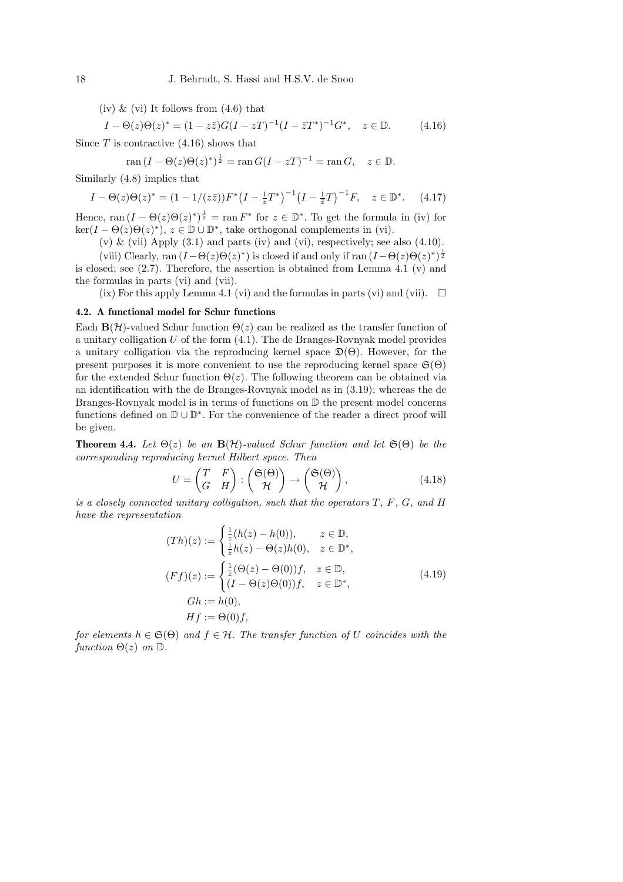(iv)  $\&$  (vi) It follows from  $(4.6)$  that

$$
I - \Theta(z)\Theta(z)^{*} = (1 - z\overline{z})G(I - zT)^{-1}(I - \overline{z}T^{*})^{-1}G^{*}, \quad z \in \mathbb{D}.
$$
 (4.16)

Since  $T$  is contractive  $(4.16)$  shows that

$$
\operatorname{ran} (I - \Theta(z)\Theta(z)^{*})^{\frac{1}{2}} = \operatorname{ran} G(I - zT)^{-1} = \operatorname{ran} G, \quad z \in \mathbb{D}.
$$

Similarly (4.8) implies that

$$
I - \Theta(z)\Theta(z)^* = (1 - 1/(z\bar{z}))F^*\left(I - \frac{1}{z}T^*\right)^{-1}\left(I - \frac{1}{\bar{z}}T\right)^{-1}F, \quad z \in \mathbb{D}^*.\tag{4.17}
$$

Hence, ran  $(I - \Theta(z)\Theta(z)^*)^{\frac{1}{2}} = \text{ran } F^*$  for  $z \in \mathbb{D}^*$ . To get the formula in (iv) for  $\ker(I - \Theta(z)\Theta(z)^*)$ ,  $z \in \mathbb{D} \cup \mathbb{D}^*$ , take orthogonal complements in (vi).

 $(v)$  & (vii) Apply  $(3.1)$  and parts (iv) and (vi), respectively; see also  $(4.10)$ .

(viii) Clearly, ran  $(I - \Theta(z)\Theta(z)^*)$  is closed if and only if ran  $(I - \Theta(z)\Theta(z)^*)^{\frac{1}{2}}$ is closed; see (2.7). Therefore, the assertion is obtained from Lemma 4.1 (v) and the formulas in parts (vi) and (vii).

(ix) For this apply Lemma 4.1 (vi) and the formulas in parts (vi) and (vii).  $\square$ 

#### 4.2. A functional model for Schur functions

Each  $\mathbf{B}(\mathcal{H})$ -valued Schur function  $\Theta(z)$  can be realized as the transfer function of a unitary colligation  $U$  of the form  $(4.1)$ . The de Branges-Rovnyak model provides a unitary colligation via the reproducing kernel space  $\mathfrak{D}(\Theta)$ . However, for the present purposes it is more convenient to use the reproducing kernel space  $\mathfrak{S}(\Theta)$ for the extended Schur function  $\Theta(z)$ . The following theorem can be obtained via an identification with the de Branges-Rovnyak model as in (3.19); whereas the de Branges-Rovnyak model is in terms of functions on D the present model concerns functions defined on  $\mathbb{D} \cup \mathbb{D}^*$ . For the convenience of the reader a direct proof will be given.

**Theorem 4.4.** Let  $\Theta(z)$  be an  $\mathbf{B}(\mathcal{H})$ -valued Schur function and let  $\mathfrak{S}(\Theta)$  be the corresponding reproducing kernel Hilbert space. Then

$$
U = \begin{pmatrix} T & F \\ G & H \end{pmatrix} : \begin{pmatrix} \mathfrak{S}(\Theta) \\ \mathcal{H} \end{pmatrix} \to \begin{pmatrix} \mathfrak{S}(\Theta) \\ \mathcal{H} \end{pmatrix},
$$
(4.18)

is a closely connected unitary colligation, such that the operators  $T$ ,  $F$ ,  $G$ , and  $H$ have the representation

$$
(Th)(z) := \begin{cases} \frac{1}{z}(h(z) - h(0)), & z \in \mathbb{D}, \\ \frac{1}{z}h(z) - \Theta(z)h(0), & z \in \mathbb{D}^*, \end{cases}
$$

$$
(Ff)(z) := \begin{cases} \frac{1}{z}(\Theta(z) - \Theta(0))f, & z \in \mathbb{D}, \\ (I - \Theta(z)\Theta(0))f, & z \in \mathbb{D}^*, \\ Gh := h(0), \\ Hf := \Theta(0)f, \end{cases}
$$
(4.19)

for elements  $h \in \mathfrak{S}(\Theta)$  and  $f \in \mathcal{H}$ . The transfer function of U coincides with the function  $\Theta(z)$  on  $\mathbb D$ .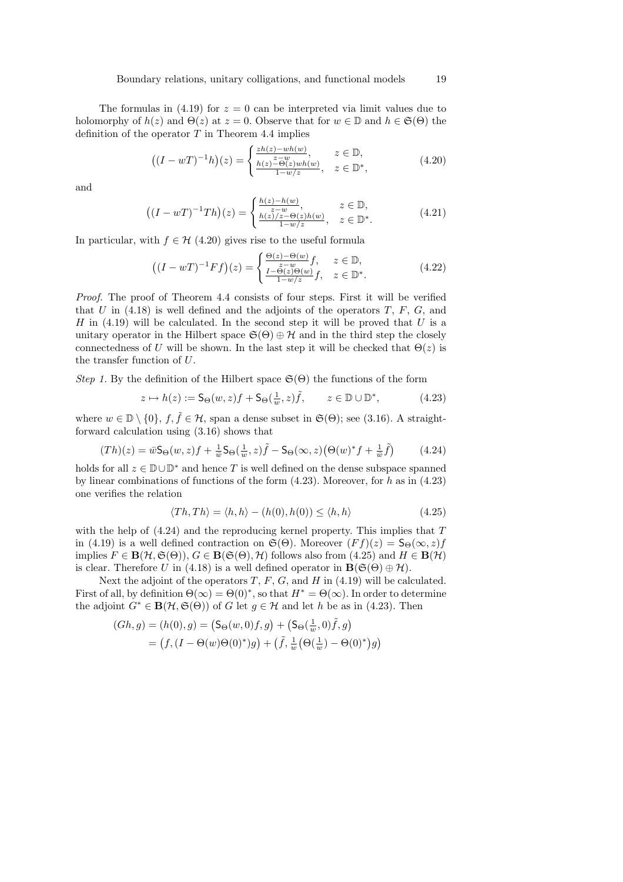The formulas in (4.19) for  $z = 0$  can be interpreted via limit values due to holomorphy of  $h(z)$  and  $\Theta(z)$  at  $z = 0$ . Observe that for  $w \in \mathbb{D}$  and  $h \in \mathfrak{S}(\Theta)$  the definition of the operator  $T$  in Theorem 4.4 implies

$$
((I - wT)^{-1}h)(z) = \begin{cases} \frac{zh(z) - wh(w)}{z - w}, & z \in \mathbb{D}, \\ \frac{h(z) - \Theta(z)wh(w)}{1 - w/z}, & z \in \mathbb{D}^*, \end{cases}
$$
(4.20)

and

$$
\left((I - wT)^{-1}Th\right)(z) = \begin{cases} \frac{h(z) - h(w)}{z - w}, & z \in \mathbb{D},\\ \frac{h(z)/z - \Theta(z)h(w)}{1 - w/z}, & z \in \mathbb{D}^*. \end{cases}
$$
(4.21)

In particular, with  $f \in \mathcal{H}$  (4.20) gives rise to the useful formula

$$
\left((I - wT)^{-1}Ff\right)(z) = \begin{cases} \frac{\Theta(z) - \Theta(w)}{z - w} f, & z \in \mathbb{D}, \\ \frac{I - \tilde{\Theta}(z) \Theta(w)}{1 - w/z} f, & z \in \mathbb{D}^*. \end{cases}
$$
(4.22)

Proof. The proof of Theorem 4.4 consists of four steps. First it will be verified that U in  $(4.18)$  is well defined and the adjoints of the operators T, F, G, and H in  $(4.19)$  will be calculated. In the second step it will be proved that U is a unitary operator in the Hilbert space  $\mathfrak{S}(\Theta) \oplus \mathcal{H}$  and in the third step the closely connectedness of U will be shown. In the last step it will be checked that  $\Theta(z)$  is the transfer function of U.

Step 1. By the definition of the Hilbert space  $\mathfrak{S}(\Theta)$  the functions of the form

$$
z \mapsto h(z) := \mathsf{S}_{\Theta}(w, z)f + \mathsf{S}_{\Theta}(\tfrac{1}{w}, z)\tilde{f}, \qquad z \in \mathbb{D} \cup \mathbb{D}^*, \tag{4.23}
$$

where  $w \in \mathbb{D} \setminus \{0\}, f, \tilde{f} \in \mathcal{H}$ , span a dense subset in  $\mathfrak{S}(\Theta)$ ; see (3.16). A straightforward calculation using (3.16) shows that

$$
(Th)(z) = \bar{w} \mathsf{S}_{\Theta}(w, z) f + \frac{1}{\bar{w}} \mathsf{S}_{\Theta}(\frac{1}{w}, z) \tilde{f} - \mathsf{S}_{\Theta}(\infty, z) \big(\Theta(w)^* f + \frac{1}{\bar{w}} \tilde{f}\big) \tag{4.24}
$$

holds for all  $z \in \mathbb{D} \cup \mathbb{D}^*$  and hence T is well defined on the dense subspace spanned by linear combinations of functions of the form  $(4.23)$ . Moreover, for h as in  $(4.23)$ one verifies the relation

$$
\langle Th, Th \rangle = \langle h, h \rangle - (h(0), h(0)) \le \langle h, h \rangle \tag{4.25}
$$

with the help of  $(4.24)$  and the reproducing kernel property. This implies that T in (4.19) is a well defined contraction on  $\mathfrak{S}(\Theta)$ . Moreover  $(Ff)(z) = \mathsf{S}_{\Theta}(\infty, z)f$ implies  $F \in \mathbf{B}(\mathcal{H}, \mathfrak{S}(\Theta)), G \in \mathbf{B}(\mathfrak{S}(\Theta), \mathcal{H})$  follows also from  $(4.25)$  and  $H \in \mathbf{B}(\mathcal{H})$ is clear. Therefore U in (4.18) is a well defined operator in  $\mathbf{B}(\mathfrak{S}(\Theta) \oplus \mathcal{H})$ .

Next the adjoint of the operators  $T, F, G$ , and  $H$  in (4.19) will be calculated. First of all, by definition  $\Theta(\infty) = \Theta(0)^*$ , so that  $H^* = \Theta(\infty)$ . In order to determine the adjoint  $G^* \in \mathbf{B}(\mathcal{H}, \mathfrak{S}(\Theta))$  of G let  $g \in \mathcal{H}$  and let h be as in (4.23). Then

$$
(Gh, g) = (h(0), g) = (\mathsf{S}_{\Theta}(w, 0)f, g) + (\mathsf{S}_{\Theta}(\frac{1}{w}, 0)\tilde{f}, g)
$$
  
=  $(f, (I - \Theta(w)\Theta(0)^*)g) + (\tilde{f}, \frac{1}{w}(\Theta(\frac{1}{w}) - \Theta(0)^*)g)$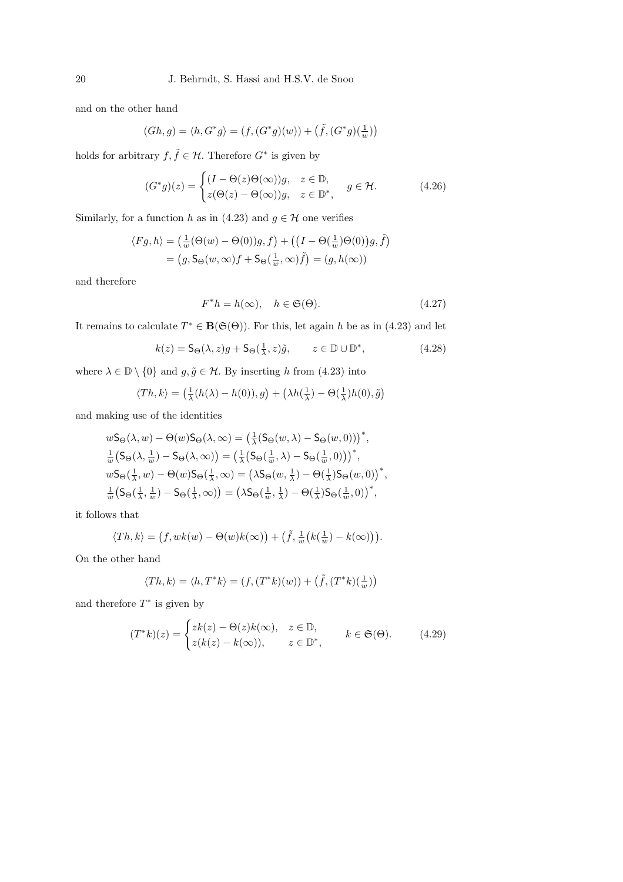and on the other hand

$$
(Gh,g)=\langle h,G^*g\rangle=(f,(G^*g)(w))+\left(\tilde{f},(G^*g)(\tfrac{1}{w})\right)
$$

holds for arbitrary  $f, \tilde{f} \in \mathcal{H}$ . Therefore  $G^*$  is given by

$$
(G^*g)(z) = \begin{cases} (I - \Theta(z)\Theta(\infty))g, & z \in \mathbb{D}, \\ z(\Theta(z) - \Theta(\infty))g, & z \in \mathbb{D}^*, \end{cases} \quad g \in \mathcal{H}.
$$
 (4.26)

Similarly, for a function h as in (4.23) and  $g \in \mathcal{H}$  one verifies

$$
\langle Fg, h \rangle = \left( \frac{1}{w} (\Theta(w) - \Theta(0))g, f \right) + \left( \left( I - \Theta(\frac{1}{w}) \Theta(0) \right) g, \tilde{f} \right)
$$

$$
= \left( g, \mathsf{S}_{\Theta}(w, \infty) f + \mathsf{S}_{\Theta}(\frac{1}{w}, \infty) \tilde{f} \right) = \left( g, h(\infty) \right)
$$

and therefore

$$
F^*h = h(\infty), \quad h \in \mathfrak{S}(\Theta). \tag{4.27}
$$

It remains to calculate  $T^* \in \mathbf{B}(\mathfrak{S}(\Theta))$ . For this, let again h be as in (4.23) and let

$$
k(z) = \mathsf{S}_{\Theta}(\lambda, z)g + \mathsf{S}_{\Theta}(\frac{1}{\lambda}, z)\tilde{g}, \qquad z \in \mathbb{D} \cup \mathbb{D}^*, \tag{4.28}
$$

where  $\lambda \in \mathbb{D} \setminus \{0\}$  and  $g, \tilde{g} \in \mathcal{H}$ . By inserting h from (4.23) into

$$
\langle Th, k \rangle = \left( \frac{1}{\lambda} (h(\lambda) - h(0)), g \right) + \left( \lambda h(\frac{1}{\lambda}) - \Theta(\frac{1}{\lambda}) h(0), \tilde{g} \right)
$$

and making use of the identities

$$
w\mathsf{S}_{\Theta}(\lambda, w) - \Theta(w)\mathsf{S}_{\Theta}(\lambda, \infty) = \left(\frac{1}{\lambda}(\mathsf{S}_{\Theta}(w, \lambda) - \mathsf{S}_{\Theta}(w, 0))\right)^*,
$$
  
\n
$$
\frac{1}{w}\left(\mathsf{S}_{\Theta}(\lambda, \frac{1}{w}) - \mathsf{S}_{\Theta}(\lambda, \infty)\right) = \left(\frac{1}{\lambda}\left(\mathsf{S}_{\Theta}(\frac{1}{w}, \lambda) - \mathsf{S}_{\Theta}(\frac{1}{w}, 0)\right)\right)^*,
$$
  
\n
$$
w\mathsf{S}_{\Theta}(\frac{1}{\lambda}, w) - \Theta(w)\mathsf{S}_{\Theta}(\frac{1}{\lambda}, \infty) = \left(\lambda\mathsf{S}_{\Theta}(w, \frac{1}{\lambda}) - \Theta(\frac{1}{\lambda})\mathsf{S}_{\Theta}(w, 0)\right)^*,
$$
  
\n
$$
\frac{1}{w}\left(\mathsf{S}_{\Theta}(\frac{1}{\lambda}, \frac{1}{w}) - \mathsf{S}_{\Theta}(\frac{1}{\lambda}, \infty)\right) = \left(\lambda\mathsf{S}_{\Theta}(\frac{1}{w}, \frac{1}{\lambda}) - \Theta(\frac{1}{\lambda})\mathsf{S}_{\Theta}(\frac{1}{w}, 0)\right)^*,
$$

it follows that

$$
\langle Th, k \rangle = \big( f, wk(w) - \Theta(w)k(\infty) \big) + \big( \tilde{f}, \frac{1}{w} \big( k(\frac{1}{w}) - k(\infty) \big) \big).
$$

On the other hand

$$
\langle Th,k\rangle=\langle h,T^*k\rangle=(f,(T^*k)(w))+\left(\tilde{f},(T^*k)(\tfrac{1}{w})\right)
$$

and therefore  $T^*$  is given by

$$
(T^*k)(z) = \begin{cases} zk(z) - \Theta(z)k(\infty), & z \in \mathbb{D}, \\ z(k(z) - k(\infty)), & z \in \mathbb{D}^*, \end{cases} \quad k \in \mathfrak{S}(\Theta). \tag{4.29}
$$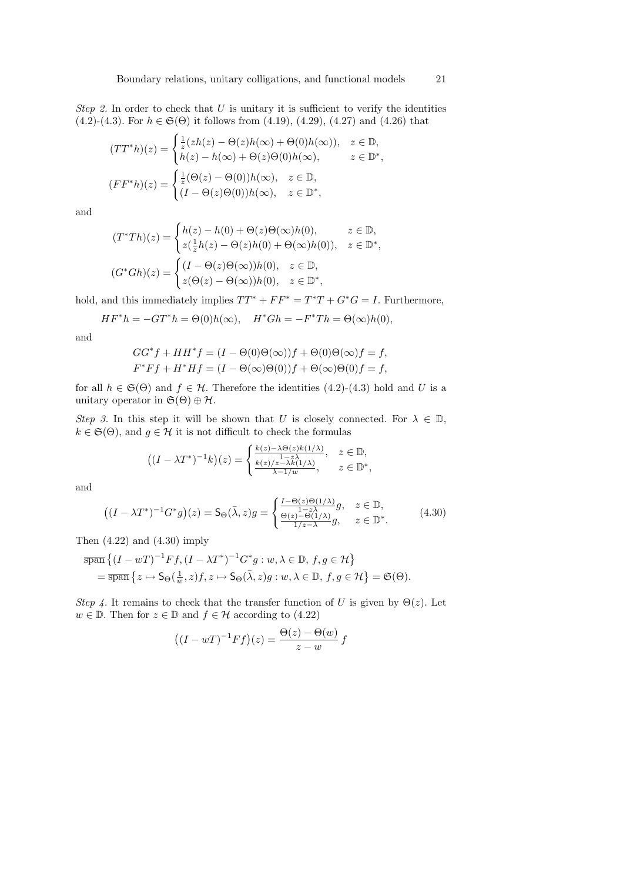Step 2. In order to check that  $U$  is unitary it is sufficient to verify the identities (4.2)-(4.3). For  $h \in \mathfrak{S}(\Theta)$  it follows from (4.19), (4.29), (4.27) and (4.26) that

$$
(TT^*h)(z) = \begin{cases} \frac{1}{z}(zh(z) - \Theta(z)h(\infty) + \Theta(0)h(\infty)), & z \in \mathbb{D}, \\ h(z) - h(\infty) + \Theta(z)\Theta(0)h(\infty), & z \in \mathbb{D}^*, \end{cases}
$$

$$
(FF^*h)(z) = \begin{cases} \frac{1}{z}(\Theta(z) - \Theta(0))h(\infty), & z \in \mathbb{D}, \\ (I - \Theta(z)\Theta(0))h(\infty), & z \in \mathbb{D}^*, \end{cases}
$$

and

$$
(T^*Th)(z) = \begin{cases} h(z) - h(0) + \Theta(z)\Theta(\infty)h(0), & z \in \mathbb{D}, \\ z(\frac{1}{z}h(z) - \Theta(z)h(0) + \Theta(\infty)h(0)), & z \in \mathbb{D}^*, \end{cases}
$$

$$
(G^*Gh)(z) = \begin{cases} (I - \Theta(z)\Theta(\infty))h(0), & z \in \mathbb{D}, \\ z(\Theta(z) - \Theta(\infty))h(0), & z \in \mathbb{D}^*, \end{cases}
$$

hold, and this immediately implies  $TT^* + FF^* = T^*T + G^*G = I$ . Furthermore,

$$
HF^*h = -GT^*h = \Theta(0)h(\infty), \quad H^*Gh = -F^*Th = \Theta(\infty)h(0),
$$

and

$$
GG^*f + HH^*f = (I - \Theta(0)\Theta(\infty))f + \Theta(0)\Theta(\infty)f = f,
$$
  

$$
F^*Ff + H^*Hf = (I - \Theta(\infty)\Theta(0))f + \Theta(\infty)\Theta(0)f = f,
$$

for all  $h \in \mathfrak{S}(\Theta)$  and  $f \in \mathcal{H}$ . Therefore the identities (4.2)-(4.3) hold and U is a unitary operator in  $\mathfrak{S}(\Theta) \oplus \mathcal{H}$ .

Step 3. In this step it will be shown that U is closely connected. For  $\lambda \in \mathbb{D}$ ,  $k \in \mathfrak{S}(\Theta)$ , and  $q \in \mathcal{H}$  it is not difficult to check the formulas

$$
((I - \lambda T^*)^{-1}k)(z) = \begin{cases} \frac{k(z) - \lambda \Theta(z)k(1/\lambda)}{1 - z\lambda}, & z \in \mathbb{D},\\ \frac{k(z)/z - \lambda k(1/\lambda)}{\lambda - 1/w}, & z \in \mathbb{D}^*, \end{cases}
$$

and

$$
\left((I - \lambda T^*)^{-1} G^* g\right)(z) = \mathsf{S}_{\Theta}(\bar{\lambda}, z) g = \begin{cases} \frac{I - \Theta(z) \Theta(1/\lambda)}{1 - z \lambda} g, & z \in \mathbb{D}, \\ \frac{\Theta(z) - \Theta(1/\lambda)}{1/z - \lambda} g, & z \in \mathbb{D}^*. \end{cases} \tag{4.30}
$$

Then  $(4.22)$  and  $(4.30)$  imply

$$
\overline{\operatorname{span}}\left\{(I - wT)^{-1}Ff, (I - \lambda T^*)^{-1}G^*g : w, \lambda \in \mathbb{D}, f, g \in \mathcal{H}\right\}
$$
  
= 
$$
\overline{\operatorname{span}}\left\{z \mapsto \mathsf{S}_{\Theta}(\frac{1}{w}, z)f, z \mapsto \mathsf{S}_{\Theta}(\bar{\lambda}, z)g : w, \lambda \in \mathbb{D}, f, g \in \mathcal{H}\right\} = \mathfrak{S}(\Theta).
$$

Step 4. It remains to check that the transfer function of U is given by  $\Theta(z)$ . Let  $w \in \mathbb{D}$ . Then for  $z \in \mathbb{D}$  and  $f \in \mathcal{H}$  according to (4.22)

$$
((I - wT)^{-1}Ff)(z) = \frac{\Theta(z) - \Theta(w)}{z - w} f
$$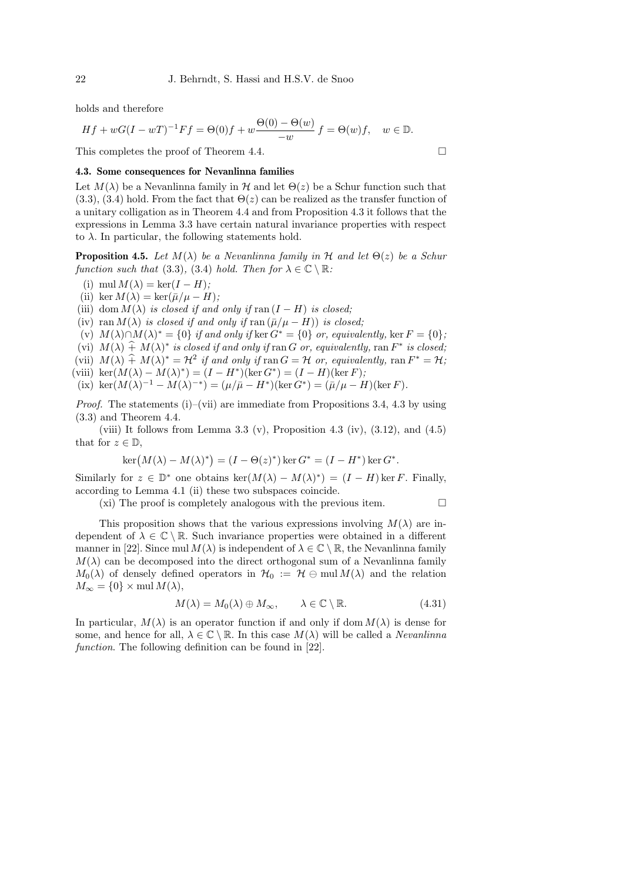holds and therefore

$$
Hf + wG(I - wT)^{-1}Ff = \Theta(0)f + w\frac{\Theta(0) - \Theta(w)}{-w}f = \Theta(w)f, \quad w \in \mathbb{D}.
$$

This completes the proof of Theorem 4.4.

## 4.3. Some consequences for Nevanlinna families

Let  $M(\lambda)$  be a Nevanlinna family in H and let  $\Theta(z)$  be a Schur function such that  $(3.3), (3.4)$  hold. From the fact that  $\Theta(z)$  can be realized as the transfer function of a unitary colligation as in Theorem 4.4 and from Proposition 4.3 it follows that the expressions in Lemma 3.3 have certain natural invariance properties with respect to  $\lambda$ . In particular, the following statements hold.

**Proposition 4.5.** Let  $M(\lambda)$  be a Nevanlinna family in H and let  $\Theta(z)$  be a Schur function such that (3.3), (3.4) hold. Then for  $\lambda \in \mathbb{C} \setminus \mathbb{R}$ :

- (i) mul  $M(\lambda) = \ker(I H)$ ;
- (ii) ker  $M(\lambda) = \ker(\bar{\mu}/\mu H);$

(iii) dom  $M(\lambda)$  is closed if and only if ran  $(I - H)$  is closed;

(iv) ran  $M(\lambda)$  is closed if and only if ran  $(\bar{\mu}/\mu - H)$ ) is closed;

- $(v)$   $M(\lambda) \cap M(\lambda)^* = \{0\}$  if and only if ker  $G^* = \{0\}$  or, equivalently, ker  $F = \{0\}$ ;
- (vi)  $M(\lambda) \hat{+} M(\lambda)^*$  is closed if and only if ran G or, equivalently, ran  $F^*$  is closed;
- (vii)  $M(\lambda) + M(\lambda)^* = H^2$  if and only if  $\text{ran } G = H$  or, equivalently,  $\text{ran } F^* = H;$
- (viii) ker $(M(\lambda) M(\lambda)^*) = (I H^*)(\ker G^*) = (I H)(\ker F);$

(ix)  $\ker(M(\lambda)^{-1} - M(\lambda)^{-*}) = (\mu/\bar{\mu} - H^*)(\ker G^*) = (\bar{\mu}/\mu - H)(\ker F).$ 

*Proof.* The statements (i)–(vii) are immediate from Propositions 3.4, 4.3 by using (3.3) and Theorem 4.4.

(viii) It follows from Lemma 3.3 (v), Proposition 4.3 (iv),  $(3.12)$ , and  $(4.5)$ that for  $z \in \mathbb{D}$ ,

$$
\ker(M(\lambda) - M(\lambda)^*) = (I - \Theta(z)^*) \ker G^* = (I - H^*) \ker G^*.
$$

Similarly for  $z \in \mathbb{D}^*$  one obtains ker $(M(\lambda) - M(\lambda)^*) = (I - H)$  ker F. Finally, according to Lemma 4.1 (ii) these two subspaces coincide.

(xi) The proof is completely analogous with the previous item.  $\Box$ 

This proposition shows that the various expressions involving  $M(\lambda)$  are independent of  $\lambda \in \mathbb{C} \setminus \mathbb{R}$ . Such invariance properties were obtained in a different manner in [22]. Since mul  $M(\lambda)$  is independent of  $\lambda \in \mathbb{C} \setminus \mathbb{R}$ , the Nevanlinna family  $M(\lambda)$  can be decomposed into the direct orthogonal sum of a Nevanlinna family  $M_0(\lambda)$  of densely defined operators in  $\mathcal{H}_0 := \mathcal{H} \ominus \text{mul } M(\lambda)$  and the relation  $M_{\infty} = \{0\} \times \text{mul } M(\lambda),$ 

$$
M(\lambda) = M_0(\lambda) \oplus M_{\infty}, \qquad \lambda \in \mathbb{C} \setminus \mathbb{R}.
$$
 (4.31)

In particular,  $M(\lambda)$  is an operator function if and only if dom  $M(\lambda)$  is dense for some, and hence for all,  $\lambda \in \mathbb{C} \setminus \mathbb{R}$ . In this case  $M(\lambda)$  will be called a *Nevanlinna* function. The following definition can be found in [22].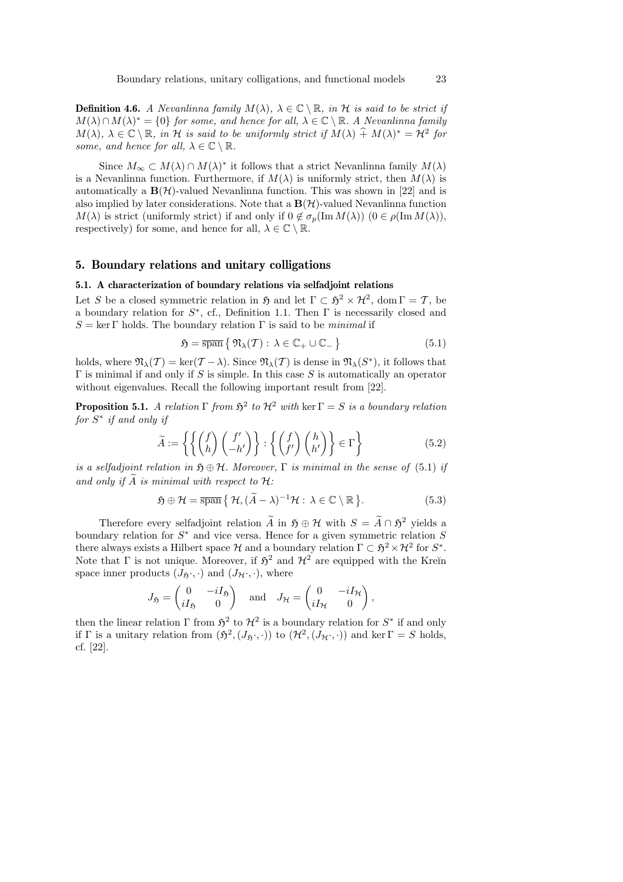**Definition 4.6.** A Nevanlinna family  $M(\lambda)$ ,  $\lambda \in \mathbb{C} \setminus \mathbb{R}$ , in H is said to be strict if  $M(\lambda) \cap M(\lambda)^* = \{0\}$  for some, and hence for all,  $\lambda \in \mathbb{C} \setminus \mathbb{R}$ . A Nevanlinna family  $M(\lambda)$ ,  $\lambda \in \mathbb{C} \setminus \mathbb{R}$ , in H is said to be uniformly strict if  $M(\lambda) + M(\lambda)^* = H^2$  for some, and hence for all,  $\lambda \in \mathbb{C} \setminus \mathbb{R}$ .

Since  $M_{\infty} \subset M(\lambda) \cap M(\lambda)^*$  it follows that a strict Nevanlinna family  $M(\lambda)$ is a Nevanlinna function. Furthermore, if  $M(\lambda)$  is uniformly strict, then  $M(\lambda)$  is automatically a  $\mathbf{B}(\mathcal{H})$ -valued Nevanlinna function. This was shown in [22] and is also implied by later considerations. Note that a  $B(\mathcal{H})$ -valued Nevanlinna function  $M(\lambda)$  is strict (uniformly strict) if and only if  $0 \notin \sigma_p(\text{Im }M(\lambda))$   $(0 \in \rho(\text{Im }M(\lambda)))$ , respectively) for some, and hence for all,  $\lambda \in \mathbb{C} \setminus \mathbb{R}$ .

#### 5. Boundary relations and unitary colligations

#### 5.1. A characterization of boundary relations via selfadjoint relations

Let S be a closed symmetric relation in  $\mathfrak{H}$  and let  $\Gamma \subset \mathfrak{H}^2 \times \mathcal{H}^2$ , dom  $\Gamma = \mathcal{T}$ , be a boundary relation for  $S^*$ , cf., Definition 1.1. Then  $\Gamma$  is necessarily closed and  $S = \text{ker } \Gamma$  holds. The boundary relation  $\Gamma$  is said to be *minimal* if

$$
\mathfrak{H} = \overline{\text{span}} \left\{ \mathfrak{N}_{\lambda}(T) : \lambda \in \mathbb{C}_{+} \cup \mathbb{C}_{-} \right\} \tag{5.1}
$$

holds, where  $\mathfrak{N}_{\lambda}(\mathcal{T}) = \ker(\mathcal{T} - \lambda)$ . Since  $\mathfrak{N}_{\lambda}(\mathcal{T})$  is dense in  $\mathfrak{N}_{\lambda}(S^*)$ , it follows that  $\Gamma$  is minimal if and only if S is simple. In this case S is automatically an operator without eigenvalues. Recall the following important result from [22].

**Proposition 5.1.** A relation  $\Gamma$  from  $\mathfrak{H}^2$  to  $\mathcal{H}^2$  with ker  $\Gamma = S$  is a boundary relation  $for\ \overline{S^*}\ \textit{if and only if}$ 

$$
\widetilde{A} := \left\{ \left\{ \begin{pmatrix} f \\ h \end{pmatrix} \begin{pmatrix} f' \\ -h' \end{pmatrix} \right\} : \left\{ \begin{pmatrix} f \\ f' \end{pmatrix} \begin{pmatrix} h \\ h' \end{pmatrix} \right\} \in \Gamma \right\}
$$
\n(5.2)

is a selfadjoint relation in  $\mathfrak{H} \oplus \mathcal{H}$ . Moreover,  $\Gamma$  is minimal in the sense of (5.1) if and only if  $\widetilde{A}$  is minimal with respect to  $\mathcal{H}$ :

$$
\mathfrak{H} \oplus \mathcal{H} = \overline{\operatorname{span}} \left\{ \mathcal{H}, (\widetilde{A} - \lambda)^{-1} \mathcal{H} : \lambda \in \mathbb{C} \setminus \mathbb{R} \right\}.
$$
 (5.3)

,

Therefore every selfadjoint relation  $\tilde{A}$  in  $\mathfrak{H} \oplus \mathcal{H}$  with  $S = \tilde{A} \cap \mathfrak{H}^2$  yields a boundary relation for  $S^*$  and vice versa. Hence for a given symmetric relation  $S$ there always exists a Hilbert space  $\mathcal H$  and a boundary relation  $\Gamma \subset \mathfrak{H}^2 \times \mathcal{H}^2$  for  $S^*$ . Note that  $\Gamma$  is not unique. Moreover, if  $\mathfrak{H}^2$  and  $\mathcal{H}^2$  are equipped with the Kreĭn space inner products  $(J_{\mathfrak{H}}\cdot,\cdot)$  and  $(J_{\mathcal{H}}\cdot,\cdot)$ , where

$$
J_{\mathfrak{H}} = \begin{pmatrix} 0 & -iI_{\mathfrak{H}} \\ iI_{\mathfrak{H}} & 0 \end{pmatrix} \text{ and } J_{\mathcal{H}} = \begin{pmatrix} 0 & -iI_{\mathcal{H}} \\ iI_{\mathcal{H}} & 0 \end{pmatrix}
$$

then the linear relation  $\Gamma$  from  $\mathfrak{H}^2$  to  $\mathcal{H}^2$  is a boundary relation for  $S^*$  if and only if  $\Gamma$  is a unitary relation from  $(\mathfrak{H}^2, (J_{\mathfrak{H}} \cdot, \cdot))$  to  $(\mathcal{H}^2, (J_{\mathcal{H}} \cdot, \cdot))$  and ker  $\Gamma = S$  holds, cf. [22].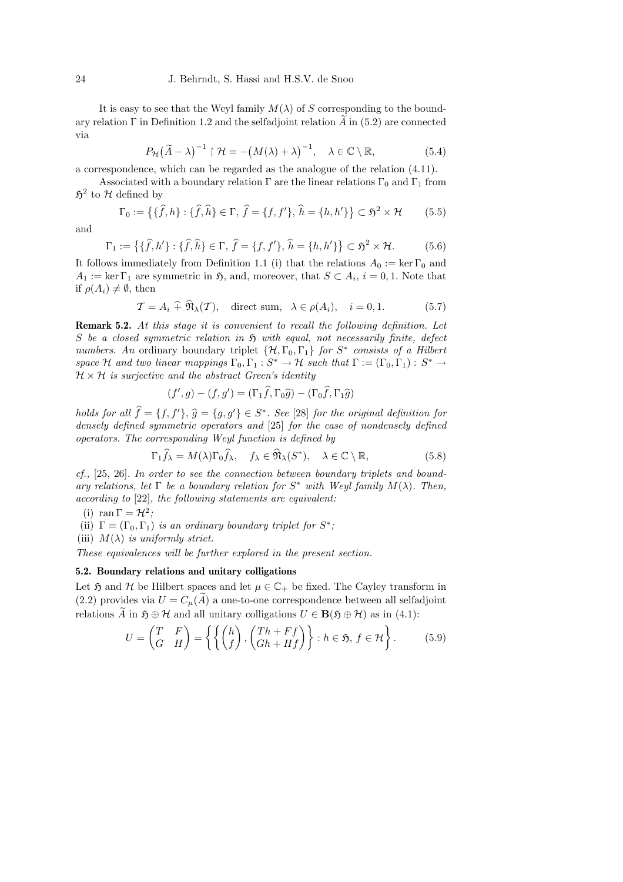It is easy to see that the Weyl family  $M(\lambda)$  of S corresponding to the boundary relation Γ in Definition 1.2 and the selfadjoint relation  $\widetilde{A}$  in (5.2) are connected via

$$
P_{\mathcal{H}}(\widetilde{A} - \lambda)^{-1} \upharpoonright \mathcal{H} = -\big(M(\lambda) + \lambda\big)^{-1}, \quad \lambda \in \mathbb{C} \setminus \mathbb{R},\tag{5.4}
$$

a correspondence, which can be regarded as the analogue of the relation (4.11).

Associated with a boundary relation  $\Gamma$  are the linear relations  $\Gamma_0$  and  $\Gamma_1$  from  $5^2$  to H defined by

$$
\Gamma_0 := \left\{ \{\widehat{f}, h\} : \{\widehat{f}, \widehat{h}\} \in \Gamma, \ \widehat{f} = \{f, f'\}, \ \widehat{h} = \{h, h'\} \right\} \subset \mathfrak{H}^2 \times \mathcal{H} \tag{5.5}
$$

and

$$
\Gamma_1 := \left\{ \{\widehat{f}, h'\} : \{\widehat{f}, \widehat{h}\} \in \Gamma, \ \widehat{f} = \{f, f'\}, \ \widehat{h} = \{h, h'\} \right\} \subset \mathfrak{H}^2 \times \mathcal{H}.
$$

It follows immediately from Definition 1.1 (i) that the relations  $A_0 := \ker \Gamma_0$  and  $A_1 := \ker \Gamma_1$  are symmetric in  $\mathfrak{H}$ , and, moreover, that  $S \subset A_i$ ,  $i = 0, 1$ . Note that if  $\rho(A_i) \neq \emptyset$ , then

$$
\mathcal{T} = A_i \hat{+} \hat{\mathfrak{M}}_{\lambda}(\mathcal{T}), \quad \text{direct sum, } \lambda \in \rho(A_i), \quad i = 0, 1. \tag{5.7}
$$

Remark 5.2. At this stage it is convenient to recall the following definition. Let S be a closed symmetric relation in  $\mathfrak H$  with equal, not necessarily finite, defect numbers. An ordinary boundary triplet  $\{\mathcal{H}, \Gamma_0, \Gamma_1\}$  for  $S^*$  consists of a Hilbert space H and two linear mappings  $\Gamma_0, \Gamma_1 : S^* \to H$  such that  $\Gamma := (\Gamma_0, \Gamma_1) : S^* \to H$  $\mathcal{H} \times \mathcal{H}$  is surjective and the abstract Green's identity

$$
(f', g) - (f, g') = (\Gamma_1 \hat{f}, \Gamma_0 \hat{g}) - (\Gamma_0 \hat{f}, \Gamma_1 \hat{g})
$$

holds for all  $\hat{f} = \{f, f'\}, \hat{g} = \{g, g'\} \in S^*$ . See [28] for the original definition for densely defined symmetric operators and [25] for the case of nondensely defined operators. The corresponding Weyl function is defined by

$$
\Gamma_1 \widehat{f}_{\lambda} = M(\lambda) \Gamma_0 \widehat{f}_{\lambda}, \quad f_{\lambda} \in \widehat{\mathfrak{N}}_{\lambda}(S^*), \quad \lambda \in \mathbb{C} \setminus \mathbb{R}, \tag{5.8}
$$

cf., [25, 26]. In order to see the connection between boundary triplets and boundary relations, let  $\Gamma$  be a boundary relation for  $S^*$  with Weyl family  $M(\lambda)$ . Then, according to [22], the following statements are equivalent:

(i) ran  $\Gamma = \mathcal{H}^2$ ;

(ii)  $\Gamma = (\Gamma_0, \Gamma_1)$  is an ordinary boundary triplet for  $S^*$ ;

(iii)  $M(\lambda)$  is uniformly strict.

These equivalences will be further explored in the present section.

#### 5.2. Boundary relations and unitary colligations

Let  $\mathfrak{H}$  and  $\mathcal H$  be Hilbert spaces and let  $\mu \in \mathbb{C}_+$  be fixed. The Cayley transform in (2.2) provides via  $U = C_{\mu}(A)$  a one-to-one correspondence between all selfadjoint relations  $\widetilde{A}$  in  $\mathfrak{H} \oplus \mathcal{H}$  and all unitary colligations  $U \in \mathbf{B}(\mathfrak{H} \oplus \mathcal{H})$  as in (4.1):

$$
U = \begin{pmatrix} T & F \\ G & H \end{pmatrix} = \left\{ \left\{ \begin{pmatrix} h \\ f \end{pmatrix}, \begin{pmatrix} Th + Ff \\ Gh + Hf \end{pmatrix} \right\} : h \in \mathfrak{H}, f \in \mathcal{H} \right\}.
$$
 (5.9)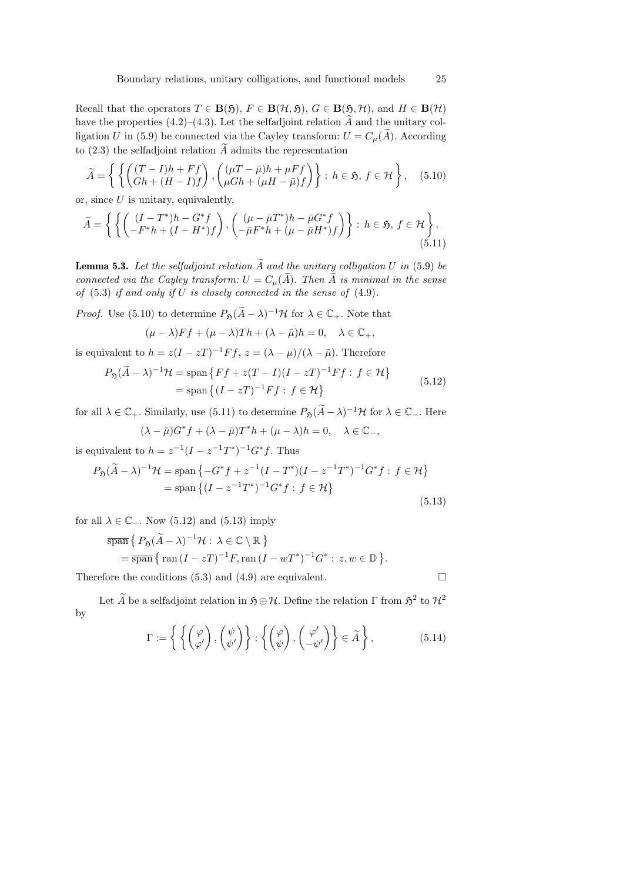Recall that the operators  $T \in \mathbf{B}(\mathfrak{H})$ ,  $F \in \mathbf{B}(\mathcal{H}, \mathfrak{H})$ ,  $G \in \mathbf{B}(\mathfrak{H}, \mathcal{H})$ , and  $H \in \mathbf{B}(\mathcal{H})$ have the properties (4.2)–(4.3). Let the selfadjoint relation  $\widetilde{A}$  and the unitary colligation U in (5.9) be connected via the Cayley transform:  $U = C_{\mu}(\widetilde{A})$ . According to  $(2.3)$  the selfadjoint relation  $\widetilde{A}$  admits the representation

$$
\widetilde{A} = \left\{ \left\{ \begin{pmatrix} (T-I)h + Ff \\ Gh + (H-I)f \end{pmatrix}, \begin{pmatrix} (\mu T - \bar{\mu})h + \mu Ff \\ \mu Gh + (\mu H - \bar{\mu})f \end{pmatrix} \right\} : h \in \mathfrak{H}, f \in \mathcal{H} \right\}, \quad (5.10)
$$

or, since  $U$  is unitary, equivalently,

$$
\widetilde{A} = \left\{ \left\{ \left( \begin{array}{c} (I - T^*)h - G^*f \\ -F^*h + (I - H^*)f \end{array} \right), \left( \begin{array}{c} (\mu - \bar{\mu}T^*)h - \bar{\mu}G^*f \\ -\bar{\mu}F^*h + (\mu - \bar{\mu}H^*)f \end{array} \right) \right\} : h \in \mathfrak{H}, f \in \mathcal{H} \right\}.
$$
\n(5.11)

**Lemma 5.3.** Let the selfadjoint relation  $\widetilde{A}$  and the unitary colligation U in (5.9) be connected via the Cayley transform:  $U = C_{\mu}(\widetilde{A})$ . Then  $\widetilde{A}$  is minimal in the sense of  $(5.3)$  if and only if U is closely connected in the sense of  $(4.9)$ .

*Proof.* Use (5.10) to determine  $P_{\mathfrak{H}}(\tilde{A}-\lambda)^{-1}$  H for  $\lambda \in \mathbb{C}_+$ . Note that

$$
(\mu-\lambda)Ff+(\mu-\lambda)Th+(\lambda-\bar{\mu})h=0,\quad \lambda\in\mathbb{C}_+,
$$

is equivalent to  $h = z(I - zT)^{-1}Ff$ ,  $z = (\lambda - \mu)/(\lambda - \bar{\mu})$ . Therefore

$$
P_{\mathfrak{H}}(\widetilde{A} - \lambda)^{-1} \mathcal{H} = \text{span}\left\{ F f + z(T - I)(I - zT)^{-1} F f : f \in \mathcal{H} \right\}
$$
  
= span  $\left\{ (I - zT)^{-1} F f : f \in \mathcal{H} \right\}$  (5.12)

for all  $\lambda \in \mathbb{C}_+$ . Similarly, use (5.11) to determine  $P_{\mathfrak{H}}(\widetilde{A}-\lambda)^{-1}$  H for  $\lambda \in \mathbb{C}_-$ . Here

$$
(\lambda - \bar{\mu})G^*f + (\lambda - \bar{\mu})T^*h + (\mu - \lambda)h = 0, \quad \lambda \in \mathbb{C}_-,
$$

is equivalent to  $h = z^{-1}(I - z^{-1}T^*)^{-1}G^*f$ . Thus

$$
P_{\mathfrak{H}}(\widetilde{A} - \lambda)^{-1} \mathcal{H} = \text{span}\left\{-G^* f + z^{-1}(I - T^*)(I - z^{-1}T^*)^{-1}G^* f : f \in \mathcal{H}\right\}
$$

$$
= \text{span}\left\{(I - z^{-1}T^*)^{-1}G^* f : f \in \mathcal{H}\right\}
$$
(5.13)

for all  $\lambda \in \mathbb{C}_-$ . Now (5.12) and (5.13) imply

$$
\overline{\operatorname{span}} \left\{ P_{\mathfrak{H}} (\widetilde{A} - \lambda)^{-1} \mathcal{H} : \lambda \in \mathbb{C} \setminus \mathbb{R} \right\}
$$
  
= 
$$
\overline{\operatorname{span}} \left\{ \operatorname{ran} (I - zT)^{-1} F, \operatorname{ran} (I - wT^*)^{-1} G^* : z, w \in \mathbb{D} \right\}.
$$

Therefore the conditions (5.3) and (4.9) are equivalent.  $\Box$ 

Let A be a selfadjoint relation in  $\mathfrak{H} \oplus \mathcal{H}$ . Define the relation Γ from  $\mathfrak{H}^2$  to  $\mathcal{H}^2$ by

$$
\Gamma := \left\{ \left\{ \begin{pmatrix} \varphi \\ \varphi' \end{pmatrix}, \begin{pmatrix} \psi \\ \psi' \end{pmatrix} \right\} : \left\{ \begin{pmatrix} \varphi \\ \psi \end{pmatrix}, \begin{pmatrix} \varphi' \\ -\psi' \end{pmatrix} \right\} \in \widetilde{A} \right\},\tag{5.14}
$$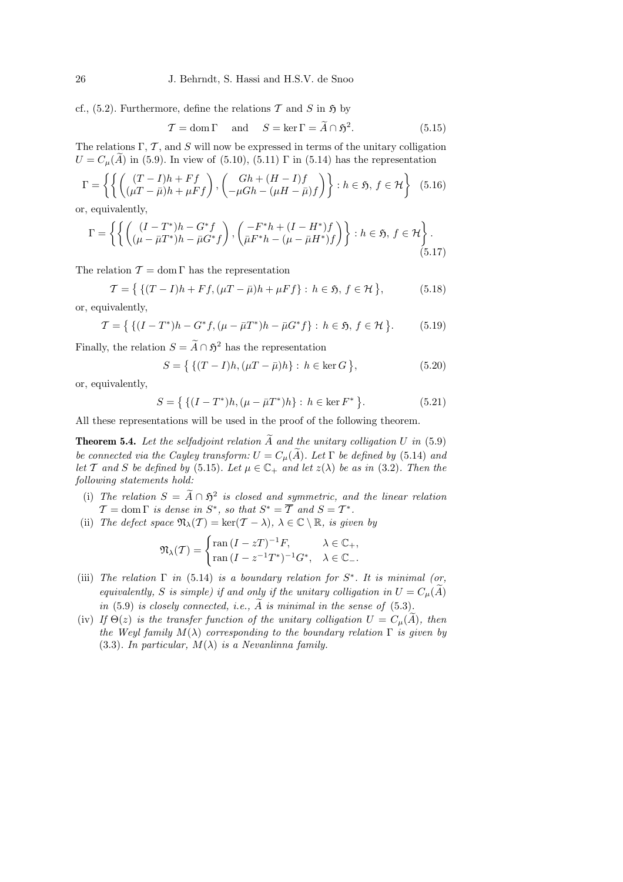cf., (5.2). Furthermore, define the relations  $\mathcal T$  and  $S$  in  $\mathfrak H$  by

$$
\mathcal{T} = \text{dom}\,\Gamma \quad \text{and} \quad S = \ker \Gamma = \widetilde{A} \cap \mathfrak{H}^2. \tag{5.15}
$$

The relations Γ,  $\mathcal T$ , and S will now be expressed in terms of the unitary colligation  $U = C_{\mu}(\tilde{A})$  in (5.9). In view of (5.10), (5.11)  $\Gamma$  in (5.14) has the representation

$$
\Gamma = \left\{ \left\{ \left( \begin{array}{c} (T - I)h + Ff \\ (\mu T - \bar{\mu})h + \mu Ff \end{array} \right), \left( \begin{array}{c} Gh + (H - I)f \\ -\mu Gh - (\mu H - \bar{\mu})f \end{array} \right) \right\} : h \in \mathfrak{H}, f \in \mathcal{H} \right\} \tag{5.16}
$$

or, equivalently,

$$
\Gamma = \left\{ \left\{ \left( \begin{matrix} (I - T^*)h - G^*f \\ (\mu - \bar{\mu}T^*)h - \bar{\mu}G^*f \end{matrix} \right), \left( \begin{matrix} -F^*h + (I - H^*)f \\ \bar{\mu}F^*h - (\mu - \bar{\mu}H^*)f \end{matrix} \right) \right\} : h \in \mathfrak{H}, f \in \mathcal{H} \right\}.
$$
\n(5.17)

The relation  $\mathcal{T} = \text{dom }\Gamma$  has the representation

$$
\mathcal{T} = \{ \{ (T - I)h + Ff, (\mu T - \bar{\mu})h + \mu Ff \} : h \in \mathfrak{H}, f \in \mathcal{H} \},\tag{5.18}
$$

or, equivalently,

$$
\mathcal{T} = \{ \{ (I - T^*)h - G^*f, (\mu - \bar{\mu}T^*)h - \bar{\mu}G^*f \} : h \in \mathfrak{H}, f \in \mathcal{H} \}. \tag{5.19}
$$

Finally, the relation  $S = \tilde{A} \cap \mathfrak{H}^2$  has the representation

$$
S = \{ \{ (T - I)h, (\mu T - \bar{\mu})h \} : h \in \ker G \},
$$
\n(5.20)

or, equivalently,

 $\mathcal{L}$ 

$$
S = \{ \{ (I - T^*)h, (\mu - \bar{\mu}T^*)h \} : h \in \ker F^* \}.
$$
 (5.21)

All these representations will be used in the proof of the following theorem.

**Theorem 5.4.** Let the selfadjoint relation  $\widetilde{A}$  and the unitary colligation U in (5.9) be connected via the Cayley transform:  $U = C_{\mu}(\widetilde{A})$ . Let  $\Gamma$  be defined by (5.14) and let T and S be defined by (5.15). Let  $\mu \in \mathbb{C}_+$  and let  $z(\lambda)$  be as in (3.2). Then the following statements hold:

- (i) The relation  $S = A \cap \mathfrak{H}^2$  is closed and symmetric, and the linear relation  $\mathcal{T} = \text{dom } \Gamma$  is dense in  $S^*$ , so that  $S^* = \overline{\mathcal{T}}$  and  $S = \mathcal{T}^*$ .
- (ii) The defect space  $\mathfrak{N}_{\lambda}(\mathcal{T}) = \ker(\mathcal{T} \lambda)$ ,  $\lambda \in \mathbb{C} \setminus \mathbb{R}$ , is given by

$$
\mathfrak{N}_{\lambda}(\mathcal{T}) = \begin{cases} \operatorname{ran} (I - zT)^{-1} F, & \lambda \in \mathbb{C}_+, \\ \operatorname{ran} (I - z^{-1} T^*)^{-1} G^*, & \lambda \in \mathbb{C}_-. \end{cases}
$$

- (iii) The relation  $\Gamma$  in (5.14) is a boundary relation for  $S^*$ . It is minimal (or, equivalently, S is simple) if and only if the unitary colligation in  $U = C_u(\tilde{A})$ in (5.9) is closely connected, i.e.,  $\tilde{A}$  is minimal in the sense of (5.3).
- (iv) If  $\Theta(z)$  is the transfer function of the unitary colligation  $U = C_u(\widetilde{A})$ , then the Weyl family  $M(\lambda)$  corresponding to the boundary relation  $\Gamma$  is given by (3.3). In particular,  $M(\lambda)$  is a Nevanlinna family.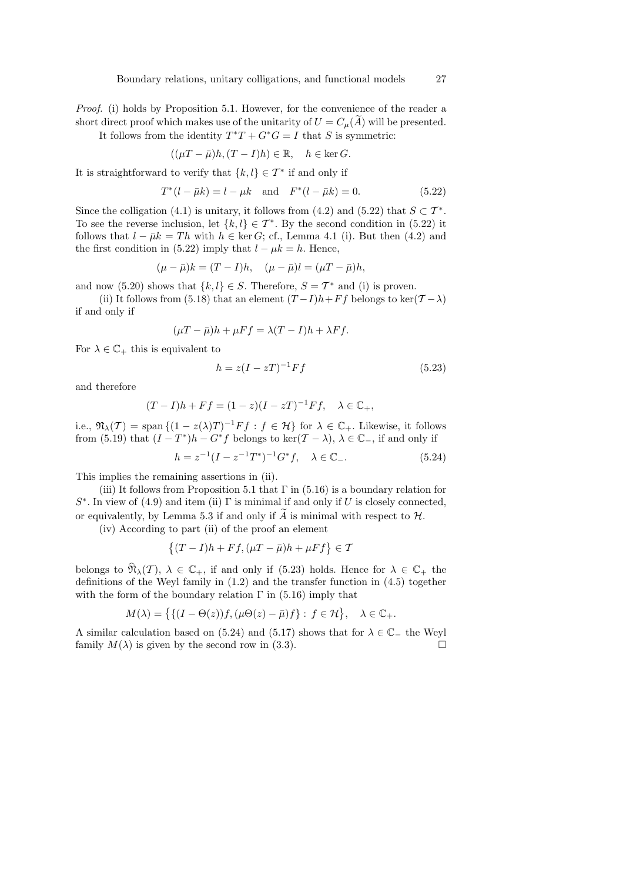Proof. (i) holds by Proposition 5.1. However, for the convenience of the reader a short direct proof which makes use of the unitarity of  $U = C_u(\widetilde{A})$  will be presented. It follows from the identity  $T^*T + G^*G = I$  that S is symmetric:

$$
((\mu T - \bar{\mu})h, (T - I)h) \in \mathbb{R}, \quad h \in \ker G.
$$

It is straightforward to verify that  $\{k, l\} \in \mathcal{T}^*$  if and only if

$$
T^*(l - \bar{\mu}k) = l - \mu k \text{ and } F^*(l - \bar{\mu}k) = 0.
$$
 (5.22)

Since the colligation (4.1) is unitary, it follows from (4.2) and (5.22) that  $S \subset \mathcal{T}^*$ . To see the reverse inclusion, let  $\{k, l\} \in \mathcal{T}^*$ . By the second condition in (5.22) it follows that  $l - \bar{\mu}k = Th$  with  $h \in \text{ker } G$ ; cf., Lemma 4.1 (i). But then (4.2) and the first condition in (5.22) imply that  $l - \mu k = h$ . Hence,

$$
(\mu - \bar{\mu})k = (T - I)h, \quad (\mu - \bar{\mu})l = (\mu - \bar{\mu})h,
$$

and now (5.20) shows that  $\{k, l\} \in S$ . Therefore,  $S = \mathcal{T}^*$  and (i) is proven.

(ii) It follows from (5.18) that an element  $(T-I)h+Ff$  belongs to ker $(T-\lambda)$ if and only if

$$
(\mu T - \bar{\mu})h + \mu Ff = \lambda (T - I)h + \lambda Ff.
$$

For  $\lambda \in \mathbb{C}_+$  this is equivalent to

$$
h = z(I - zT)^{-1}Ff \tag{5.23}
$$

and therefore

$$
(T - I)h + Ff = (1 - z)(I - zT)^{-1}Ff, \quad \lambda \in \mathbb{C}_+,
$$

i.e.,  $\mathfrak{N}_{\lambda}(\mathcal{T}) = \text{span}\left\{ (1 - z(\lambda)\mathcal{T})^{-1} F f : f \in \mathcal{H} \right\}$  for  $\lambda \in \mathbb{C}_{+}$ . Likewise, it follows from (5.19) that  $(I - T^*)h - G^*f$  belongs to ker $(\mathcal{T} - \lambda), \lambda \in \mathbb{C}$ , if and only if

$$
h = z^{-1}(I - z^{-1}T^*)^{-1}G^*f, \quad \lambda \in \mathbb{C}_-.
$$
 (5.24)

This implies the remaining assertions in (ii).

(iii) It follows from Proposition 5.1 that  $\Gamma$  in (5.16) is a boundary relation for  $S^*$ . In view of (4.9) and item (ii)  $\Gamma$  is minimal if and only if U is closely connected, or equivalently, by Lemma 5.3 if and only if  $\tilde{A}$  is minimal with respect to  $\mathcal{H}$ .

(iv) According to part (ii) of the proof an element

$$
\{(T-I)h + Ff, (\mu T - \bar{\mu})h + \mu Ff\} \in \mathcal{T}
$$

belongs to  $\widehat{\mathfrak{N}}_{\lambda}(\mathcal{T})$ ,  $\lambda \in \mathbb{C}_+$ , if and only if (5.23) holds. Hence for  $\lambda \in \mathbb{C}_+$  the definitions of the Weyl family in (1.2) and the transfer function in (4.5) together with the form of the boundary relation  $\Gamma$  in (5.16) imply that

$$
M(\lambda) = \left\{ \{ (I - \Theta(z))f, (\mu \Theta(z) - \bar{\mu})f \} : f \in \mathcal{H} \right\}, \quad \lambda \in \mathbb{C}_{+}.
$$

A similar calculation based on (5.24) and (5.17) shows that for  $\lambda \in \mathbb{C}$  the Weyl family  $M(\lambda)$  is given by the second row in (3.3).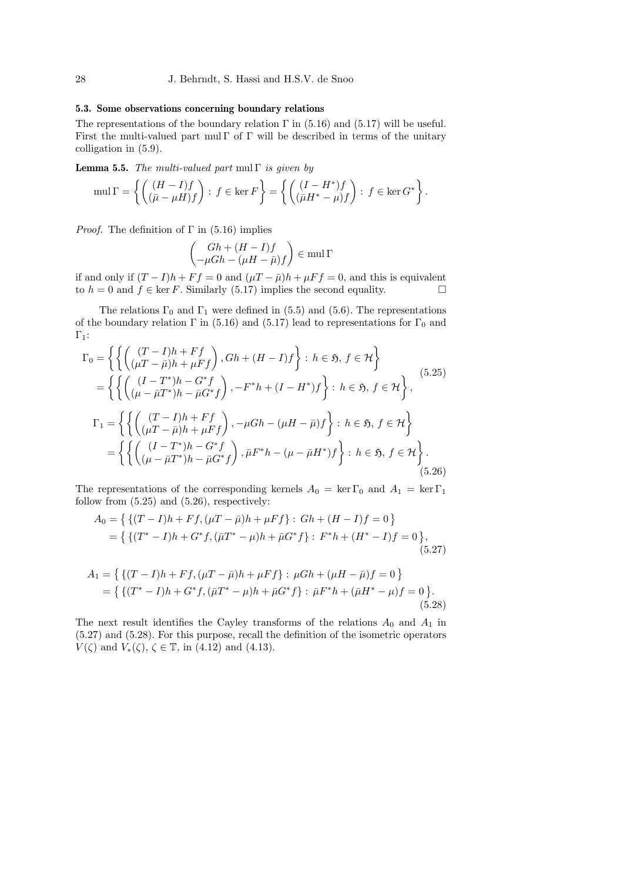# 5.3. Some observations concerning boundary relations

The representations of the boundary relation  $\Gamma$  in (5.16) and (5.17) will be useful. First the multi-valued part mul Γ of Γ will be described in terms of the unitary colligation in (5.9).

**Lemma 5.5.** The multi-valued part mul Γ is given by

$$
\operatorname{mul}\Gamma = \left\{ \begin{pmatrix} (H - I)f \\ (\bar{\mu} - \mu H)f \end{pmatrix} : f \in \ker F \right\} = \left\{ \begin{pmatrix} (I - H^*)f \\ (\bar{\mu}H^* - \mu)f \end{pmatrix} : f \in \ker G^* \right\}.
$$

*Proof.* The definition of  $\Gamma$  in (5.16) implies

$$
\begin{pmatrix} Gh+(H-I)f\\ -\mu Gh-(\mu H-\bar\mu)f\end{pmatrix}\in\operatorname{mul}\Gamma
$$

if and only if  $(T - I)h + Ff = 0$  and  $(\mu T - \bar{\mu})h + \mu Ff = 0$ , and this is equivalent to  $h = 0$  and  $f \in \text{ker } F$ . Similarly (5.17) implies the second equality.

The relations  $\Gamma_0$  and  $\Gamma_1$  were defined in (5.5) and (5.6). The representations of the boundary relation  $\Gamma$  in (5.16) and (5.17) lead to representations for  $\Gamma_0$  and  $\Gamma_1$ :

$$
\Gamma_0 = \left\{ \left\{ \left( \begin{matrix} (T-I)h + Ff \\ (\mu T - \bar{\mu})h + \mu Ff \end{matrix} \right), Gh + (H-I)f \right\} : h \in \mathfrak{H}, f \in \mathcal{H} \right\}
$$
\n
$$
= \left\{ \left\{ \left( \begin{matrix} (I - T^*)h - G^*f \\ (\mu - \bar{\mu}T^*)h - \bar{\mu}G^*f \end{matrix} \right), -F^*h + (I - H^*)f \right\} : h \in \mathfrak{H}, f \in \mathcal{H} \right\},
$$
\n
$$
\Gamma_1 = \left\{ \left\{ \left( \begin{matrix} (T-I)h + Ff \\ (\mu T - \bar{\mu})h + \mu Ff \end{matrix} \right), -\mu Gh - (\mu H - \bar{\mu})f \right\} : h \in \mathfrak{H}, f \in \mathcal{H} \right\}
$$
\n
$$
= \left\{ \left\{ \left( \begin{matrix} (I - T^*)h - G^*f \\ (\mu - \bar{\mu}T^*)h - \bar{\mu}G^*f \end{matrix} \right), \bar{\mu}F^*h - (\mu - \bar{\mu}H^*)f \right\} : h \in \mathfrak{H}, f \in \mathcal{H} \right\}.
$$
\n(5.26)

The representations of the corresponding kernels  $A_0 = \ker \Gamma_0$  and  $A_1 = \ker \Gamma_1$ follow from  $(5.25)$  and  $(5.26)$ , respectively:

$$
A_0 = \{ \{ (T - I)h + Ff, (\mu T - \bar{\mu})h + \mu Ff \} : Gh + (H - I)f = 0 \}
$$
  
= 
$$
\{ \{ (T^* - I)h + G^*f, (\bar{\mu}T^* - \mu)h + \bar{\mu}G^*f \} : F^*h + (H^* - I)f = 0 \},
$$
  
(5.27)

$$
A_1 = \{ \{ (T - I)h + Ff, (\mu T - \bar{\mu})h + \mu Ff \} : \mu Gh + (\mu H - \bar{\mu})f = 0 \}
$$
  
=  $\{ \{ (T^* - I)h + G^*f, (\bar{\mu}T^* - \mu)h + \bar{\mu}G^*f \} : \bar{\mu}F^*h + (\bar{\mu}H^* - \mu)f = 0 \}.$  (5.28)

The next result identifies the Cayley transforms of the relations  $A_0$  and  $A_1$  in (5.27) and (5.28). For this purpose, recall the definition of the isometric operators  $V(\zeta)$  and  $V_*(\zeta), \zeta \in \mathbb{T}$ , in (4.12) and (4.13).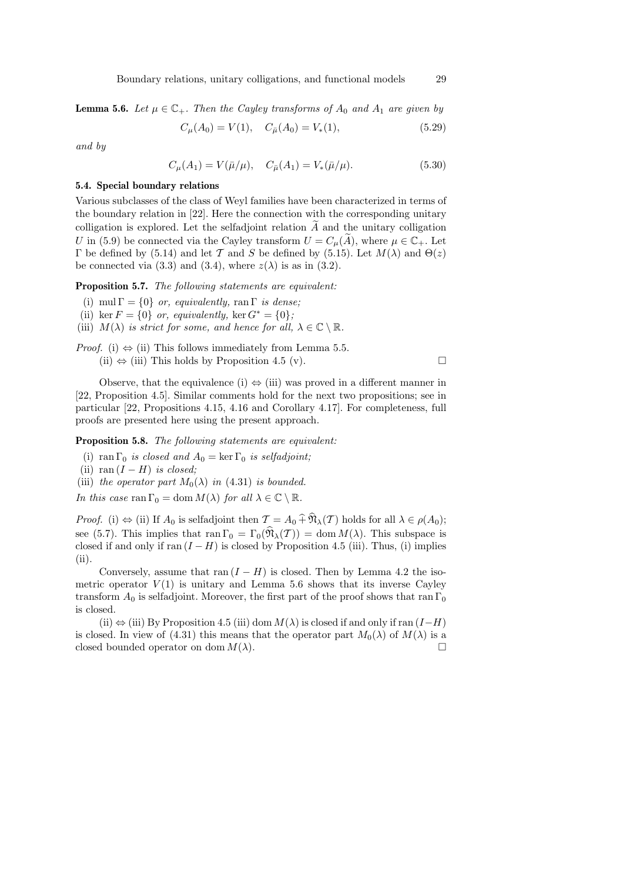**Lemma 5.6.** Let  $\mu \in \mathbb{C}_+$ . Then the Cayley transforms of  $A_0$  and  $A_1$  are given by

$$
C_{\mu}(A_0) = V(1), \quad C_{\bar{\mu}}(A_0) = V_*(1), \tag{5.29}
$$

and by

$$
C_{\mu}(A_1) = V(\bar{\mu}/\mu), \quad C_{\bar{\mu}}(A_1) = V_*(\bar{\mu}/\mu). \tag{5.30}
$$

## 5.4. Special boundary relations

Various subclasses of the class of Weyl families have been characterized in terms of the boundary relation in [22]. Here the connection with the corresponding unitary colligation is explored. Let the selfadjoint relation  $\tilde{A}$  and the unitary colligation U in (5.9) be connected via the Cayley transform  $U = C_{\mu}(A)$ , where  $\mu \in \mathbb{C}_{+}$ . Let Γ be defined by (5.14) and let T and S be defined by (5.15). Let  $M(λ)$  and  $Θ(z)$ be connected via (3.3) and (3.4), where  $z(\lambda)$  is as in (3.2).

Proposition 5.7. The following statements are equivalent:

- (i) mul  $\Gamma = \{0\}$  or, equivalently, ran  $\Gamma$  is dense;
- (ii) ker  $F = \{0\}$  or, equivalently, ker  $G^* = \{0\}$ ;
- (iii)  $M(\lambda)$  is strict for some, and hence for all,  $\lambda \in \mathbb{C} \setminus \mathbb{R}$ .

*Proof.* (i)  $\Leftrightarrow$  (ii) This follows immediately from Lemma 5.5. (ii)  $\Leftrightarrow$  (iii) This holds by Proposition 4.5 (v). □

Observe, that the equivalence (i)  $\Leftrightarrow$  (iii) was proved in a different manner in [22, Proposition 4.5]. Similar comments hold for the next two propositions; see in particular [22, Propositions 4.15, 4.16 and Corollary 4.17]. For completeness, full proofs are presented here using the present approach.

Proposition 5.8. The following statements are equivalent:

- (i) ran  $\Gamma_0$  is closed and  $A_0 = \ker \Gamma_0$  is selfadjoint;
- (ii) ran  $(I H)$  is closed;
- (iii) the operator part  $M_0(\lambda)$  in (4.31) is bounded.

In this case ran  $\Gamma_0 = \text{dom } M(\lambda)$  for all  $\lambda \in \mathbb{C} \setminus \mathbb{R}$ .

*Proof.* (i)  $\Leftrightarrow$  (ii) If  $A_0$  is selfadjoint then  $\mathcal{T} = A_0 \widehat{+} \widehat{\mathfrak{N}}_{\lambda}(\mathcal{T})$  holds for all  $\lambda \in \rho(A_0);$ see (5.7). This implies that  $\text{ran } \Gamma_0 = \Gamma_0(\widehat{\mathfrak{N}}_{\lambda}(\mathcal{T})) = \text{dom } M(\lambda)$ . This subspace is closed if and only if ran  $(I - H)$  is closed by Proposition 4.5 (iii). Thus, (i) implies (ii).

Conversely, assume that ran  $(I - H)$  is closed. Then by Lemma 4.2 the isometric operator  $V(1)$  is unitary and Lemma 5.6 shows that its inverse Cayley transform  $A_0$  is selfadjoint. Moreover, the first part of the proof shows that ran  $\Gamma_0$ is closed.

(ii)  $\Leftrightarrow$  (iii) By Proposition 4.5 (iii) dom  $M(\lambda)$  is closed if and only if ran (I−H) is closed. In view of (4.31) this means that the operator part  $M_0(\lambda)$  of  $M(\lambda)$  is a closed bounded operator on dom  $M(\lambda)$ .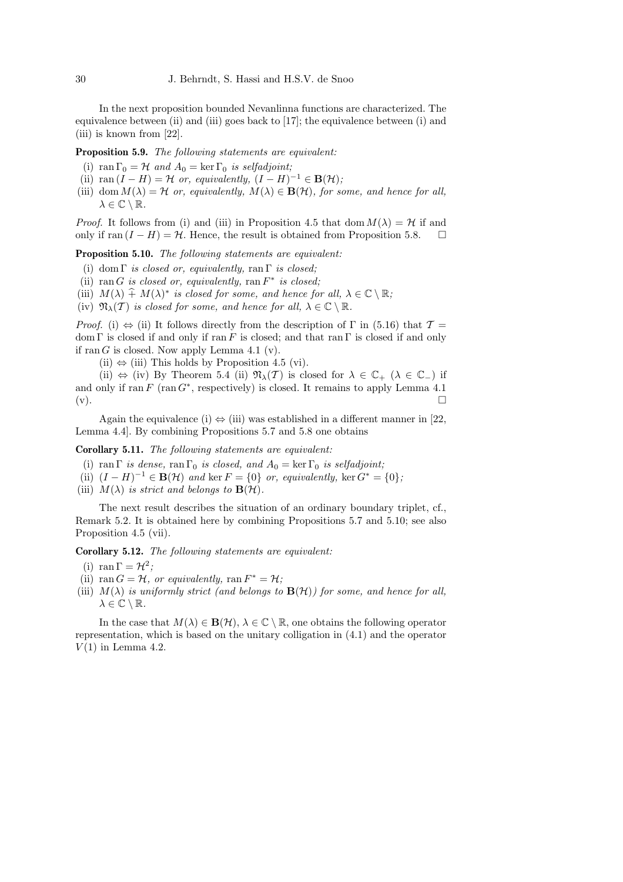In the next proposition bounded Nevanlinna functions are characterized. The equivalence between (ii) and (iii) goes back to [17]; the equivalence between (i) and (iii) is known from [22].

Proposition 5.9. The following statements are equivalent:

- (i) ran  $\Gamma_0 = H$  and  $A_0 = \ker \Gamma_0$  is selfadjoint;
- (ii) ran  $(I H) = H$  or, equivalently,  $(I H)^{-1} \in \mathbf{B}(\mathcal{H})$ ;
- (iii) dom  $M(\lambda) = H$  or, equivalently,  $M(\lambda) \in \mathbf{B}(\mathcal{H})$ , for some, and hence for all,  $\lambda \in \mathbb{C} \setminus \mathbb{R}$ .

*Proof.* It follows from (i) and (iii) in Proposition 4.5 that dom  $M(\lambda) = H$  if and only if ran  $(I - H) = H$ . Hence, the result is obtained from Proposition 5.8.  $\Box$ 

Proposition 5.10. The following statements are equivalent:

- (i) dom  $\Gamma$  is closed or, equivalently, ran  $\Gamma$  is closed;
- (ii) ran G is closed or, equivalently, ran  $F^*$  is closed;
- (iii)  $M(\lambda) \hat{+} M(\lambda)^*$  is closed for some, and hence for all,  $\lambda \in \mathbb{C} \setminus \mathbb{R}$ ;
- (iv)  $\mathfrak{N}_{\lambda}(\mathcal{T})$  is closed for some, and hence for all,  $\lambda \in \mathbb{C} \setminus \mathbb{R}$ .

*Proof.* (i)  $\Leftrightarrow$  (ii) It follows directly from the description of Γ in (5.16) that  $\mathcal{T} =$ dom Γ is closed if and only if ran F is closed; and that ran Γ is closed if and only if ran G is closed. Now apply Lemma 4.1 (v).

 $(ii) \Leftrightarrow (iii)$  This holds by Proposition 4.5 (vi).

(ii)  $\Leftrightarrow$  (iv) By Theorem 5.4 (ii)  $\mathfrak{N}_{\lambda}(T)$  is closed for  $\lambda \in \mathbb{C}_{+}$  ( $\lambda \in \mathbb{C}_{-}$ ) if and only if  $\text{ran } F$  ( $\text{ran } G^*$ , respectively) is closed. It remains to apply Lemma 4.1  $(v)$ .

Again the equivalence (i)  $\Leftrightarrow$  (iii) was established in a different manner in [22, Lemma 4.4]. By combining Propositions 5.7 and 5.8 one obtains

Corollary 5.11. The following statements are equivalent:

- (i) ran Γ is dense, ran Γ<sub>0</sub> is closed, and  $A_0 = \ker \Gamma_0$  is selfadjoint;
- (ii)  $(I H)^{-1} \in \mathbf{B}(\mathcal{H})$  and ker  $F = \{0\}$  or, equivalently, ker  $G^* = \{0\}$ ;
- (iii)  $M(\lambda)$  is strict and belongs to  $\mathbf{B}(\mathcal{H})$ .

The next result describes the situation of an ordinary boundary triplet, cf., Remark 5.2. It is obtained here by combining Propositions 5.7 and 5.10; see also Proposition 4.5 (vii).

Corollary 5.12. The following statements are equivalent:

(i) ran  $\Gamma = \mathcal{H}^2$ ;

- (ii) ran  $G = H$ , or equivalently, ran  $F^* = H$ ;
- (iii)  $M(\lambda)$  is uniformly strict (and belongs to  $\mathbf{B}(\mathcal{H})$ ) for some, and hence for all,  $\lambda \in \mathbb{C} \setminus \mathbb{R}$ .

In the case that  $M(\lambda) \in \mathbf{B}(\mathcal{H}), \lambda \in \mathbb{C} \setminus \mathbb{R}$ , one obtains the following operator representation, which is based on the unitary colligation in (4.1) and the operator  $V(1)$  in Lemma 4.2.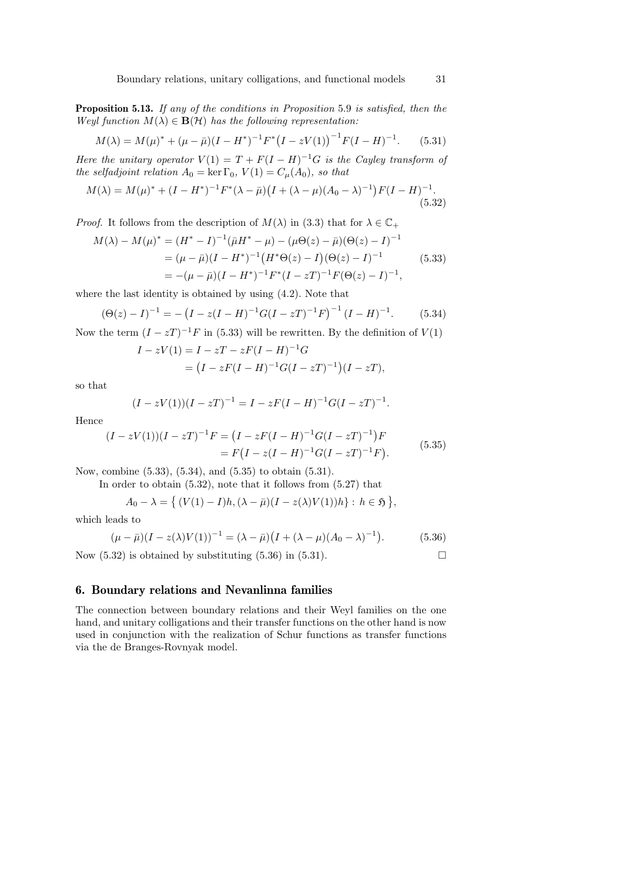Proposition 5.13. If any of the conditions in Proposition 5.9 is satisfied, then the Weyl function  $M(\lambda) \in \mathbf{B}(\mathcal{H})$  has the following representation:

$$
M(\lambda) = M(\mu)^* + (\mu - \bar{\mu})(I - H^*)^{-1}F^* (I - zV(1))^{-1}F(I - H)^{-1}.
$$
 (5.31)

Here the unitary operator  $V(1) = T + F(I - H)^{-1}G$  is the Cayley transform of the selfadjoint relation  $A_0 = \ker \Gamma_0$ ,  $V(1) = C_\mu(A_0)$ , so that

$$
M(\lambda) = M(\mu)^* + (I - H^*)^{-1} F^* (\lambda - \bar{\mu}) (I + (\lambda - \mu)(A_0 - \lambda)^{-1}) F(I - H)^{-1}.
$$
\n(5.32)

*Proof.* It follows from the description of  $M(\lambda)$  in (3.3) that for  $\lambda \in \mathbb{C}_+$ 

$$
M(\lambda) - M(\mu)^* = (H^* - I)^{-1}(\bar{\mu}H^* - \mu) - (\mu \Theta(z) - \bar{\mu})(\Theta(z) - I)^{-1}
$$
  
=  $(\mu - \bar{\mu})(I - H^*)^{-1}(H^* \Theta(z) - I)(\Theta(z) - I)^{-1}$  (5.33)  
=  $-(\mu - \bar{\mu})(I - H^*)^{-1}F^*(I - zT)^{-1}F(\Theta(z) - I)^{-1}$ ,

where the last identity is obtained by using (4.2). Note that

$$
(\Theta(z) - I)^{-1} = -\left(I - z(I - H)^{-1}G(I - zT)^{-1}F\right)^{-1}\left(I - H\right)^{-1}.\tag{5.34}
$$

Now the term  $(I - zT)^{-1}F$  in (5.33) will be rewritten. By the definition of  $V(1)$ 

$$
I - zV(1) = I - zT - zF(I - H)^{-1}G
$$
  
=  $(I - zF(I - H)^{-1}G(I - zT)^{-1})(I - zT),$ 

so that

$$
(I - zV(1))(I - zT)^{-1} = I - zF(I - H)^{-1}G(I - zT)^{-1}.
$$

Hence

$$
(I - zV(1))(I - zT)^{-1}F = (I - zF(I - H)^{-1}G(I - zT)^{-1})F
$$
  
=  $F(I - z(I - H)^{-1}G(I - zT)^{-1}F).$  (5.35)

Now, combine (5.33), (5.34), and (5.35) to obtain (5.31).

In order to obtain (5.32), note that it follows from (5.27) that

$$
A_0 - \lambda = \left\{ (V(1) - I)h, (\lambda - \bar{\mu})(I - z(\lambda)V(1))h \right\} : h \in \mathfrak{H} \right\},\
$$

which leads to

$$
(\mu - \bar{\mu})(I - z(\lambda)V(1))^{-1} = (\lambda - \bar{\mu})(I + (\lambda - \mu)(A_0 - \lambda)^{-1}).
$$
\n(5.36)

Now  $(5.32)$  is obtained by substituting  $(5.36)$  in  $(5.31)$ .

## 6. Boundary relations and Nevanlinna families

The connection between boundary relations and their Weyl families on the one hand, and unitary colligations and their transfer functions on the other hand is now used in conjunction with the realization of Schur functions as transfer functions via the de Branges-Rovnyak model.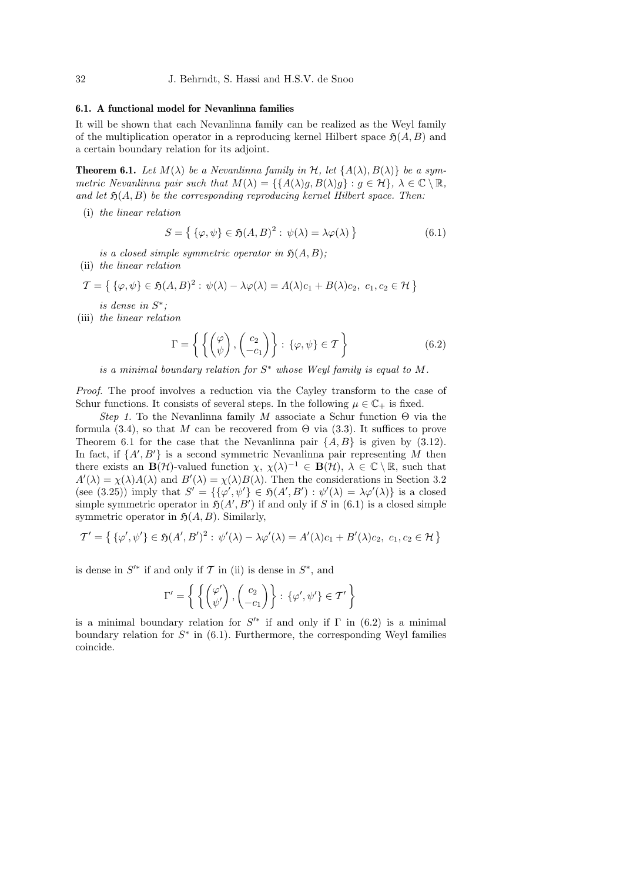## 6.1. A functional model for Nevanlinna families

It will be shown that each Nevanlinna family can be realized as the Weyl family of the multiplication operator in a reproducing kernel Hilbert space  $\mathfrak{H}(A, B)$  and a certain boundary relation for its adjoint.

**Theorem 6.1.** Let  $M(\lambda)$  be a Nevanlinna family in H, let  $\{A(\lambda), B(\lambda)\}\$  be a symmetric Nevanlinna pair such that  $M(\lambda) = \{ \{A(\lambda)g, B(\lambda)g\} : g \in \mathcal{H} \}, \lambda \in \mathbb{C} \setminus \mathbb{R},$ and let  $\mathfrak{H}(A, B)$  be the corresponding reproducing kernel Hilbert space. Then:

(i) the linear relation

$$
S = \left\{ \{ \varphi, \psi \} \in \mathfrak{H}(A, B)^2 : \psi(\lambda) = \lambda \varphi(\lambda) \right\}
$$
 (6.1)

is a closed simple symmetric operator in  $\mathfrak{H}(A, B)$ :

(ii) the linear relation

$$
\mathcal{T} = \left\{ \{ \varphi, \psi \} \in \mathfrak{H}(A, B)^2 : \psi(\lambda) - \lambda \varphi(\lambda) = A(\lambda)c_1 + B(\lambda)c_2, \ c_1, c_2 \in \mathcal{H} \right\}
$$

is dense in  $S^*$ ;

(iii) the linear relation

$$
\Gamma = \left\{ \left\{ \begin{pmatrix} \varphi \\ \psi \end{pmatrix}, \begin{pmatrix} c_2 \\ -c_1 \end{pmatrix} \right\} : \{ \varphi, \psi \} \in \mathcal{T} \right\}
$$
(6.2)

is a minimal boundary relation for  $S^*$  whose Weyl family is equal to  $M$ .

Proof. The proof involves a reduction via the Cayley transform to the case of Schur functions. It consists of several steps. In the following  $\mu \in \mathbb{C}_+$  is fixed.

Step 1. To the Nevanlinna family M associate a Schur function  $\Theta$  via the formula (3.4), so that M can be recovered from  $\Theta$  via (3.3). It suffices to prove Theorem 6.1 for the case that the Nevanlinna pair  $\{A, B\}$  is given by (3.12). In fact, if  $\{A', B'\}$  is a second symmetric Nevanlinna pair representing M then there exists an  $\mathbf{B}(\mathcal{H})$ -valued function  $\chi$ ,  $\chi(\lambda)^{-1} \in \mathbf{B}(\mathcal{H})$ ,  $\lambda \in \mathbb{C} \setminus \mathbb{R}$ , such that  $A'(\lambda) = \chi(\lambda)A(\lambda)$  and  $B'(\lambda) = \chi(\lambda)B(\lambda)$ . Then the considerations in Section 3.2 (see (3.25)) imply that  $S' = \{ \{ \varphi', \psi' \} \in \mathfrak{H}(A', B') : \psi'(\lambda) = \lambda \varphi'(\lambda) \}$  is a closed simple symmetric operator in  $\mathfrak{H}(A', B')$  if and only if S in (6.1) is a closed simple symmetric operator in  $\mathfrak{H}(A, B)$ . Similarly,

$$
\mathcal{T}' = \left\{ \left\{ \varphi', \psi' \right\} \in \mathfrak{H}(A', B')^2 : \psi'(\lambda) - \lambda \varphi'(\lambda) = A'(\lambda)c_1 + B'(\lambda)c_2, \ c_1, c_2 \in \mathcal{H} \right\}
$$

is dense in  $S'^*$  if and only if  $\mathcal T$  in (ii) is dense in  $S^*$ , and

$$
\Gamma' = \left\{ \left\{ \begin{pmatrix} \varphi' \\ \psi' \end{pmatrix}, \begin{pmatrix} c_2 \\ -c_1 \end{pmatrix} \right\} : \{ \varphi', \psi' \} \in \mathcal{T}' \right\}
$$

is a minimal boundary relation for  $S^{\prime*}$  if and only if  $\Gamma$  in (6.2) is a minimal boundary relation for  $S^*$  in (6.1). Furthermore, the corresponding Weyl families coincide.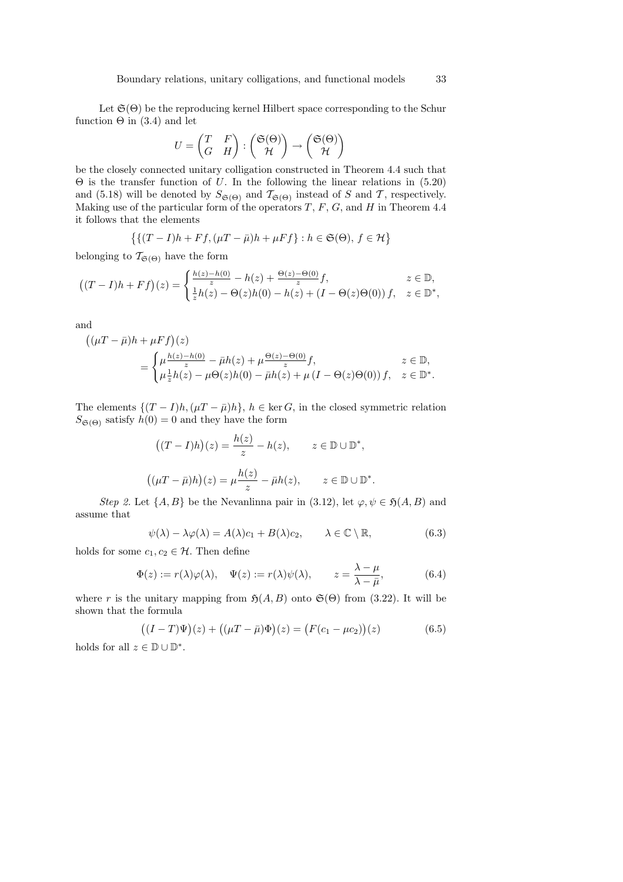Let  $\mathfrak{S}(\Theta)$  be the reproducing kernel Hilbert space corresponding to the Schur function  $\Theta$  in (3.4) and let

$$
U = \begin{pmatrix} T & F \\ G & H \end{pmatrix} : \begin{pmatrix} \mathfrak{S}(\Theta) \\ \mathcal{H} \end{pmatrix} \rightarrow \begin{pmatrix} \mathfrak{S}(\Theta) \\ \mathcal{H} \end{pmatrix}
$$

be the closely connected unitary colligation constructed in Theorem 4.4 such that  $\Theta$  is the transfer function of U. In the following the linear relations in (5.20) and (5.18) will be denoted by  $S_{\mathfrak{S}(\Theta)}$  and  $\mathcal{T}_{\mathfrak{S}(\Theta)}$  instead of S and T, respectively. Making use of the particular form of the operators  $T, F, G$ , and  $H$  in Theorem 4.4 it follows that the elements

$$
\big\{\{(T-I)h + Ff, (\mu T - \bar{\mu})h + \mu Ff\} : h \in \mathfrak{S}(\Theta), f \in \mathcal{H}\big\}
$$

belonging to  $\mathcal{T}_{\mathfrak{S}(\Theta)}$  have the form

$$
((T-I)h + Ff)(z) = \begin{cases} \frac{h(z)-h(0)}{z} - h(z) + \frac{\Theta(z)-\Theta(0)}{z}f, & z \in \mathbb{D}, \\ \frac{1}{z}h(z) - \Theta(z)h(0) - h(z) + (I - \Theta(z)\Theta(0))f, & z \in \mathbb{D}^*, \end{cases}
$$

and

$$
\begin{aligned} \left( (\mu T - \bar{\mu})h + \mu Ff \right) & (z) \\ &= \begin{cases} \mu \frac{h(z) - h(0)}{z} - \bar{\mu}h(z) + \mu \frac{\Theta(z) - \Theta(0)}{z} f, & z \in \mathbb{D}, \\ \mu \frac{1}{z}h(z) - \mu \Theta(z)h(0) - \bar{\mu}h(z) + \mu \left( I - \Theta(z)\Theta(0) \right) f, & z \in \mathbb{D}^* . \end{cases} \end{aligned}
$$

The elements  $\{(T - I)h, (\mu T - \bar{\mu})h\}, h \in \ker G$ , in the closed symmetric relation  $S_{\mathfrak{S}(\Theta)}$  satisfy  $h(0) = 0$  and they have the form

$$
\left((T - I)h\right)(z) = \frac{h(z)}{z} - h(z), \qquad z \in \mathbb{D} \cup \mathbb{D}^*,
$$

$$
\left((\mu T - \bar{\mu})h\right)(z) = \mu \frac{h(z)}{z} - \bar{\mu}h(z), \qquad z \in \mathbb{D} \cup \mathbb{D}^*.
$$

Step 2. Let  $\{A, B\}$  be the Nevanlinna pair in (3.12), let  $\varphi, \psi \in \mathfrak{H}(A, B)$  and assume that

$$
\psi(\lambda) - \lambda \varphi(\lambda) = A(\lambda)c_1 + B(\lambda)c_2, \qquad \lambda \in \mathbb{C} \setminus \mathbb{R}, \tag{6.3}
$$

holds for some  $c_1, c_2 \in \mathcal{H}$ . Then define

$$
\Phi(z) := r(\lambda)\varphi(\lambda), \quad \Psi(z) := r(\lambda)\psi(\lambda), \qquad z = \frac{\lambda - \mu}{\lambda - \bar{\mu}}, \tag{6.4}
$$

where r is the unitary mapping from  $\mathfrak{H}(A, B)$  onto  $\mathfrak{S}(\Theta)$  from (3.22). It will be shown that the formula

$$
((I - T)\Psi)(z) + ((\mu T - \bar{\mu})\Phi)(z) = (F(c_1 - \mu c_2))(z)
$$
\n(6.5)

holds for all  $z \in \mathbb{D} \cup \mathbb{D}^*$ .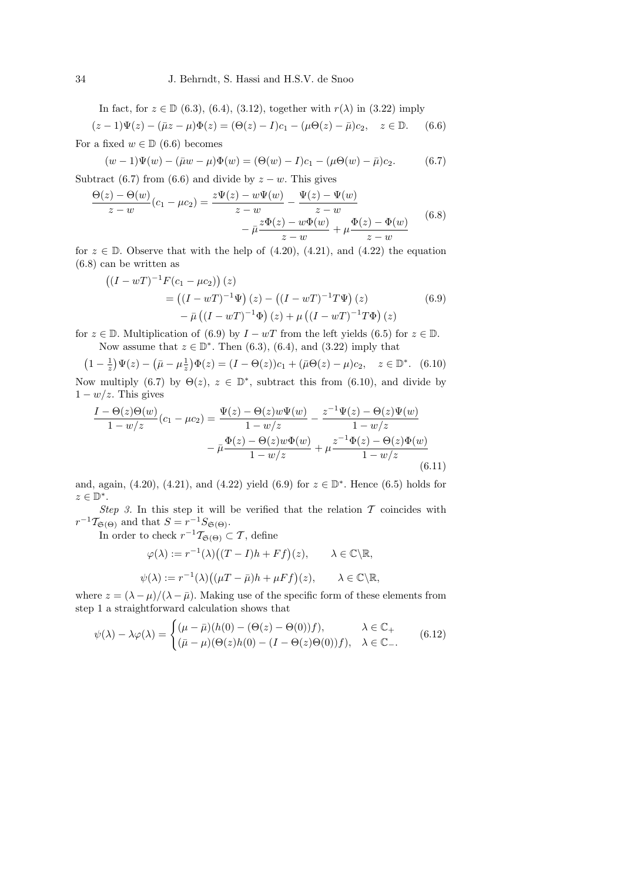In fact, for  $z \in \mathbb{D}$  (6.3), (6.4), (3.12), together with  $r(\lambda)$  in (3.22) imply

$$
(z-1)\Psi(z) - (\bar{\mu}z - \mu)\Phi(z) = (\Theta(z) - I)c_1 - (\mu\Theta(z) - \bar{\mu})c_2, \quad z \in \mathbb{D}.
$$
 (6.6)  
For a fixed  $w \in \mathbb{D}$  (6.6) becomes

$$
(w-1)\Psi(w) - (\bar{\mu}w - \mu)\Phi(w) = (\Theta(w) - I)c_1 - (\mu\Theta(w) - \bar{\mu})c_2.
$$
 (6.7)

Subtract (6.7) from (6.6) and divide by  $z - w$ . This gives

$$
\frac{\Theta(z) - \Theta(w)}{z - w}(c_1 - \mu c_2) = \frac{z\Psi(z) - w\Psi(w)}{z - w} - \frac{\Psi(z) - \Psi(w)}{z - w} - \bar{\mu}\frac{z\Phi(z) - w\Phi(w)}{z - w} + \mu\frac{\Phi(z) - \Phi(w)}{z - w}
$$
(6.8)

for  $z \in \mathbb{D}$ . Observe that with the help of (4.20), (4.21), and (4.22) the equation (6.8) can be written as

$$
((I - wT)^{-1}F(c_1 - \mu c_2))(z)
$$
  
= 
$$
((I - wT)^{-1}\Psi)(z) - ((I - wT)^{-1}T\Psi)(z)
$$
  

$$
- \bar{\mu} ((I - wT)^{-1}\Phi)(z) + \mu ((I - wT)^{-1}T\Phi)(z)
$$
(6.9)

for  $z \in \mathbb{D}$ . Multiplication of (6.9) by  $I - wT$  from the left yields (6.5) for  $z \in \mathbb{D}$ . Now assume that  $z \in \mathbb{D}^*$ . Then (6.3), (6.4), and (3.22) imply that

 $(1 - \frac{1}{z})\Psi(z) - (\bar{\mu} - \mu \frac{1}{z})\Phi(z) = (I - \Theta(z))c_1 + (\bar{\mu}\Theta(z) - \mu)c_2, \quad z \in \mathbb{D}^*.$  (6.10) Now multiply (6.7) by  $\Theta(z)$ ,  $z \in \mathbb{D}^*$ , subtract this from (6.10), and divide by  $1 - w/z$ . This gives

$$
\frac{I - \Theta(z)\Theta(w)}{1 - w/z}(c_1 - \mu c_2) = \frac{\Psi(z) - \Theta(z)w\Psi(w)}{1 - w/z} - \frac{z^{-1}\Psi(z) - \Theta(z)\Psi(w)}{1 - w/z} - \frac{\Phi(z) - \Theta(z)w\Phi(w)}{1 - w/z} + \mu \frac{z^{-1}\Phi(z) - \Theta(z)\Phi(w)}{1 - w/z}
$$
(6.11)

and, again,  $(4.20)$ ,  $(4.21)$ , and  $(4.22)$  yield  $(6.9)$  for  $z \in \mathbb{D}^*$ . Hence  $(6.5)$  holds for  $z \in \mathbb{D}^*$ .

Step 3. In this step it will be verified that the relation  $\mathcal T$  coincides with  $r^{-1}\mathcal{I}_{\mathfrak{S}(\Theta)}$  and that  $S = r^{-1}S_{\mathfrak{S}(\Theta)}$ .

In order to check  $r^{-1}\mathcal{I}_{\mathfrak{S}(\Theta)} \subset \mathcal{T}$ , define

$$
\varphi(\lambda) := r^{-1}(\lambda) \big( (T - I)h + Ff \big)(z), \qquad \lambda \in \mathbb{C} \backslash \mathbb{R},
$$
  

$$
\psi(\lambda) := r^{-1}(\lambda) \big( (\mu T - \bar{\mu})h + \mu Ff \big)(z), \qquad \lambda \in \mathbb{C} \backslash \mathbb{R},
$$

where  $z = (\lambda - \mu)/(\lambda - \bar{\mu})$ . Making use of the specific form of these elements from step 1 a straightforward calculation shows that

$$
\psi(\lambda) - \lambda \varphi(\lambda) = \begin{cases}\n(\mu - \bar{\mu})(h(0) - (\Theta(z) - \Theta(0))f), & \lambda \in \mathbb{C}_+ \\
(\bar{\mu} - \mu)(\Theta(z)h(0) - (I - \Theta(z)\Theta(0))f), & \lambda \in \mathbb{C}_-\n\end{cases}
$$
\n(6.12)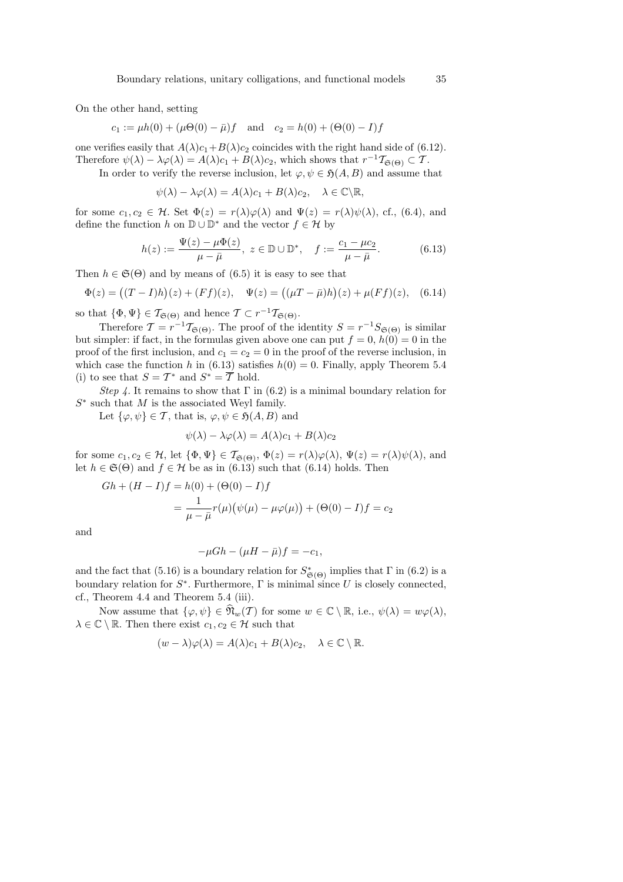On the other hand, setting

$$
c_1 := \mu h(0) + (\mu \Theta(0) - \bar{\mu})f
$$
 and  $c_2 = h(0) + (\Theta(0) - I)f$ 

one verifies easily that  $A(\lambda)c_1+B(\lambda)c_2$  coincides with the right hand side of (6.12). Therefore  $\psi(\lambda) - \lambda \varphi(\lambda) = A(\lambda)c_1 + B(\lambda)c_2$ , which shows that  $r^{-1}\mathcal{T}_{\mathfrak{S}(\Theta)} \subset \mathcal{T}$ .

In order to verify the reverse inclusion, let  $\varphi, \psi \in \mathfrak{H}(A, B)$  and assume that

$$
\psi(\lambda) - \lambda \varphi(\lambda) = A(\lambda)c_1 + B(\lambda)c_2, \quad \lambda \in \mathbb{C} \backslash \mathbb{R},
$$

for some  $c_1, c_2 \in \mathcal{H}$ . Set  $\Phi(z) = r(\lambda)\varphi(\lambda)$  and  $\Psi(z) = r(\lambda)\psi(\lambda)$ , cf., (6.4), and define the function h on  $\mathbb{D} \cup \mathbb{D}^*$  and the vector  $f \in \mathcal{H}$  by

$$
h(z) := \frac{\Psi(z) - \mu \Phi(z)}{\mu - \bar{\mu}}, \ z \in \mathbb{D} \cup \mathbb{D}^*, \ f := \frac{c_1 - \mu c_2}{\mu - \bar{\mu}}.
$$
 (6.13)

Then  $h \in \mathfrak{S}(\Theta)$  and by means of  $(6.5)$  it is easy to see that

$$
\Phi(z) = ((T - I)h)(z) + (Ff)(z), \quad \Psi(z) = ((\mu T - \bar{\mu})h)(z) + \mu(Ff)(z), \quad (6.14)
$$

so that  $\{\Phi, \Psi\} \in \mathcal{T}_{\mathfrak{S}(\Theta)}$  and hence  $\mathcal{T} \subset r^{-1} \mathcal{T}_{\mathfrak{S}(\Theta)}$ .

Therefore  $\mathcal{T} = r^{-1} \mathcal{T}_{\mathfrak{S}(\Theta)}$ . The proof of the identity  $S = r^{-1} S_{\mathfrak{S}(\Theta)}$  is similar but simpler: if fact, in the formulas given above one can put  $f = 0$ ,  $h(0) = 0$  in the proof of the first inclusion, and  $c_1 = c_2 = 0$  in the proof of the reverse inclusion, in which case the function h in (6.13) satisfies  $h(0) = 0$ . Finally, apply Theorem 5.4 (i) to see that  $S = \mathcal{T}^*$  and  $S^* = \overline{\mathcal{T}}$  hold.

Step 4. It remains to show that  $\Gamma$  in (6.2) is a minimal boundary relation for  $S^*$  such that M is the associated Weyl family.

Let  $\{\varphi, \psi\} \in \mathcal{T}$ , that is,  $\varphi, \psi \in \mathfrak{H}(A, B)$  and

$$
\psi(\lambda) - \lambda \varphi(\lambda) = A(\lambda)c_1 + B(\lambda)c_2
$$

for some  $c_1, c_2 \in \mathcal{H}$ , let  $\{\Phi, \Psi\} \in \mathcal{T}_{\mathfrak{S}(\Theta)}, \Phi(z) = r(\lambda) \varphi(\lambda), \Psi(z) = r(\lambda) \psi(\lambda)$ , and let  $h \in \mathfrak{S}(\Theta)$  and  $f \in \mathcal{H}$  be as in  $(6.13)$  such that  $(6.14)$  holds. Then

$$
Gh + (H - I)f = h(0) + (\Theta(0) - I)f
$$
  
= 
$$
\frac{1}{\mu - \bar{\mu}} r(\mu)(\psi(\mu) - \mu\varphi(\mu)) + (\Theta(0) - I)f = c_2
$$

and

$$
-\mu Gh - (\mu H - \bar{\mu})f = -c_1,
$$

and the fact that (5.16) is a boundary relation for  $S^*_{\mathfrak{S}(\Theta)}$  implies that  $\Gamma$  in (6.2) is a boundary relation for  $S^*$ . Furthermore,  $\Gamma$  is minimal since U is closely connected, cf., Theorem 4.4 and Theorem 5.4 (iii).

Now assume that  $\{\varphi, \psi\} \in \widehat{\mathfrak{N}}_w(T)$  for some  $w \in \mathbb{C} \setminus \mathbb{R}$ , i.e.,  $\psi(\lambda) = w\varphi(\lambda)$ ,  $\lambda \in \mathbb{C} \setminus \mathbb{R}$ . Then there exist  $c_1, c_2 \in \mathcal{H}$  such that

$$
(w - \lambda)\varphi(\lambda) = A(\lambda)c_1 + B(\lambda)c_2, \quad \lambda \in \mathbb{C} \setminus \mathbb{R}.
$$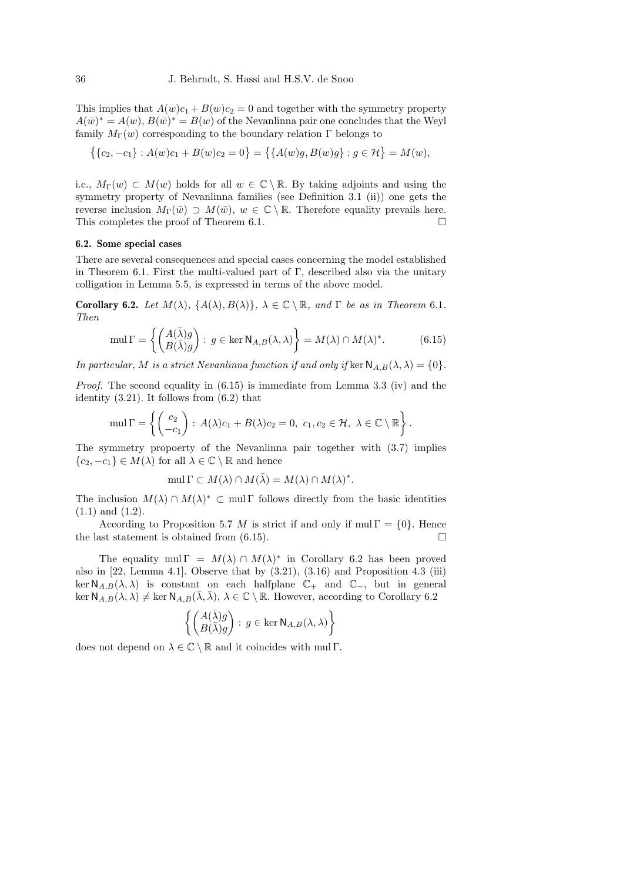This implies that  $A(w)c_1 + B(w)c_2 = 0$  and together with the symmetry property  $A(\bar{w})^* = A(w), B(\bar{w})^* = B(w)$  of the Nevanlinna pair one concludes that the Weyl family  $M_{\Gamma}(w)$  corresponding to the boundary relation  $\Gamma$  belongs to

$$
\big\{\{c_2,-c_1\}:A(w)c_1+B(w)c_2=0\big\}=\big\{\{A(w)g,B(w)g\}:g\in\mathcal{H}\big\}=M(w),
$$

i.e.,  $M_{\Gamma}(w) \subset M(w)$  holds for all  $w \in \mathbb{C} \setminus \mathbb{R}$ . By taking adjoints and using the symmetry property of Nevanlinna families (see Definition 3.1 (ii)) one gets the reverse inclusion  $M_{\Gamma}(\bar{w}) \supset M(\bar{w}), w \in \mathbb{C} \setminus \mathbb{R}$ . Therefore equality prevails here. This completes the proof of Theorem 6.1.  $\Box$ 

#### 6.2. Some special cases

There are several consequences and special cases concerning the model established in Theorem 6.1. First the multi-valued part of  $\Gamma$ , described also via the unitary colligation in Lemma 5.5, is expressed in terms of the above model.

Corollary 6.2. Let  $M(\lambda)$ ,  $\{A(\lambda), B(\lambda)\}\$ ,  $\lambda \in \mathbb{C} \setminus \mathbb{R}$ , and  $\Gamma$  be as in Theorem 6.1. Then

$$
\operatorname{mul}\Gamma = \left\{ \begin{pmatrix} A(\bar{\lambda})g \\ B(\bar{\lambda})g \end{pmatrix} : g \in \ker \mathsf{N}_{A,B}(\lambda, \lambda) \right\} = M(\lambda) \cap M(\lambda)^*.
$$
 (6.15)

In particular, M is a strict Nevanlinna function if and only if ker  $\mathsf{N}_{A,B}(\lambda, \lambda) = \{0\}.$ 

*Proof.* The second equality in  $(6.15)$  is immediate from Lemma 3.3 (iv) and the identity (3.21). It follows from (6.2) that

$$
\text{mul } \Gamma = \left\{ \begin{pmatrix} c_2 \\ -c_1 \end{pmatrix} : A(\lambda)c_1 + B(\lambda)c_2 = 0, \ c_1, c_2 \in \mathcal{H}, \ \lambda \in \mathbb{C} \setminus \mathbb{R} \right\}.
$$

The symmetry propoerty of the Nevanlinna pair together with (3.7) implies  ${c_2, -c_1} \in M(\lambda)$  for all  $\lambda \in \mathbb{C} \setminus \mathbb{R}$  and hence

$$
\operatorname{mul}\Gamma \subset M(\lambda) \cap M(\bar{\lambda}) = M(\lambda) \cap M(\lambda)^*.
$$

The inclusion  $M(\lambda) \cap M(\lambda)^* \subset \text{mul } \Gamma$  follows directly from the basic identities (1.1) and (1.2).

According to Proposition 5.7 M is strict if and only if  $mul \Gamma = \{0\}$ . Hence the last statement is obtained from  $(6.15)$ .

The equality mul  $\Gamma = M(\lambda) \cap M(\lambda)^*$  in Corollary 6.2 has been proved also in  $[22, \text{ Lemma } 4.1]$ . Observe that by  $(3.21), (3.16)$  and Proposition 4.3 (iii) ker  $N_{A,B}(\lambda, \lambda)$  is constant on each halfplane  $\mathbb{C}_+$  and  $\mathbb{C}_-$ , but in general ker  $\mathsf{N}_{A,B}(\lambda, \lambda) \neq \ker \mathsf{N}_{A,B}(\overline{\lambda}, \overline{\lambda}), \lambda \in \mathbb{C} \setminus \mathbb{R}$ . However, according to Corollary 6.2

$$
\left\{ \begin{pmatrix} A(\bar{\lambda})g \\ B(\bar{\lambda})g \end{pmatrix} : \, g \in \ker \mathsf{N}_{A,B}(\lambda,\lambda) \right\}
$$

does not depend on  $\lambda \in \mathbb{C} \setminus \mathbb{R}$  and it coincides with mul Γ.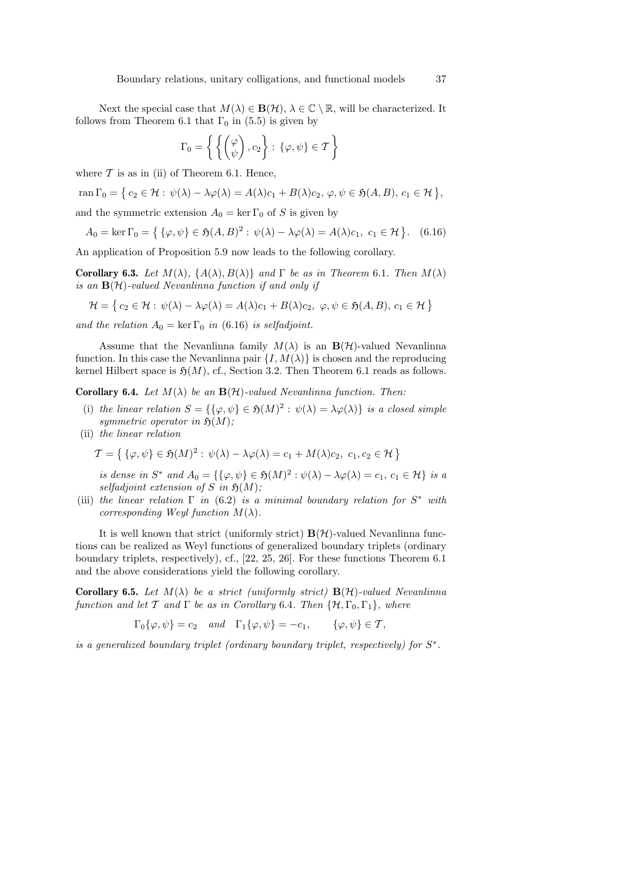Next the special case that  $M(\lambda) \in \mathbf{B}(\mathcal{H}), \lambda \in \mathbb{C} \setminus \mathbb{R}$ , will be characterized. It follows from Theorem 6.1 that  $\Gamma_0$  in (5.5) is given by

$$
\Gamma_0 = \left\{ \left\{ \begin{pmatrix} \varphi \\ \psi \end{pmatrix}, c_2 \right\} : \{ \varphi, \psi \} \in \mathcal{T} \right\}
$$

where  $\mathcal T$  is as in (ii) of Theorem 6.1. Hence,

$$
\operatorname{ran} \Gamma_0 = \{ c_2 \in \mathcal{H} : \psi(\lambda) - \lambda \varphi(\lambda) = A(\lambda)c_1 + B(\lambda)c_2, \, \varphi, \psi \in \mathfrak{H}(A, B), \, c_1 \in \mathcal{H} \},
$$

and the symmetric extension  $A_0 = \ker \Gamma_0$  of S is given by

$$
A_0 = \ker \Gamma_0 = \left\{ \{ \varphi, \psi \} \in \mathfrak{H}(A, B)^2 : \psi(\lambda) - \lambda \varphi(\lambda) = A(\lambda) c_1, \ c_1 \in \mathcal{H} \right\}. \tag{6.16}
$$

An application of Proposition 5.9 now leads to the following corollary.

Corollary 6.3. Let  $M(\lambda)$ ,  $\{A(\lambda), B(\lambda)\}\$  and  $\Gamma$  be as in Theorem 6.1. Then  $M(\lambda)$ is an  $B(\mathcal{H})$ -valued Nevanlinna function if and only if

$$
\mathcal{H} = \left\{ c_2 \in \mathcal{H} : \psi(\lambda) - \lambda \varphi(\lambda) = A(\lambda)c_1 + B(\lambda)c_2, \ \varphi, \psi \in \mathfrak{H}(A, B), \ c_1 \in \mathcal{H} \right\}
$$

and the relation  $A_0 = \ker \Gamma_0$  in (6.16) is selfadjoint.

Assume that the Nevanlinna family  $M(\lambda)$  is an  $\mathbf{B}(\mathcal{H})$ -valued Nevanlinna function. In this case the Nevanlinna pair  $\{I, M(\lambda)\}\$ is chosen and the reproducing kernel Hilbert space is  $\mathfrak{H}(M)$ , cf., Section 3.2. Then Theorem 6.1 reads as follows.

**Corollary 6.4.** Let  $M(\lambda)$  be an  $\mathbf{B}(\mathcal{H})$ -valued Nevanlinna function. Then:

- (i) the linear relation  $S = \{ \{\varphi, \psi\} \in \mathfrak{H}(M)^2 : \psi(\lambda) = \lambda \varphi(\lambda) \}$  is a closed simple symmetric operator in  $\mathfrak{H}(M)$ ;
- (ii) the linear relation

$$
\mathcal{T} = \left\{ \{ \varphi, \psi \} \in \mathfrak{H}(M)^2 : \psi(\lambda) - \lambda \varphi(\lambda) = c_1 + M(\lambda)c_2, \ c_1, c_2 \in \mathcal{H} \right\}
$$

is dense in  $S^*$  and  $A_0 = \{\{\varphi, \psi\} \in \mathfrak{H}(M)^2 : \psi(\lambda) - \lambda \varphi(\lambda) = c_1, c_1 \in \mathcal{H}\}\$ is a selfadjoint extension of S in  $\mathfrak{H}(M)$ ;

(iii) the linear relation  $\Gamma$  in (6.2) is a minimal boundary relation for  $S^*$  with corresponding Weyl function  $M(\lambda)$ .

It is well known that strict (uniformly strict)  $B(\mathcal{H})$ -valued Nevanlinna functions can be realized as Weyl functions of generalized boundary triplets (ordinary boundary triplets, respectively), cf., [22, 25, 26]. For these functions Theorem 6.1 and the above considerations yield the following corollary.

Corollary 6.5. Let  $M(\lambda)$  be a strict (uniformly strict)  $B(\mathcal{H})$ -valued Nevanlinna function and let T and  $\Gamma$  be as in Corollary 6.4. Then  $\{H, \Gamma_0, \Gamma_1\}$ , where

 $\Gamma_0\{\varphi,\psi\}=c_2$  and  $\Gamma_1\{\varphi,\psi\}= -c_1, \qquad \{\varphi,\psi\}\in\mathcal{T},$ 

is a generalized boundary triplet (ordinary boundary triplet, respectively) for  $S^*$ .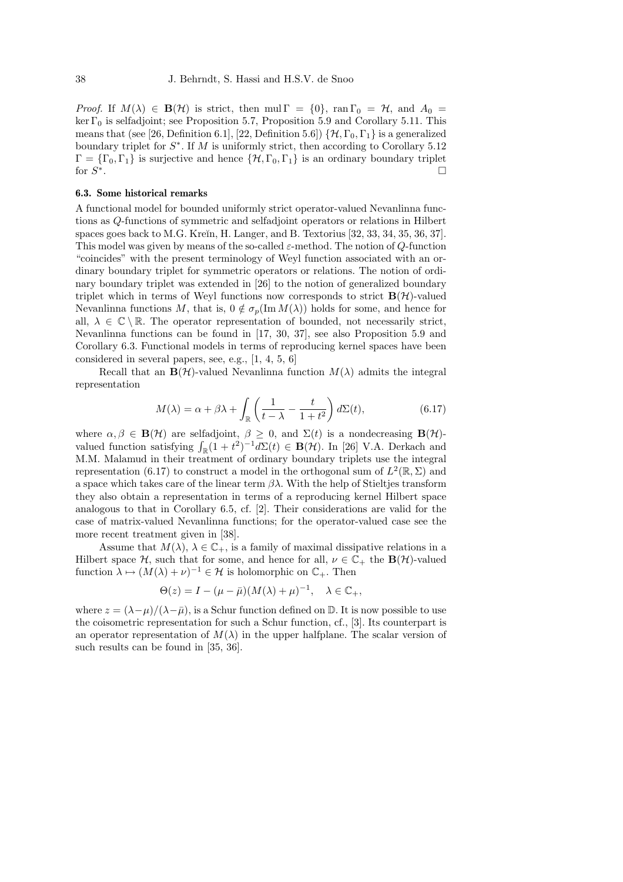*Proof.* If  $M(\lambda) \in \mathbf{B}(\mathcal{H})$  is strict, then mul  $\Gamma = \{0\}$ , ran  $\Gamma_0 = \mathcal{H}$ , and  $A_0 =$ ker  $\Gamma_0$  is selfadjoint; see Proposition 5.7, Proposition 5.9 and Corollary 5.11. This means that (see [26, Definition 6.1], [22, Definition 5.6])  $\{\mathcal{H}, \Gamma_0, \Gamma_1\}$  is a generalized boundary triplet for  $S^*$ . If M is uniformly strict, then according to Corollary 5.12  $\Gamma = {\Gamma_0, \Gamma_1}$  is surjective and hence  ${\mathcal{H}, \Gamma_0, \Gamma_1}$  is an ordinary boundary triplet for  $S^*$ .

#### 6.3. Some historical remarks

A functional model for bounded uniformly strict operator-valued Nevanlinna functions as Q-functions of symmetric and selfadjoint operators or relations in Hilbert spaces goes back to M.G. Kreĭn, H. Langer, and B. Textorius [32, 33, 34, 35, 36, 37]. This model was given by means of the so-called  $\varepsilon$ -method. The notion of Q-function "coincides" with the present terminology of Weyl function associated with an ordinary boundary triplet for symmetric operators or relations. The notion of ordinary boundary triplet was extended in [26] to the notion of generalized boundary triplet which in terms of Weyl functions now corresponds to strict  $\mathbf{B}(\mathcal{H})$ -valued Nevanlinna functions M, that is,  $0 \notin \sigma_p(\text{Im }M(\lambda))$  holds for some, and hence for all,  $\lambda \in \mathbb{C} \setminus \mathbb{R}$ . The operator representation of bounded, not necessarily strict, Nevanlinna functions can be found in [17, 30, 37], see also Proposition 5.9 and Corollary 6.3. Functional models in terms of reproducing kernel spaces have been considered in several papers, see, e.g., [1, 4, 5, 6]

Recall that an  $\mathbf{B}(\mathcal{H})$ -valued Nevanlinna function  $M(\lambda)$  admits the integral representation

$$
M(\lambda) = \alpha + \beta \lambda + \int_{\mathbb{R}} \left( \frac{1}{t - \lambda} - \frac{t}{1 + t^2} \right) d\Sigma(t), \tag{6.17}
$$

where  $\alpha, \beta \in \mathbf{B}(\mathcal{H})$  are selfadjoint,  $\beta \geq 0$ , and  $\Sigma(t)$  is a nondecreasing  $\mathbf{B}(\mathcal{H})$ valued function satisfying  $\int_{\mathbb{R}} (1 + t^2)^{-1} d\Sigma(t) \in \mathbf{B}(\mathcal{H})$ . In [26] V.A. Derkach and M.M. Malamud in their treatment of ordinary boundary triplets use the integral representation (6.17) to construct a model in the orthogonal sum of  $L^2(\mathbb{R}, \Sigma)$  and a space which takes care of the linear term  $\beta \lambda$ . With the help of Stieltjes transform they also obtain a representation in terms of a reproducing kernel Hilbert space analogous to that in Corollary 6.5, cf. [2]. Their considerations are valid for the case of matrix-valued Nevanlinna functions; for the operator-valued case see the more recent treatment given in [38].

Assume that  $M(\lambda)$ ,  $\lambda \in \mathbb{C}_+$ , is a family of maximal dissipative relations in a Hilbert space  $\mathcal{H}$ , such that for some, and hence for all,  $\nu \in \mathbb{C}_+$  the  $\mathbf{B}(\mathcal{H})$ -valued function  $\lambda \mapsto (M(\lambda) + \nu)^{-1} \in \mathcal{H}$  is holomorphic on  $\mathbb{C}_+$ . Then

$$
\Theta(z) = I - (\mu - \bar{\mu})(M(\lambda) + \mu)^{-1}, \quad \lambda \in \mathbb{C}_+,
$$

where  $z = (\lambda - \mu)/(\lambda - \bar{\mu})$ , is a Schur function defined on D. It is now possible to use the coisometric representation for such a Schur function, cf., [3]. Its counterpart is an operator representation of  $M(\lambda)$  in the upper halfplane. The scalar version of such results can be found in [35, 36].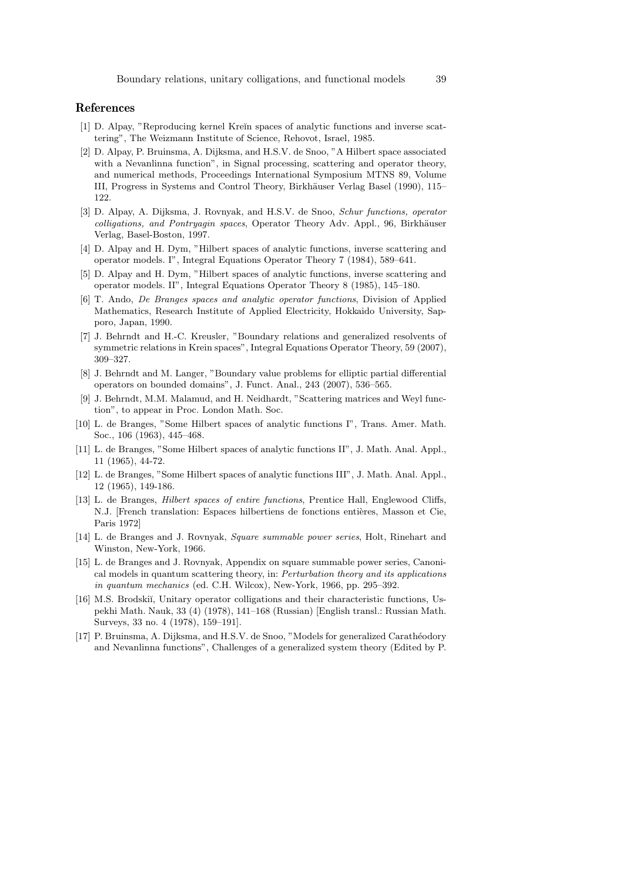#### References

- [1] D. Alpay, "Reproducing kernel Kreĭn spaces of analytic functions and inverse scattering", The Weizmann Institute of Science, Rehovot, Israel, 1985.
- [2] D. Alpay, P. Bruinsma, A. Dijksma, and H.S.V. de Snoo, "A Hilbert space associated with a Nevanlinna function", in Signal processing, scattering and operator theory, and numerical methods, Proceedings International Symposium MTNS 89, Volume III, Progress in Systems and Control Theory, Birkhäuser Verlag Basel (1990), 115– 122.
- [3] D. Alpay, A. Dijksma, J. Rovnyak, and H.S.V. de Snoo, Schur functions, operator colligations, and Pontryagin spaces, Operator Theory Adv. Appl., 96, Birkhäuser Verlag, Basel-Boston, 1997.
- [4] D. Alpay and H. Dym, "Hilbert spaces of analytic functions, inverse scattering and operator models. I", Integral Equations Operator Theory 7 (1984), 589–641.
- [5] D. Alpay and H. Dym, "Hilbert spaces of analytic functions, inverse scattering and operator models. II", Integral Equations Operator Theory 8 (1985), 145–180.
- [6] T. Ando, De Branges spaces and analytic operator functions, Division of Applied Mathematics, Research Institute of Applied Electricity, Hokkaido University, Sapporo, Japan, 1990.
- [7] J. Behrndt and H.-C. Kreusler, "Boundary relations and generalized resolvents of symmetric relations in Krein spaces", Integral Equations Operator Theory, 59 (2007), 309–327.
- [8] J. Behrndt and M. Langer, "Boundary value problems for elliptic partial differential operators on bounded domains", J. Funct. Anal., 243 (2007), 536–565.
- [9] J. Behrndt, M.M. Malamud, and H. Neidhardt, "Scattering matrices and Weyl function", to appear in Proc. London Math. Soc.
- [10] L. de Branges, "Some Hilbert spaces of analytic functions I", Trans. Amer. Math. Soc., 106 (1963), 445–468.
- [11] L. de Branges, "Some Hilbert spaces of analytic functions II", J. Math. Anal. Appl., 11 (1965), 44-72.
- [12] L. de Branges, "Some Hilbert spaces of analytic functions III", J. Math. Anal. Appl., 12 (1965), 149-186.
- [13] L. de Branges, Hilbert spaces of entire functions, Prentice Hall, Englewood Cliffs, N.J. [French translation: Espaces hilbertiens de fonctions entières, Masson et Cie, Paris 1972]
- [14] L. de Branges and J. Rovnyak, Square summable power series, Holt, Rinehart and Winston, New-York, 1966.
- [15] L. de Branges and J. Rovnyak, Appendix on square summable power series, Canonical models in quantum scattering theory, in: Perturbation theory and its applications in quantum mechanics (ed. C.H. Wilcox), New-York, 1966, pp. 295–392.
- [16] M.S. Brodskiĭ, Unitary operator colligations and their characteristic functions, Uspekhi Math. Nauk, 33 (4) (1978), 141–168 (Russian) [English transl.: Russian Math. Surveys, 33 no. 4 (1978), 159–191].
- [17] P. Bruinsma, A. Dijksma, and H.S.V. de Snoo, "Models for generalized Carath´eodory and Nevanlinna functions", Challenges of a generalized system theory (Edited by P.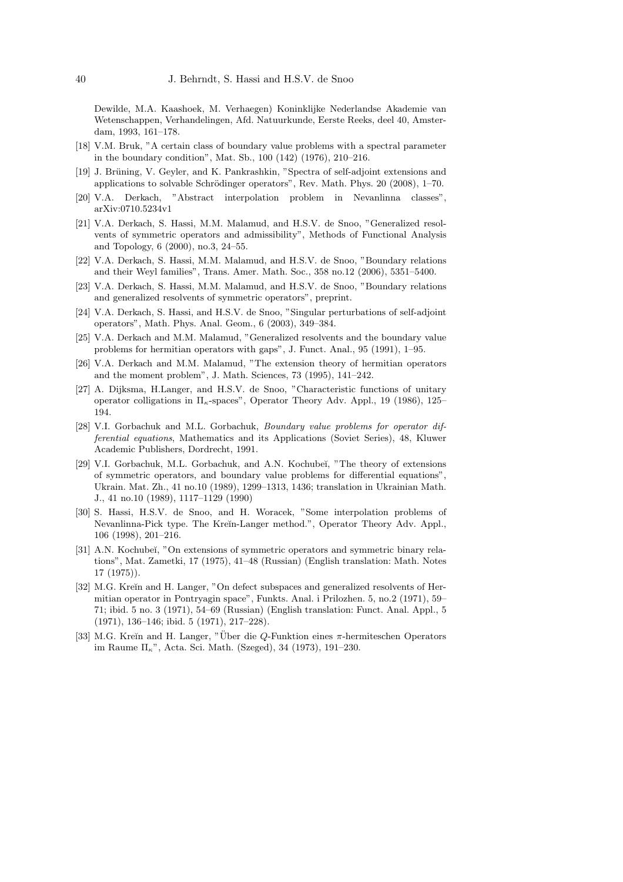Dewilde, M.A. Kaashoek, M. Verhaegen) Koninklijke Nederlandse Akademie van Wetenschappen, Verhandelingen, Afd. Natuurkunde, Eerste Reeks, deel 40, Amsterdam, 1993, 161–178.

- [18] V.M. Bruk, "A certain class of boundary value problems with a spectral parameter in the boundary condition", Mat. Sb., 100 (142) (1976), 210–216.
- [19] J. Brüning, V. Geyler, and K. Pankrashkin, "Spectra of self-adjoint extensions and applications to solvable Schrödinger operators", Rev. Math. Phys.  $20$  (2008), 1–70.
- [20] V.A. Derkach, "Abstract interpolation problem in Nevanlinna classes", arXiv:0710.5234v1
- [21] V.A. Derkach, S. Hassi, M.M. Malamud, and H.S.V. de Snoo, "Generalized resolvents of symmetric operators and admissibility", Methods of Functional Analysis and Topology, 6 (2000), no.3, 24–55.
- [22] V.A. Derkach, S. Hassi, M.M. Malamud, and H.S.V. de Snoo, "Boundary relations and their Weyl families", Trans. Amer. Math. Soc., 358 no.12 (2006), 5351–5400.
- [23] V.A. Derkach, S. Hassi, M.M. Malamud, and H.S.V. de Snoo, "Boundary relations and generalized resolvents of symmetric operators", preprint.
- [24] V.A. Derkach, S. Hassi, and H.S.V. de Snoo, "Singular perturbations of self-adjoint operators", Math. Phys. Anal. Geom., 6 (2003), 349–384.
- [25] V.A. Derkach and M.M. Malamud, "Generalized resolvents and the boundary value problems for hermitian operators with gaps", J. Funct. Anal., 95 (1991), 1–95.
- [26] V.A. Derkach and M.M. Malamud, "The extension theory of hermitian operators and the moment problem", J. Math. Sciences, 73 (1995), 141–242.
- [27] A. Dijksma, H.Langer, and H.S.V. de Snoo, "Characteristic functions of unitary operator colligations in Πκ-spaces", Operator Theory Adv. Appl., 19 (1986), 125– 194.
- [28] V.I. Gorbachuk and M.L. Gorbachuk, Boundary value problems for operator differential equations, Mathematics and its Applications (Soviet Series), 48, Kluwer Academic Publishers, Dordrecht, 1991.
- [29] V.I. Gorbachuk, M.L. Gorbachuk, and A.N. Kochubeĭ, "The theory of extensions of symmetric operators, and boundary value problems for differential equations", Ukrain. Mat. Zh., 41 no.10 (1989), 1299–1313, 1436; translation in Ukrainian Math. J., 41 no.10 (1989), 1117–1129 (1990)
- [30] S. Hassi, H.S.V. de Snoo, and H. Woracek, "Some interpolation problems of Nevanlinna-Pick type. The Kreĭn-Langer method.", Operator Theory Adv. Appl., 106 (1998), 201–216.
- [31] A.N. Kochubeĭ, "On extensions of symmetric operators and symmetric binary relations", Mat. Zametki, 17 (1975), 41–48 (Russian) (English translation: Math. Notes 17 (1975)).
- [32] M.G. Kreĭn and H. Langer, "On defect subspaces and generalized resolvents of Hermitian operator in Pontryagin space", Funkts. Anal. i Prilozhen. 5, no.2 (1971), 59– 71; ibid. 5 no. 3 (1971), 54–69 (Russian) (English translation: Funct. Anal. Appl., 5 (1971), 136–146; ibid. 5 (1971), 217–228).
- [33] M.G. Kreĭn and H. Langer, "Über die  $Q$ -Funktion eines  $\pi$ -hermiteschen Operators im Raume  $\Pi_{\kappa}$ ", Acta. Sci. Math. (Szeged), 34 (1973), 191–230.